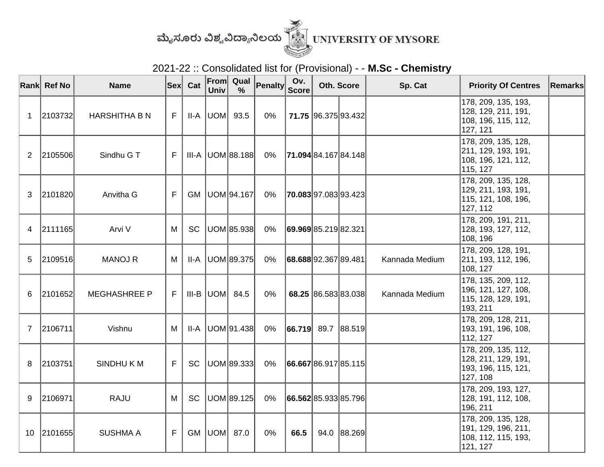

2021-22 :: Consolidated list for (Provisional) - - **M.Sc - Chemistry**

|                | Rank Ref No | <b>Name</b>          |   | <b>Sex</b> Cat | Univ            | From Qual<br>$\frac{9}{6}$ | <b>Penalty</b> | Ov.<br><b>Score</b> | Oth. Score           |                             | Sp. Cat        | <b>Priority Of Centres</b>                                                     | Remarks |
|----------------|-------------|----------------------|---|----------------|-----------------|----------------------------|----------------|---------------------|----------------------|-----------------------------|----------------|--------------------------------------------------------------------------------|---------|
| 1              | 2103732     | <b>HARSHITHA B N</b> | F |                | $II-A$ $ UOM $  | 93.5                       | 0%             |                     |                      | 71.75 96.375 93.432         |                | 178, 209, 135, 193,<br> 128, 129, 211, 191,<br>108, 196, 115, 112,<br>127, 121 |         |
| $\mathbf{2}$   | 2105506     | Sindhu G T           | F |                |                 | $III-A$ UOM 88.188         | $0\%$          |                     |                      | 71.094 84.167 84.148        |                | 178, 209, 135, 128,<br>211, 129, 193, 191,<br>108, 196, 121, 112,<br>115, 127  |         |
| 3              | 2101820     | Anvitha G            | F | <b>GM</b>      |                 | UOM 94.167                 | $0\%$          |                     |                      | <b>70.083</b> 97.083 93.423 |                | 178, 209, 135, 128,<br>129, 211, 193, 191,<br>115, 121, 108, 196,<br>127, 112  |         |
| 4              | 2111165     | Arvi V               | M | <b>SC</b>      |                 | UOM 85.938                 | 0%             |                     | 69.969 85.219 82.321 |                             |                | 178, 209, 191, 211,<br>128, 193, 127, 112,<br>108, 196                         |         |
| 5              | 2109516     | <b>MANOJ R</b>       | M | II-A           |                 | UOM 89.375                 | 0%             |                     | 68.688 92.367 89.481 |                             | Kannada Medium | 178, 209, 128, 191,<br>211, 193, 112, 196,<br>108, 127                         |         |
| 6              | 2101652     | <b>MEGHASHREE P</b>  | F |                | $III-B$ $ UOM $ | 84.5                       | 0%             |                     |                      | 68.25 86.583 83.038         | Kannada Medium | 178, 135, 209, 112,<br>196, 121, 127, 108,<br>115, 128, 129, 191,<br>193, 211  |         |
| $\overline{7}$ | 2106711     | Vishnu               | M | II-A           |                 | UOM 91.438                 | $0\%$          |                     |                      | $ 66.719 $ 89.7 88.519      |                | 178, 209, 128, 211,<br> 193, 191, 196, 108,<br>112, 127                        |         |
| 8              | 2103751     | SINDHUKM             | F | <b>SC</b>      |                 | UOM 89.333                 | 0%             |                     |                      | 66.667 86.917 85.115        |                | 178, 209, 135, 112,<br>128, 211, 129, 191,<br>193, 196, 115, 121,<br>127, 108  |         |
| 9              | 2106971     | <b>RAJU</b>          | M | <b>SC</b>      |                 | UOM 89.125                 | 0%             |                     |                      | 66.562 85.933 85.796        |                | 178, 209, 193, 127,<br>128, 191, 112, 108,<br>196, 211                         |         |
|                | 10 2101655  | <b>SUSHMA A</b>      | F |                | GM   UOM   87.0 |                            | 0%             | 66.5                |                      | 94.0 88.269                 |                | 178, 209, 135, 128,<br> 191, 129, 196, 211,<br>108, 112, 115, 193,<br>121, 127 |         |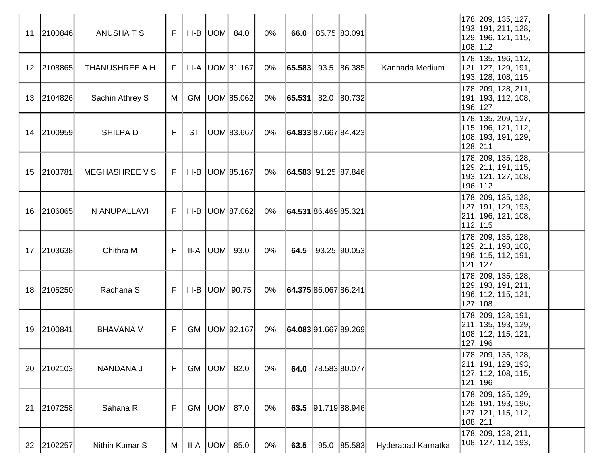| 11              | 2100846    | <b>ANUSHATS</b>       | F  |           | $III-B$ $UOM$ 84.0      | $0\%$ | 66.0                 | 85.75 83.091             |                    | 178, 209, 135, 127,<br>193, 191, 211, 128,<br>129, 196, 121, 115,<br>108, 112   |
|-----------------|------------|-----------------------|----|-----------|-------------------------|-------|----------------------|--------------------------|--------------------|---------------------------------------------------------------------------------|
| 12 <sup>°</sup> | 2108865    | THANUSHREE A H        | F. |           | III-A   UOM 81.167      | 0%    |                      | $ 65.583 $ 93.5 86.385   | Kannada Medium     | 178, 135, 196, 112,<br>121, 127, 129, 191,<br>193, 128, 108, 115                |
| 13              | 2104826    | Sachin Athrey S       | M  | GM        | UOM 85.062              | 0%    |                      | $ 65.531 $ 82.0 80.732   |                    | 178, 209, 128, 211,<br>191, 193, 112, 108,<br>196, 127                          |
|                 | 14 2100959 | SHILPA D              | F  | <b>ST</b> | UOM 83.667              | 0%    |                      | 64.833 87.667 84.423     |                    | 178, 135, 209, 127,<br>115, 196, 121, 112,<br>108, 193, 191, 129,<br>128, 211   |
| 15              | 2103781    | <b>MEGHASHREE V S</b> | F  |           | $III-B$ UOM 85.167      | 0%    |                      | $ 64.583 $ 91.25  87.846 |                    | 178, 209, 135, 128,<br>129, 211, 191, 115,<br>193, 121, 127, 108,<br>196, 112   |
| 16              | 2106065    | N ANUPALLAVI          | F. |           | III-B   UOM 87.062      | 0%    |                      | 64.531 86.469 85.321     |                    | 178, 209, 135, 128,<br> 127, 191, 129, 193,<br>211, 196, 121, 108,<br>112, 115  |
| 17              | 2103638    | Chithra M             | F. |           | $II-A$ $ UOM $ 93.0     | $0\%$ | 64.5                 | 93.25 90.053             |                    | 178, 209, 135, 128,<br>129, 211, 193, 108,<br>196, 115, 112, 191,<br>121, 127   |
| 18              | 2105250    | Rachana S             | F. |           | III-B $ $ UOM $ $ 90.75 | 0%    | 64.375 86.067 86.241 |                          |                    | 178, 209, 135, 128,<br> 129, 193, 191, 211,<br>196, 112, 115, 121,<br>127, 108  |
| 19              | 2100841    | <b>BHAVANA V</b>      | F  |           | GM   UOM   92.167       | 0%    |                      | 64.083 91.667 89.269     |                    | 178, 209, 128, 191,<br>211, 135, 193, 129,<br>108, 112, 115, 121,<br>127, 196   |
|                 | 20 2102103 | NANDANA J             | F  |           | GM   UOM   82.0         | 0%    | 64.0                 | 78.58380.077             |                    | 178, 209, 135, 128,<br>211, 191, 129, 193,<br>127, 112, 108, 115,<br>121, 196   |
| 21              | 2107258    | Sahana R              | F  |           | GM   UOM   87.0         | $0\%$ |                      | 63.5 91.719 88.946       |                    | 178, 209, 135, 129,<br> 128, 191, 193, 196,<br> 127, 121, 115, 112,<br>108, 211 |
|                 | 22 2102257 | Nithin Kumar S        | M  |           | $II-A$ $ UOM $ 85.0     | 0%    | 63.5                 | 95.0 85.583              | Hyderabad Karnatka | 178, 209, 128, 211,<br>108, 127, 112, 193,                                      |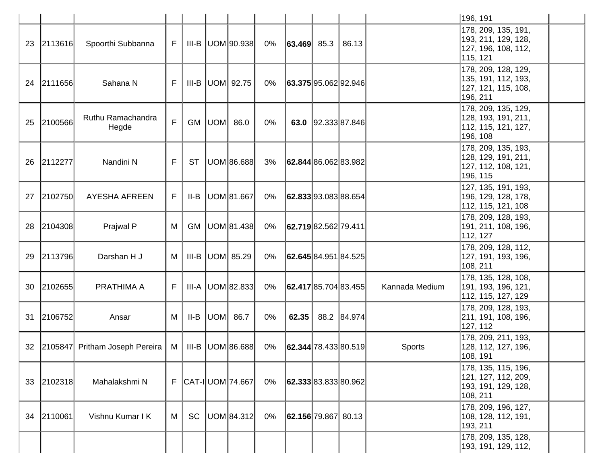|    |           |                                  |    |           |     |                        |       |                      |                                                      |                | 196, 191                                                                       |
|----|-----------|----------------------------------|----|-----------|-----|------------------------|-------|----------------------|------------------------------------------------------|----------------|--------------------------------------------------------------------------------|
| 23 | 2113616   | Spoorthi Subbanna                | F  |           |     | $III-B$ $ UOM 90.938 $ | 0%    | $ 63.469 $ 85.3      | 86.13                                                |                | 178, 209, 135, 191,<br>193, 211, 129, 128,<br>127, 196, 108, 112,<br>115, 121  |
| 24 | 2111656   | Sahana N                         | F  | III-B     |     | UOM  92.75             | 0%    | 63.375 95.062 92.946 |                                                      |                | 178, 209, 128, 129,<br> 135, 191, 112, 193,<br>127, 121, 115, 108,<br>196, 211 |
| 25 | 2100566   | Ruthu Ramachandra<br>Hegde       | F  | <b>GM</b> | UOM | 86.0                   | $0\%$ |                      | 63.0 92.333 87.846                                   |                | 178, 209, 135, 129,<br>128, 193, 191, 211,<br>112, 115, 121, 127,<br>196, 108  |
| 26 | 2112277   | Nandini N                        | F  | <b>ST</b> |     | UOM 86.688             | 3%    |                      | 62.844 86.062 83.982                                 |                | 178, 209, 135, 193,<br>128, 129, 191, 211,<br>127, 112, 108, 121,<br>196, 115  |
| 27 | 2102750   | <b>AYESHA AFREEN</b>             | F  | II-B      |     | UOM 81.667             | $0\%$ |                      | 62.833 93.083 88.654                                 |                | 127, 135, 191, 193,<br>196, 129, 128, 178,<br>112, 115, 121, 108               |
| 28 | 2104308   | Prajwal P                        | M  | <b>GM</b> |     | UOM 81.438             | $0\%$ | 62.719 82.562 79.411 |                                                      |                | 178, 209, 128, 193,<br>191, 211, 108, 196,<br>112, 127                         |
| 29 | 2113796   | Darshan H J                      | M  | III-B     |     | UOM 85.29              | 0%    |                      | <b>62.645</b> 84.951 84.525                          |                | 178, 209, 128, 112,<br> 127, 191, 193, 196,<br>108, 211                        |
| 30 | 2102655   | PRATHIMA A                       | F  | III-A     |     | UOM 82.833             | 0%    |                      | $\left  62.417 \right  85.704 \left  83.455 \right $ | Kannada Medium | 178, 135, 128, 108,<br>191, 193, 196, 121,<br>112, 115, 127, 129               |
| 31 | 2106752   | Ansar                            | M  | II-B      | UOM | 86.7                   | 0%    | 62.35                | 88.2 84.974                                          |                | 178, 209, 128, 193,<br>211, 191, 108, 196,<br>127, 112                         |
| 32 |           | [2105847] Pritham Joseph Pereira | M  | III-B     |     | UOM 86.688             | $0\%$ |                      | $\left  62.344 \right  78.433 \left  80.519 \right $ | Sports         | 178, 209, 211, 193,<br>128, 112, 127, 196,<br>108, 191                         |
| 33 | [2102318] | Mahalakshmi N                    | F. |           |     | CAT-I UOM 74.667       | $0\%$ | 62.333 83.833 80.962 |                                                      |                | 178, 135, 115, 196,<br>121, 127, 112, 209,<br>193, 191, 129, 128,<br>108, 211  |
| 34 | 2110061   | Vishnu Kumar I K                 | M  | <b>SC</b> |     | UOM 84.312             | $0\%$ | 62.156 79.867 80.13  |                                                      |                | 178, 209, 196, 127,<br>108, 128, 112, 191,<br>193, 211                         |
|    |           |                                  |    |           |     |                        |       |                      |                                                      |                | 178, 209, 135, 128,<br> 193, 191, 129, 112,                                    |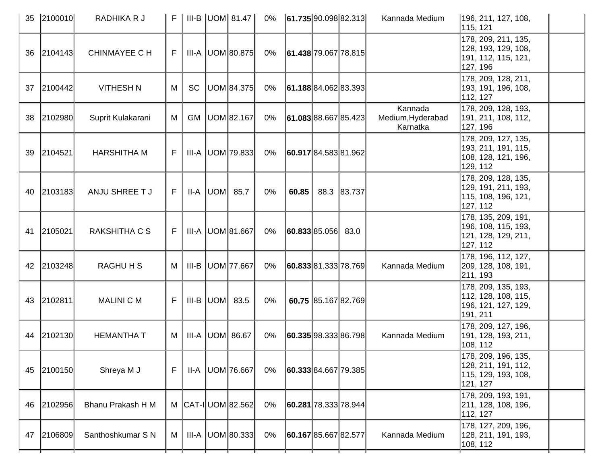| 35 | 2100010 | RADHIKA R J          | F  |           | $III-B$ UOM 81.47          | 0%    | 61.735 90.098 82.313 |                     | Kannada Medium                           | 196, 211, 127, 108,<br>115, 121                                               |  |
|----|---------|----------------------|----|-----------|----------------------------|-------|----------------------|---------------------|------------------------------------------|-------------------------------------------------------------------------------|--|
| 36 | 2104143 | <b>CHINMAYEE C H</b> | F. |           | $III-A$ UOM 80.875         | 0%    | 61.438 79.067 78.815 |                     |                                          | 178, 209, 211, 135,<br>128, 193, 129, 108,<br>191, 112, 115, 121,<br>127, 196 |  |
| 37 | 2100442 | <b>VITHESH N</b>     | M  | <b>SC</b> | UOM 84.375                 | $0\%$ | 61.188 84.062 83.393 |                     |                                          | 178, 209, 128, 211,<br>193, 191, 196, 108,<br>112, 127                        |  |
| 38 | 2102980 | Suprit Kulakarani    | M  | <b>GM</b> | UOM 82.167                 | $0\%$ | 61.083 88.667 85.423 |                     | Kannada<br>Medium, Hyderabad<br>Karnatka | 178, 209, 128, 193,<br>191, 211, 108, 112,<br>127, 196                        |  |
| 39 | 2104521 | <b>HARSHITHA M</b>   | F. |           | III-A   UOM   79.833       | 0%    | 60.917 84.583 81.962 |                     |                                          | 178, 209, 127, 135,<br>193, 211, 191, 115,<br>108, 128, 121, 196,<br>129, 112 |  |
| 40 | 2103183 | ANJU SHREE T J       | F  |           | $II-A$ UOM 85.7            | $0\%$ | 60.85                | 88.3 83.737         |                                          | 178, 209, 128, 135,<br>129, 191, 211, 193,<br>115, 108, 196, 121,<br>127, 112 |  |
| 41 | 2105021 | RAKSHITHA C S        | F. |           | III-A UOM 81.667           | $0\%$ | 60.833 85.056 83.0   |                     |                                          | 178, 135, 209, 191,<br>196, 108, 115, 193,<br>121, 128, 129, 211,<br>127, 112 |  |
| 42 | 2103248 | <b>RAGHUHS</b>       | M  | III-B     | UOM 77.667                 | $0\%$ | 60.833 81.333 78.769 |                     | Kannada Medium                           | 178, 196, 112, 127,<br> 209, 128, 108, 191,<br>211, 193                       |  |
| 43 | 2102811 | <b>MALINI C M</b>    | F  |           | $III-B$ UOM $83.5$         | 0%    |                      | 60.75 85.167 82.769 |                                          | 178, 209, 135, 193,<br>112, 128, 108, 115,<br>196, 121, 127, 129,<br>191, 211 |  |
| 44 | 2102130 | <b>HEMANTHA T</b>    | М  |           | III-A   UOM   86.67        | $0\%$ | 60.335 98.333 86.798 |                     | Kannada Medium                           | 178, 209, 127, 196,<br>191, 128, 193, 211,<br>108, 112                        |  |
| 45 | 2100150 | Shreya M J           | F  | II-A      | UOM 76.667                 | $0\%$ | 60.333 84.667 79.385 |                     |                                          | 178, 209, 196, 135,<br>128, 211, 191, 112,<br>115, 129, 193, 108,<br>121, 127 |  |
| 46 | 2102956 | Bhanu Prakash H M    | M  |           | $ CAT - I $ UOM $ 82.562 $ | $0\%$ | 60.281 78.333 78.944 |                     |                                          | 178, 209, 193, 191,<br>211, 128, 108, 196,<br>112, 127                        |  |
| 47 | 2106809 | Santhoshkumar S N    | М  |           | III-A   UOM 80.333         | $0\%$ | 60.167 85.667 82.577 |                     | Kannada Medium                           | 178, 127, 209, 196,<br> 128, 211, 191, 193,<br>108, 112                       |  |
|    |         |                      |    |           |                            |       |                      |                     |                                          |                                                                               |  |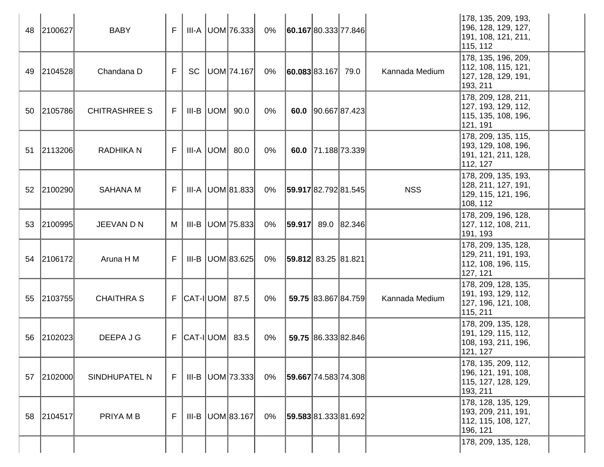|    | 48 2100627 | <b>BABY</b>          | F  |                              | $III-A$ $ UOM 76.333 $ | 0% | 60.167 80.333 77.846           |                     |                | 178, 135, 209, 193,<br>196, 128, 129, 127,<br>191, 108, 121, 211,<br>115, 112 |
|----|------------|----------------------|----|------------------------------|------------------------|----|--------------------------------|---------------------|----------------|-------------------------------------------------------------------------------|
|    | 49 2104528 | Chandana D           | F  | <b>SC</b>                    | UOM 74.167             | 0% | 60.083 83.167 79.0             |                     | Kannada Medium | 178, 135, 196, 209,<br>112, 108, 115, 121,<br>127, 128, 129, 191,<br>193, 211 |
|    | 50 2105786 | <b>CHITRASHREE S</b> | F. |                              | $III-B$ $ UOM $ 90.0   | 0% |                                | 60.0 90.667 87.423  |                | 178, 209, 128, 211,<br>127, 193, 129, 112,<br>115, 135, 108, 196,<br>121, 191 |
| 51 | 2113206    | <b>RADHIKA N</b>     | F  |                              | $III-A$ $ UOM $ 80.0   | 0% |                                | 60.0 71.188 73.339  |                | 178, 209, 135, 115,<br>193, 129, 108, 196,<br>191, 121, 211, 128,<br>112, 127 |
|    | 52 2100290 | <b>SAHANA M</b>      | F  |                              | $III-A$ UOM 81.833     | 0% | 59.917 82.792 81.545           |                     | <b>NSS</b>     | 178, 209, 135, 193,<br>128, 211, 127, 191,<br>129, 115, 121, 196,<br>108, 112 |
|    | 53 2100995 | JEEVAN D N           | M  | III-B                        | UOM 75.833             | 0% | 59.917                         | 89.0 82.346         |                | 178, 209, 196, 128,<br>127, 112, 108, 211,<br>191, 193                        |
|    | 54 2106172 | Aruna H M            | F  |                              | $III-B$ UOM 83.625     | 0% | $ $ <b>59.812</b> 83.25 81.821 |                     |                | 178, 209, 135, 128,<br>129, 211, 191, 193,<br>112, 108, 196, 115,<br>127, 121 |
|    | 55 2103755 | <b>CHAITHRA S</b>    |    | $F$ $ CAT-I $ UOM $ 87.5$    |                        | 0% |                                | 59.75 83.867 84.759 | Kannada Medium | 178, 209, 128, 135,<br>191, 193, 129, 112,<br>127, 196, 121, 108,<br>115, 211 |
|    | 56 2102023 | DEEPA J G            |    | $F$ $ CAT - I $ UOM $ $ 83.5 |                        | 0% |                                | 59.75 86.333 82.846 |                | 178, 209, 135, 128,<br>191, 129, 115, 112,<br>108, 193, 211, 196,<br>121, 127 |
|    | 57 2102000 | SINDHUPATEL N        | F  |                              | $III-B$ UOM 73.333     | 0% | 59.667 74.583 74.308           |                     |                | 178, 135, 209, 112,<br>196, 121, 191, 108,<br>115, 127, 128, 129,<br>193, 211 |
|    | 58 2104517 | PRIYA M B            | F  | III-B                        | UOM 83.167             | 0% | 59.583 81.333 81.692           |                     |                | 178, 128, 135, 129,<br>193, 209, 211, 191,<br>112, 115, 108, 127,<br>196, 121 |
|    |            |                      |    |                              |                        |    |                                |                     |                | 178, 209, 135, 128,                                                           |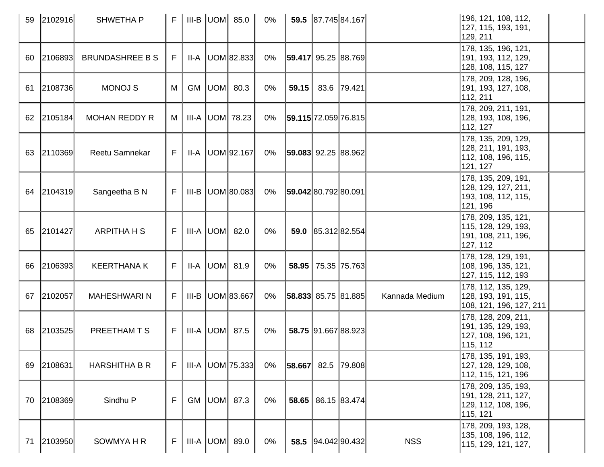| 59 | 2102916    | <b>SHWETHAP</b>        | F <sub>1</sub> |    | III-B $ $ UOM $ $ 85.0 | 0%    |                             | 59.5 87.745 84.167  |                | 196, 121, 108, 112,<br>127, 115, 193, 191,<br>129, 211                         |  |
|----|------------|------------------------|----------------|----|------------------------|-------|-----------------------------|---------------------|----------------|--------------------------------------------------------------------------------|--|
| 60 | 2106893    | <b>BRUNDASHREE B S</b> | F.             |    | $II-A$ UOM 82.833      | $0\%$ | 59.417  95.25   88.769      |                     |                | 178, 135, 196, 121,<br>191, 193, 112, 129,<br>128, 108, 115, 127               |  |
| 61 | 2108736    | <b>MONOJ S</b>         | M              | GM | $ UOM $ 80.3           | $0\%$ | 59.15                       | 83.6 79.421         |                | 178, 209, 128, 196,<br> 191, 193, 127, 108,<br>112, 211                        |  |
| 62 | 2105184    | <b>MOHAN REDDY R</b>   | M              |    | III-A  UOM  78.23      | 0%    | 59.115 72.059 76.815        |                     |                | 178, 209, 211, 191,<br>128, 193, 108, 196,<br>112, 127                         |  |
| 63 | 2110369    | Reetu Samnekar         | F.             |    | $II-A$ $ UOM 92.167 $  | 0%    | $ 59.083 $ 92.25 $ 88.962 $ |                     |                | 178, 135, 209, 129,<br> 128, 211, 191, 193,<br>112, 108, 196, 115,<br>121, 127 |  |
| 64 | 2104319    | Sangeetha B N          | F              |    | $III-B$ $ UOM 80.083 $ | 0%    | <b>59.042 80.792 80.091</b> |                     |                | 178, 135, 209, 191,<br>128, 129, 127, 211,<br>193, 108, 112, 115,<br>121, 196  |  |
|    | 65 2101427 | <b>ARPITHA H S</b>     | F              |    | III-A UOM 82.0         | $0\%$ |                             | 59.0 85.312 82.554  |                | 178, 209, 135, 121,<br>115, 128, 129, 193,<br>191, 108, 211, 196,<br>127, 112  |  |
| 66 | 2106393    | <b>KEERTHANA K</b>     | F              |    | $II-A$ $ UOM $ 81.9    | $0\%$ | 58.95                       | 75.35 75.763        |                | 178, 128, 129, 191,<br>108, 196, 135, 121,<br>127, 115, 112, 193               |  |
| 67 | 2102057    | <b>MAHESHWARIN</b>     | F              |    | $III-B$ UOM 83.667     | $0\%$ | $ 58.833 $ 85.75 $ 81.885 $ |                     | Kannada Medium | 178, 112, 135, 129,<br>128, 193, 191, 115,<br>108, 121, 196, 127, 211          |  |
| 68 | 2103525    | PREETHAM T S           | F.             |    | III-A $ $ UOM $ $ 87.5 | $0\%$ |                             | 58.75 91.667 88.923 |                | 178, 128, 209, 211,<br>191, 135, 129, 193,<br>127, 108, 196, 121,<br>115, 112  |  |
| 69 | 2108631    | <b>HARSHITHA B R</b>   | F              |    | $III-A$ UOM 75.333     | $0\%$ | $ 58.667 $ 82.5  79.808     |                     |                | 178, 135, 191, 193,<br> 127, 128, 129, 108,<br> 112, 115, 121, 196             |  |
|    | 70 2108369 | Sindhu P               | F              |    | GM $ UOM $ 87.3        | 0%    |                             | 58.65 86.15 83.474  |                | 178, 209, 135, 193,<br>191, 128, 211, 127,<br>129, 112, 108, 196,<br>115, 121  |  |
| 71 | 2103950    | SOWMYA H R             | F.             |    | $III-A  UOM $ 89.0     | 0%    |                             | 58.5 94.042 90.432  | <b>NSS</b>     | 178, 209, 193, 128,<br>135, 108, 196, 112,<br>115, 129, 121, 127,              |  |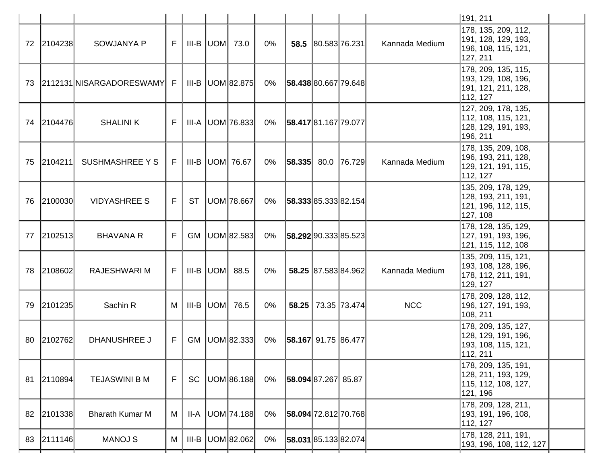|     |            |                            |    |           |                        |       |                          |                | 191, 211                                                                       |
|-----|------------|----------------------------|----|-----------|------------------------|-------|--------------------------|----------------|--------------------------------------------------------------------------------|
|     | 72 2104238 | <b>SOWJANYA P</b>          | F  |           | $III-B$ UOM $73.0$     | $0\%$ | 58.5 80.583 76.231       | Kannada Medium | 178, 135, 209, 112,<br>191, 128, 129, 193,<br>196, 108, 115, 121,<br>127, 211  |
| 73. |            | 2112131 NISARGADORESWAMY F |    |           | $III-B$ $ UOM 82.875 $ | 0%    | 58.438 80.667 79.648     |                | 178, 209, 135, 115,<br>193, 129, 108, 196,<br>191, 121, 211, 128,<br>112, 127  |
|     | 74 2104476 | <b>SHALINI K</b>           | F  |           | $III-A$ $ UOM 76.833 $ | 0%    | 58.417 81.167 79.077     |                | 127, 209, 178, 135,<br>112, 108, 115, 121,<br>128, 129, 191, 193,<br>196, 211  |
|     | 75 2104211 | <b>SUSHMASHREE Y S</b>     | F. |           | $III-B$ UOM 76.67      | 0%    | $ 58.335 $ 80.0   76.729 | Kannada Medium | 178, 135, 209, 108,<br>196, 193, 211, 128,<br>129, 121, 191, 115,<br>112, 127  |
|     | 76 2100030 | <b>VIDYASHREE S</b>        | F  | ST        | UOM 78.667             | 0%    | 58.333 85.333 82.154     |                | 135, 209, 178, 129,<br> 128, 193, 211, 191,<br>121, 196, 112, 115,<br>127, 108 |
| 77  | 2102513    | <b>BHAVANA R</b>           | F  | <b>GM</b> | UOM 82.583             | 0%    | 58.292 90.333 85.523     |                | 178, 128, 135, 129,<br>127, 191, 193, 196,<br>121, 115, 112, 108               |
| 78  | 2108602    | <b>RAJESHWARI M</b>        | F. |           | $III-B$ UOM $88.5$     | $0\%$ | 58.25 87.583 84.962      | Kannada Medium | 135, 209, 115, 121,<br>193, 108, 128, 196,<br>178, 112, 211, 191,<br>129, 127  |
| 79  | 2101235    | Sachin R                   | М  | III-B     | UOM  76.5              | $0\%$ | 58.25 73.35 73.474       | <b>NCC</b>     | 178, 209, 128, 112,<br>196, 127, 191, 193,<br>108, 211                         |
|     | 80 2102762 | <b>DHANUSHREE J</b>        | F. | <b>GM</b> | UOM 82.333             | 0%    | 58.167 91.75 86.477      |                | 178, 209, 135, 127,<br>128, 129, 191, 196,<br> 193, 108, 115, 121,<br>112, 211 |
| 81  | 2110894    | <b>TEJASWINI B M</b>       | F  | <b>SC</b> | UOM 86.188             | $0\%$ | 58.094 87.267 85.87      |                | 178, 209, 135, 191,<br>128, 211, 193, 129,<br>115, 112, 108, 127,<br>121, 196  |
| 82  | 2101338    | <b>Bharath Kumar M</b>     | M  | II-A      | UOM 74.188             | $0\%$ | 58.094 72.812 70.768     |                | 178, 209, 128, 211,<br>193, 191, 196, 108,<br>112, 127                         |
|     | 83 2111146 | <b>MANOJ S</b>             | M  | III-B     | UOM 82.062             | 0%    | 58.031 85.133 82.074     |                | 178, 128, 211, 191,<br>193, 196, 108, 112, 127                                 |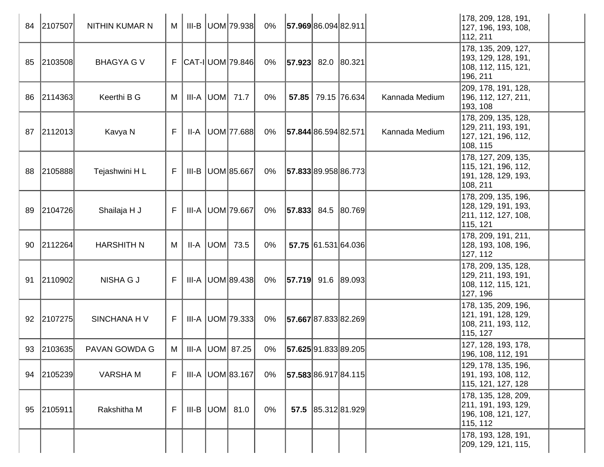| 84 | 2107507    | NITHIN KUMAR N    | M            |         | III-B UOM 79.938           | 0%    | 57.96986.09482.911         |                     |                | 178, 209, 128, 191,<br> 127, 196, 193, 108,<br>112, 211                        |
|----|------------|-------------------|--------------|---------|----------------------------|-------|----------------------------|---------------------|----------------|--------------------------------------------------------------------------------|
|    | 85 2103508 | <b>BHAGYA G V</b> |              |         | $F$ $ CAT - I $ UOM 79.846 | 0%    | $ 57.923 $ 82.0 $ 80.321 $ |                     |                | 178, 135, 209, 127,<br>193, 129, 128, 191,<br>108, 112, 115, 121,<br>196, 211  |
| 86 | 2114363    | Keerthi B G       | M            |         | $III-A$ UOM 71.7           | $0\%$ |                            | 57.85 79.15 76.634  | Kannada Medium | 209, 178, 191, 128,<br>196, 112, 127, 211,<br>193, 108                         |
|    | 87 2112013 | Kavya N           | $\mathsf{F}$ | II-A    | UOM 77.688                 | 0%    | 57.844 86.594 82.571       |                     | Kannada Medium | 178, 209, 135, 128,<br>129, 211, 193, 191,<br>127, 121, 196, 112,<br>108, 115  |
|    | 88 2105888 | Tejashwini HL     | F.           |         | III-B   UOM 85.667         | 0%    | 57.833 89.958 86.773       |                     |                | 178, 127, 209, 135,<br>115, 121, 196, 112,<br>191, 128, 129, 193,<br>108, 211  |
|    | 89 2104726 | Shailaja H J      | F            |         | III-A UOM 79.667           | 0%    | $ 57.833 $ 84.5 $ 80.769 $ |                     |                | 178, 209, 135, 196,<br> 128, 129, 191, 193,<br>211, 112, 127, 108,<br>115, 121 |
| 90 | 2112264    | <b>HARSHITH N</b> | M            | II-A    | $UOM$ 73.5                 | 0%    |                            | 57.75 61.531 64.036 |                | 178, 209, 191, 211,<br>128, 193, 108, 196,<br>127, 112                         |
| 91 | 2110902    | <b>NISHA G J</b>  | F            |         | $III-A$ UOM 89.438         | 0%    | $ 57.719 $ 91.6 89.093     |                     |                | 178, 209, 135, 128,<br>129, 211, 193, 191,<br>108, 112, 115, 121,<br>127, 196  |
|    | 92 2107275 | SINCHANA H V      | F.           |         | $III-A$ UOM 79.333         | 0%    | 57.667 87.833 82.269       |                     |                | 178, 135, 209, 196,<br> 121, 191, 128, 129,<br>108, 211, 193, 112,<br>115, 127 |
|    | 93 2103635 | PAVAN GOWDA G     | M            |         | III-A  UOM  87.25          | 0%    | 57.625 91.833 89.205       |                     |                | 127, 128, 193, 178,<br>196, 108, 112, 191                                      |
|    | 94 2105239 | <b>VARSHAM</b>    | F            | III-A   | UOM 83.167                 | 0%    | 57.583 86.917 84.115       |                     |                | 129, 178, 135, 196,<br>191, 193, 108, 112,<br>115, 121, 127, 128               |
|    | 95 2105911 | Rakshitha M       | F            | $III-B$ | UOM 81.0                   | 0%    |                            | 57.5 85.312 81.929  |                | 178, 135, 128, 209,<br>211, 191, 193, 129,<br>196, 108, 121, 127,<br>115, 112  |
|    |            |                   |              |         |                            |       |                            |                     |                | 178, 193, 128, 191,<br>209, 129, 121, 115,                                     |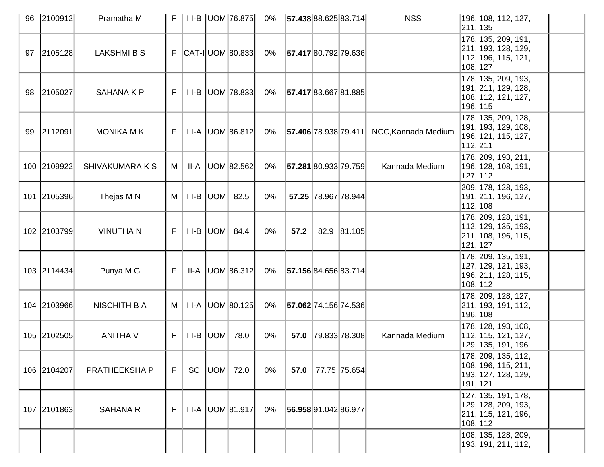| 96 | 2100912     | Pramatha M             | F  |       | $III-B$ UOM 76.875         | $0\%$ | 57.438 88.625 83.714 |                     | <b>NSS</b>          | 196, 108, 112, 127,<br>211, 135                                                 |
|----|-------------|------------------------|----|-------|----------------------------|-------|----------------------|---------------------|---------------------|---------------------------------------------------------------------------------|
| 97 | 2105128     | <b>LAKSHMI B S</b>     |    |       | $F$ $ CAT - I $ UOM 80.833 | 0%    | 57.417 80.792 79.636 |                     |                     | 178, 135, 209, 191,<br> 211, 193, 128, 129,<br>112, 196, 115, 121,<br>108, 127  |
| 98 | 2105027     | SAHANA K P             | F. |       | III-B UOM 78.833           | $0\%$ | 57.417 83.667 81.885 |                     |                     | 178, 135, 209, 193,<br>191, 211, 129, 128,<br>108, 112, 121, 127,<br>196, 115   |
| 99 | 2112091     | <b>MONIKA M K</b>      | F. |       | III-A UOM 86.812           | 0%    | 57.406 78.938 79.411 |                     | NCC, Kannada Medium | 178, 135, 209, 128,<br>191, 193, 129, 108,<br>196, 121, 115, 127,<br>112, 211   |
|    | 100 2109922 | <b>SHIVAKUMARA K S</b> | M  | II-A  | UOM 82.562                 | $0\%$ | 57.281 80.933 79.759 |                     | Kannada Medium      | 178, 209, 193, 211,<br>196, 128, 108, 191,<br>127, 112                          |
|    | 101 2105396 | Thejas M N             | M  | III-B | $UOM$ 82.5                 | 0%    |                      | 57.25 78.967 78.944 |                     | 209, 178, 128, 193,<br>191, 211, 196, 127,<br>112, 108                          |
|    | 102 2103799 | <b>VINUTHAN</b>        | F. |       | $III-B$ UOM $84.4$         | $0\%$ | 57.2                 | 82.9 81.105         |                     | 178, 209, 128, 191,<br>112, 129, 135, 193,<br>211, 108, 196, 115,<br>121, 127   |
|    | 103 2114434 | Punya M G              | F. | II-A  | UOM 86.312                 | 0%    | 57.156 84.656 83.714 |                     |                     | 178, 209, 135, 191,<br> 127, 129, 121, 193,<br>196, 211, 128, 115,<br>108, 112  |
|    | 104 2103966 | <b>NISCHITH B A</b>    | М  | III-A | UOM 80.125                 | 0%    | 57.062 74.156 74.536 |                     |                     | 178, 209, 128, 127,<br>211, 193, 191, 112,<br>196, 108                          |
|    | 105 2102505 | <b>ANITHA V</b>        | F. | III-B | $UOM$ 78.0                 | 0%    |                      | 57.0 79.833 78.308  | Kannada Medium      | 178, 128, 193, 108,<br>112, 115, 121, 127,<br>129, 135, 191, 196                |
|    | 106 2104207 | PRATHEEKSHA P          | F  | SC    | UOM  72.0                  | 0%    | 57.0                 | 77.75 75.654        |                     | 178, 209, 135, 112,<br> 108, 196, 115, 211,<br>193, 127, 128, 129,<br> 191, 121 |
|    | 107 2101863 | <b>SAHANA R</b>        | F. |       | III-A   UOM 81.917         | 0%    | 56.958 91.042 86.977 |                     |                     | 127, 135, 191, 178,<br> 129, 128, 209, 193,<br>211, 115, 121, 196,<br>108, 112  |
|    |             |                        |    |       |                            |       |                      |                     |                     | 108, 135, 128, 209,<br> 193, 191, 211, 112,                                     |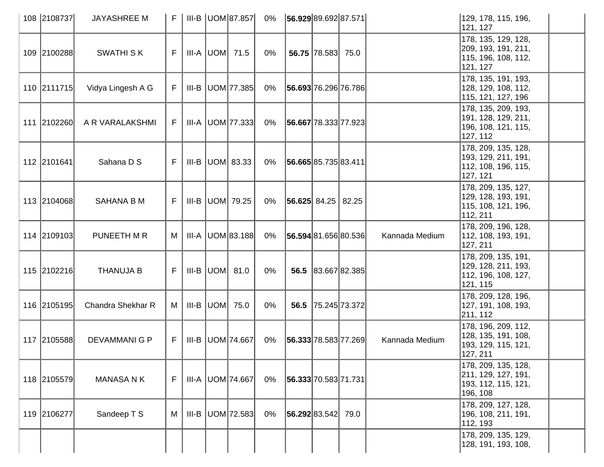| 108 2108737 | <b>JAYASHREE M</b>   | F  |       |     | III-B UOM 87.857        | 0%    | 56.929 89.692 87.571     |                   |                      |                | 129, 178, 115, 196,<br>121, 127                                                 |  |
|-------------|----------------------|----|-------|-----|-------------------------|-------|--------------------------|-------------------|----------------------|----------------|---------------------------------------------------------------------------------|--|
| 109 2100288 | <b>SWATHI SK</b>     | F  |       |     | $III-A$ UOM $71.5$      | $0\%$ |                          | 56.75 78.583 75.0 |                      |                | 178, 135, 129, 128,<br> 209, 193, 191, 211,<br>115, 196, 108, 112,<br>121, 127  |  |
| 110 2111715 | Vidya Lingesh A G    | F. | III-B |     | UOM 77.385              | 0%    | 56.693 76.296 76.786     |                   |                      |                | 178, 135, 191, 193,<br>128, 129, 108, 112,<br> 115, 121, 127, 196               |  |
| 111 2102260 | A R VARALAKSHMI      | F. |       |     | III-A UOM 77.333        | 0%    | 56.667 78.333 77.923     |                   |                      |                | 178, 135, 209, 193,<br> 191, 128, 129, 211,<br> 196, 108, 121, 115,<br>127, 112 |  |
| 112 2101641 | Sahana D S           | F  |       |     | $III-B$ UOM 83.33       | 0%    | 56.665 85.735 83.411     |                   |                      |                | 178, 209, 135, 128,<br> 193, 129, 211, 191,<br>112, 108, 196, 115,<br>127, 121  |  |
| 113 2104068 | SAHANA B M           | F. |       |     | III-B $ $ UOM $ $ 79.25 | 0%    | $ 56.625 $ 84.25   82.25 |                   |                      |                | 178, 209, 135, 127,<br> 129, 128, 193, 191,<br>115, 108, 121, 196,<br>112, 211  |  |
| 114 2109103 | PUNEETH M R          | М  |       |     | III-A   UOM 83.188      | $0\%$ |                          |                   | 56.594 81.656 80.536 | Kannada Medium | 178, 209, 196, 128,<br>112, 108, 193, 191,<br>127, 211                          |  |
| 115 2102216 | <b>THANUJA B</b>     | F. |       |     | $III-B$ UOM $81.0$      | $0\%$ |                          |                   | 56.5 83.667 82.385   |                | 178, 209, 135, 191,<br> 129, 128, 211, 193,<br>112, 196, 108, 127,<br>121, 115  |  |
| 116 2105195 | Chandra Shekhar R    | М  | III-B | UOM | 75.0                    | 0%    | 56.5                     |                   | 75.245 73.372        |                | 178, 209, 128, 196,<br> 127, 191, 108, 193,<br>211, 112                         |  |
| 117 2105588 | <b>DEVAMMANI G P</b> | F  |       |     | III-B   UOM   74.667    | 0%    |                          |                   | 56.333 78.583 77.269 | Kannada Medium | 178, 196, 209, 112,<br> 128, 135, 191, 108,<br> 193, 129, 115, 121,<br>127, 211 |  |
| 118 2105579 | <b>MANASA N K</b>    | F. |       |     | III-A UOM 74.667        | 0%    | 56.333 70.583 71.731     |                   |                      |                | 178, 209, 135, 128,<br>211, 129, 127, 191,<br>193, 112, 115, 121,<br> 196, 108  |  |
| 119 2106277 | Sandeep T S          | M  | III-B |     | UOM 72.583              | $0\%$ | 56.292 83.542            |                   | 79.0                 |                | 178, 209, 127, 128,<br>196, 108, 211, 191,<br>112, 193                          |  |
|             |                      |    |       |     |                         |       |                          |                   |                      |                | 178, 209, 135, 129,<br>128, 191, 193, 108,                                      |  |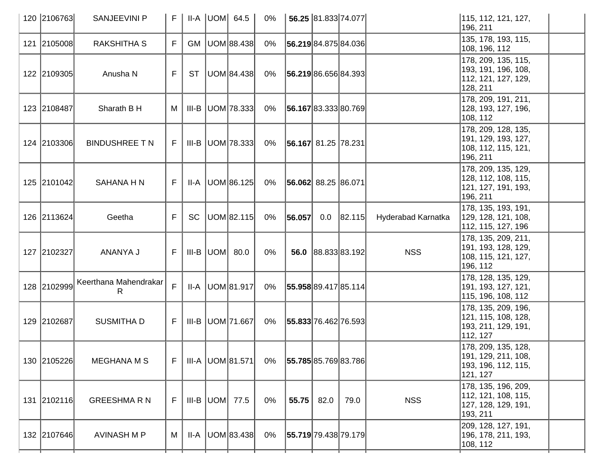| 120 2106763 | <b>SANJEEVINI P</b>         | F. |           | $II-A$ $UOM$ 64.5      | $0\%$ |                      | 56.25 81.833 74.077 |                    |                    | 115, 112, 121, 127,<br>196, 211                                                |
|-------------|-----------------------------|----|-----------|------------------------|-------|----------------------|---------------------|--------------------|--------------------|--------------------------------------------------------------------------------|
| 121 2105008 | <b>RAKSHITHA S</b>          | F  |           | GM   UOM 88.438        | 0%    | 56.219 84.875 84.036 |                     |                    |                    | 135, 178, 193, 115,<br>108, 196, 112                                           |
| 122 2109305 | Anusha N                    | F  | <b>ST</b> | UOM 84.438             | 0%    | 56.219 86.656 84.393 |                     |                    |                    | 178, 209, 135, 115,<br>193, 191, 196, 108,<br>112, 121, 127, 129,<br>128, 211  |
| 123 2108487 | Sharath B H                 | M  |           | $III-B$ UOM 78.333     | 0%    | 56.167 83.333 80.769 |                     |                    |                    | 178, 209, 191, 211,<br>128, 193, 127, 196,<br>108, 112                         |
| 124 2103306 | <b>BINDUSHREE T N</b>       | F. |           | $III-B$ UOM 78.333     | 0%    | 56.167 81.25 78.231  |                     |                    |                    | 178, 209, 128, 135,<br>191, 129, 193, 127,<br>108, 112, 115, 121,<br>196, 211  |
| 125 2101042 | <b>SAHANA H N</b>           | F. |           | $II-A$ UOM 86.125      | 0%    | 56.062 88.25 86.071  |                     |                    |                    | 178, 209, 135, 129,<br>128, 112, 108, 115,<br> 121, 127, 191, 193,<br>196, 211 |
| 126 2113624 | Geetha                      | F  | <b>SC</b> | UOM 82.115             | 0%    | 56.057               | 0.0                 | 82.115             | Hyderabad Karnatka | 178, 135, 193, 191,<br>129, 128, 121, 108,<br>112, 115, 127, 196               |
| 127 2102327 | ANANYA J                    | F  |           | $III-B$ $UOM$ 80.0     | $0\%$ |                      |                     | 56.0 88.833 83.192 | <b>NSS</b>         | 178, 135, 209, 211,<br> 191, 193, 128, 129,<br>108, 115, 121, 127,<br>196, 112 |
| 128 2102999 | Keerthana Mahendrakar<br>R. | F  |           | $II-A$ $ UOM 81.917 $  | 0%    | 55.958 89.417 85.114 |                     |                    |                    | 178, 128, 135, 129,<br> 191, 193, 127, 121,<br>115, 196, 108, 112              |
| 129 2102687 | <b>SUSMITHA D</b>           | F. |           | III-B   UOM   71.667   | 0%    | 55.833 76.462 76.593 |                     |                    |                    | 178, 135, 209, 196,<br>121, 115, 108, 128,<br> 193, 211, 129, 191,<br>112, 127 |
| 130 2105226 | <b>MEGHANA M S</b>          | F  |           | III-A UOM 81.571       | $0\%$ | 55.785 85.769 83.786 |                     |                    |                    | 178, 209, 135, 128,<br>191, 129, 211, 108,<br> 193, 196, 112, 115,<br>121, 127 |
| 131 2102116 | <b>GREESHMARN</b>           | F. |           | III-B $ $ UOM $ $ 77.5 | 0%    | 55.75                | 82.0                | 79.0               | <b>NSS</b>         | 178, 135, 196, 209,<br>112, 121, 108, 115,<br>127, 128, 129, 191,<br>193, 211  |
| 132 2107646 | AVINASH M P                 | M  |           | $II-A$ UOM 83.438      | 0%    | 55.719 79.438 79.179 |                     |                    |                    | 209, 128, 127, 191,<br>196, 178, 211, 193,<br>108, 112                         |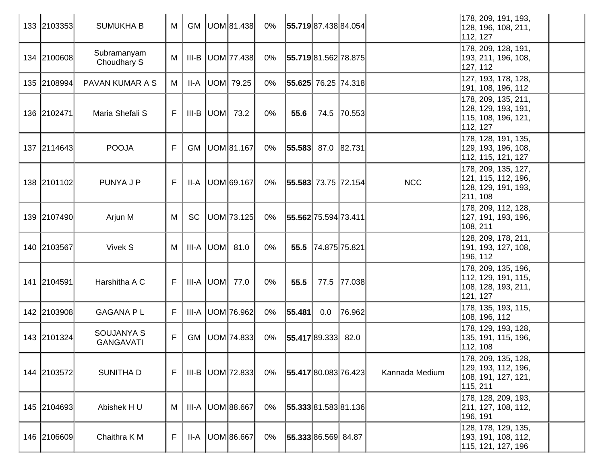| 133 2103353 | <b>SUMUKHA B</b>                      | M  | GM        | UOM 81.438              | 0%    | 55.719 87.438 84.054       |               |             |                | 178, 209, 191, 193,<br>128, 196, 108, 211,<br>112, 127                         |
|-------------|---------------------------------------|----|-----------|-------------------------|-------|----------------------------|---------------|-------------|----------------|--------------------------------------------------------------------------------|
| 134 2100608 | Subramanyam<br>Choudhary S            | M  | III-B     | UOM 77.438              | $0\%$ | 55.719 81.562 78.875       |               |             |                | 178, 209, 128, 191,<br>193, 211, 196, 108,<br>127, 112                         |
| 135 2108994 | PAVAN KUMAR A S                       | M  | II-A      | UOM 79.25               | 0%    | 55.625 76.25 74.318        |               |             |                | 127, 193, 178, 128,<br>191, 108, 196, 112                                      |
| 136 2102471 | Maria Shefali S                       | F  |           | III-B $ $ UOM $ $ 73.2  | 0%    | 55.6                       |               | 74.5 70.553 |                | 178, 209, 135, 211,<br>128, 129, 193, 191,<br>115, 108, 196, 121,<br>112, 127  |
| 137 2114643 | <b>POOJA</b>                          | F  | <b>GM</b> | UOM 81.167              | $0\%$ | $ 55.583 $ 87.0 $ 82.731 $ |               |             |                | 178, 128, 191, 135,<br>129, 193, 196, 108,<br>112, 115, 121, 127               |
| 138 2101102 | PUNYA J P                             | F. |           | $II-A$   UOM $ 69.167 $ | 0%    | 55.583 73.75 72.154        |               |             | <b>NCC</b>     | 178, 209, 135, 127,<br>121, 115, 112, 196,<br> 128, 129, 191, 193,<br>211, 108 |
| 139 2107490 | Arjun M                               | M  | <b>SC</b> | UOM 73.125              | $0\%$ | 55.562 75.594 73.411       |               |             |                | 178, 209, 112, 128,<br> 127, 191, 193, 196,<br>108, 211                        |
| 140 2103567 | Vivek S                               | M  |           | $III-A$ $UOM$ 81.0      | $0\%$ | 55.5                       | 74.875 75.821 |             |                | 128, 209, 178, 211,<br>191, 193, 127, 108,<br>196, 112                         |
| 141 2104591 | Harshitha A C                         | F. |           | $III-A$ $UOM$ 77.0      | 0%    | 55.5                       |               | 77.5 77.038 |                | 178, 209, 135, 196,<br>112, 129, 191, 115,<br>108, 128, 193, 211,<br>121, 127  |
| 142 2103908 | <b>GAGANA PL</b>                      | F  | III-A     | UOM 76.962              | 0%    | 55.481                     | 0.0           | 76.962      |                | 178, 135, 193, 115,<br>108, 196, 112                                           |
| 143 2101324 | <b>SOUJANYA S</b><br><b>GANGAVATI</b> | F  | GM        | UOM 74.833              | $0\%$ | 55.417 89.333 82.0         |               |             |                | 178, 129, 193, 128,<br>135, 191, 115, 196,<br>112, 108                         |
| 144 2103572 | <b>SUNITHAD</b>                       | F  |           | $III-B$ UOM 72.833      | $0\%$ | 55.417 80.083 76.423       |               |             | Kannada Medium | 178, 209, 135, 128,<br>129, 193, 112, 196,<br> 108, 191, 127, 121,<br>115, 211 |
| 145 2104693 | Abishek HU                            | M  | III-A     | UOM 88.667              | $0\%$ | 55.333 81.583 81.136       |               |             |                | 178, 128, 209, 193,<br>211, 127, 108, 112,<br>196, 191                         |
| 146 2106609 | Chaithra K M                          | F  |           | II-A   UOM 86.667       | $0\%$ | 55.333 86.569 84.87        |               |             |                | 128, 178, 129, 135,<br> 193, 191, 108, 112,<br>115, 121, 127, 196              |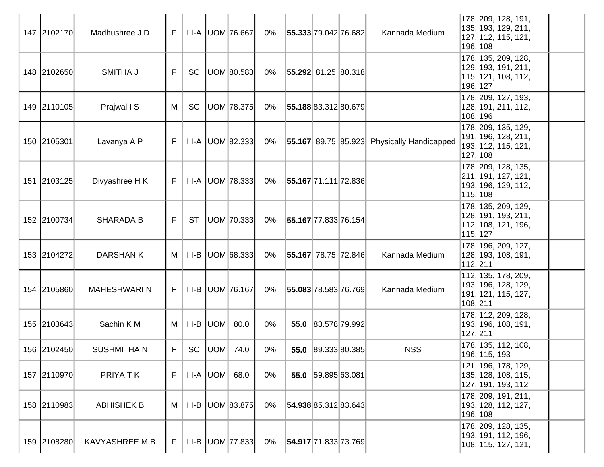| 147 2102170 | Madhushree J D        | F. |           | III-A UOM 76.667     | 0%    | 55.333 79.042 76.682        |                    | Kannada Medium                                    | 178, 209, 128, 191,<br>135, 193, 129, 211,<br>127, 112, 115, 121,<br>196, 108  |  |
|-------------|-----------------------|----|-----------|----------------------|-------|-----------------------------|--------------------|---------------------------------------------------|--------------------------------------------------------------------------------|--|
| 148 2102650 | SMITHA J              | F  | <b>SC</b> | UOM 80.583           | 0%    | $ 55.292 $ 81.25 $ 80.318 $ |                    |                                                   | 178, 135, 209, 128,<br>129, 193, 191, 211,<br>115, 121, 108, 112,<br>196, 127  |  |
| 149 2110105 | Prajwal I S           | M  | <b>SC</b> | UOM 78.375           | 0%    | 55.188 83.312 80.679        |                    |                                                   | 178, 209, 127, 193,<br>128, 191, 211, 112,<br>108, 196                         |  |
| 150 2105301 | Lavanya A P           | F. |           | $III-A$ UOM 82.333   | 0%    |                             |                    | <b>55.167</b> 89.75 85.923 Physically Handicapped | 178, 209, 135, 129,<br> 191, 196, 128, 211,<br>193, 112, 115, 121,<br>127, 108 |  |
| 151 2103125 | Divyashree H K        | F  |           | $III-A$ UOM 78.333   | 0%    | 55.167 71.111 72.836        |                    |                                                   | 178, 209, 128, 135,<br>211, 191, 127, 121,<br>193, 196, 129, 112,<br>115, 108  |  |
| 152 2100734 | <b>SHARADA B</b>      | F  | <b>ST</b> | UOM 70.333           | 0%    | 55.167 77.833 76.154        |                    |                                                   | 178, 135, 209, 129,<br>128, 191, 193, 211,<br>112, 108, 121, 196,<br>115, 127  |  |
| 153 2104272 | <b>DARSHANK</b>       | M  |           | $III-B$ UOM 68.333   | $0\%$ | 55.167 78.75 72.846         |                    | Kannada Medium                                    | 178, 196, 209, 127,<br>128, 193, 108, 191,<br>112, 211                         |  |
| 154 2105860 | <b>MAHESHWARIN</b>    | F  |           | III-B   UOM   76.167 | 0%    | 55.083 78.583 76.769        |                    | Kannada Medium                                    | 112, 135, 178, 209,<br>193, 196, 128, 129,<br>191, 121, 115, 127,<br>108, 211  |  |
| 155 2103643 | Sachin K M            | M  |           | $III-B$ $UOM$ 80.0   | $0\%$ | 55.0                        | 83.578 79.992      |                                                   | 178, 112, 209, 128,<br> 193, 196, 108, 191,<br>127, 211                        |  |
| 156 2102450 | <b>SUSHMITHAN</b>     | F. |           | SC   UOM   74.0      | 0%    |                             | 55.0 89.333 80.385 | <b>NSS</b>                                        | 178, 135, 112, 108,<br>196, 115, 193                                           |  |
| 157 2110970 | PRIYA TK              | F  |           | $III-A$ $UOM$ 68.0   | 0%    |                             | 55.0 59.895 63.081 |                                                   | 121, 196, 178, 129,<br>135, 128, 108, 115,<br> 127, 191, 193, 112              |  |
| 158 2110983 | <b>ABHISHEK B</b>     | M  | III-B     | UOM 83.875           | $0\%$ | 54.938 85.312 83.643        |                    |                                                   | 178, 209, 191, 211,<br>193, 128, 112, 127,<br>196, 108                         |  |
| 159 2108280 | <b>KAVYASHREE M B</b> | F  |           | III-B   UOM   77.833 | 0%    | 54.917 71.833 73.769        |                    |                                                   | 178, 209, 128, 135,<br> 193, 191, 112, 196,<br>108, 115, 127, 121,             |  |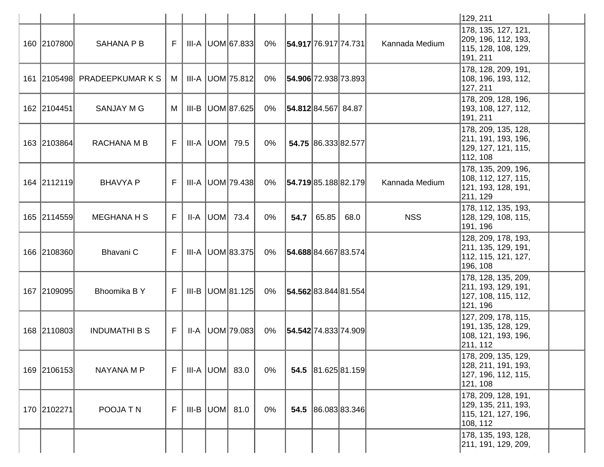|             |                              |    |      |                      |       |                      |       |                     |                | 129, 211                                                                       |  |
|-------------|------------------------------|----|------|----------------------|-------|----------------------|-------|---------------------|----------------|--------------------------------------------------------------------------------|--|
| 160 2107800 | <b>SAHANA P B</b>            | F. |      | III-A UOM 67.833     | 0%    | 54.917 76.917 74.731 |       |                     | Kannada Medium | 178, 135, 127, 121,<br>209, 196, 112, 193,<br>115, 128, 108, 129,<br>191, 211  |  |
|             | 161 2105498 PRADEEPKUMAR K S | M  |      | III-A UOM 75.812     | 0%    | 54.906 72.938 73.893 |       |                     |                | 178, 128, 209, 191,<br>108, 196, 193, 112,<br>127, 211                         |  |
| 162 2104451 | <b>SANJAY M G</b>            | М  |      | $III-B$ UOM 87.625   | 0%    | 54.812 84.567 84.87  |       |                     |                | 178, 209, 128, 196,<br>193, 108, 127, 112,<br>191, 211                         |  |
| 163 2103864 | RACHANA M B                  | F. |      | III-A UOM 79.5       | $0\%$ |                      |       | 54.75 86.333 82.577 |                | 178, 209, 135, 128,<br>211, 191, 193, 196,<br>129, 127, 121, 115,<br>112, 108  |  |
| 164 2112119 | <b>BHAVYA P</b>              | F. |      | III-A UOM 79.438     | 0%    | 54.719 85.188 82.179 |       |                     | Kannada Medium | 178, 135, 209, 196,<br>108, 112, 127, 115,<br>121, 193, 128, 191,<br>211, 129  |  |
| 165 2114559 | <b>MEGHANA H S</b>           | F. | II-A | UOM 73.4             | $0\%$ | 54.7                 | 65.85 | 68.0                | <b>NSS</b>     | 178, 112, 135, 193,<br>128, 129, 108, 115,<br>191, 196                         |  |
| 166 2108360 | Bhavani C                    | F. |      | III-A   UOM 83.375   | 0%    | 54.688 84.667 83.574 |       |                     |                | 128, 209, 178, 193,<br>211, 135, 129, 191,<br>112, 115, 121, 127,<br>196, 108  |  |
| 167 2109095 | Bhoomika BY                  | F. |      | $III-B$ UOM 81.125   | 0%    | 54.562 83.844 81.554 |       |                     |                | 178, 128, 135, 209,<br>211, 193, 129, 191,<br>127, 108, 115, 112,<br>121, 196  |  |
| 168 2110803 | <b>INDUMATHI B S</b>         | F. |      | $II-A$  UOM   79.083 | 0%    | 54.542 74.833 74.909 |       |                     |                | 127, 209, 178, 115,<br>191, 135, 128, 129,<br>108, 121, 193, 196,<br>211, 112  |  |
| 169 2106153 | NAYANA M P                   | F. |      | III-A  UOM  83.0     | $0\%$ |                      |       | 54.5 81.625 81.159  |                | 178, 209, 135, 129,<br> 128, 211, 191, 193,<br>127, 196, 112, 115,<br>121, 108 |  |
| 170 2102271 | POOJA TN                     | F. |      | $III-B$ UOM $81.0$   | 0%    |                      |       | 54.5 86.083 83.346  |                | 178, 209, 128, 191,<br>129, 135, 211, 193,<br>115, 121, 127, 196,<br>108, 112  |  |
|             |                              |    |      |                      |       |                      |       |                     |                | 178, 135, 193, 128,<br>211, 191, 129, 209,                                     |  |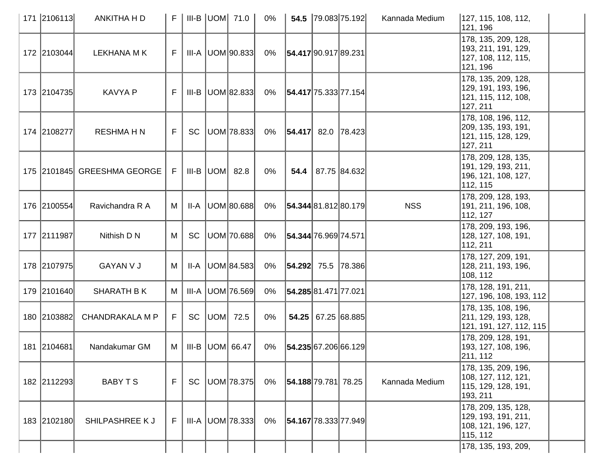| 171 2106113 | ANKITHA H D                 | F I            |           | <b>III-B UOM 71.0</b>   | 0%    |                          | 54.5 79.083 75.192 | Kannada Medium | 127, 115, 108, 112,<br>121, 196                                                |  |
|-------------|-----------------------------|----------------|-----------|-------------------------|-------|--------------------------|--------------------|----------------|--------------------------------------------------------------------------------|--|
| 172 2103044 | <b>LEKHANA MK</b>           | F.             |           | $III-A$ $ UOM 90.833 $  | 0%    | 54.417 90.917 89.231     |                    |                | 178, 135, 209, 128,<br>193, 211, 191, 129,<br>127, 108, 112, 115,<br>121, 196  |  |
| 173 2104735 | <b>KAVYA P</b>              | F              |           | $III-B$ UOM 82.833      | 0%    | 54.417 75.333 77.154     |                    |                | 178, 135, 209, 128,<br> 129, 191, 193, 196,<br>121, 115, 112, 108,<br>127, 211 |  |
| 174 2108277 | <b>RESHMAHN</b>             | F              |           | SC   UOM   78.833       | 0%    | $ 54.417 $ 82.0   78.423 |                    |                | 178, 108, 196, 112,<br>209, 135, 193, 191,<br>121, 115, 128, 129,<br>127, 211  |  |
|             | 175 2101845 GREESHMA GEORGE | F <sub>1</sub> |           | III-B $ $ UOM $ $ 82.8  | 0%    | 54.4                     | 87.75 84.632       |                | 178, 209, 128, 135,<br>191, 129, 193, 211,<br>196, 121, 108, 127,<br>112, 115  |  |
| 176 2100554 | Ravichandra R A             | M              | II-A      | UOM 80.688              | 0%    | 54.344 81.812 80.179     |                    | <b>NSS</b>     | 178, 209, 128, 193,<br>191, 211, 196, 108,<br>112, 127                         |  |
| 177 2111987 | Nithish D N                 | М              | <b>SC</b> | UOM 70.688              | 0%    | 54.344 76.969 74.571     |                    |                | 178, 209, 193, 196,<br>128, 127, 108, 191,<br>112, 211                         |  |
| 178 2107975 | <b>GAYAN V J</b>            | M              |           | $II-A$   UOM $ 84.583 $ | 0%    | $ 54.292 $ 75.5   78.386 |                    |                | 178, 127, 209, 191,<br>128, 211, 193, 196,<br>108, 112                         |  |
| 179 2101640 | <b>SHARATH BK</b>           | M              | III-A     | UOM 76.569              | $0\%$ | 54.285 81.471 77.021     |                    |                | 178, 128, 191, 211,<br>127, 196, 108, 193, 112                                 |  |
| 180 2103882 | <b>CHANDRAKALA M P</b>      | F              | SC        | UOM  72.5               | $0\%$ |                          | 54.25 67.25 68.885 |                | 178, 135, 108, 196,<br>211, 129, 193, 128,<br>121, 191, 127, 112, 115          |  |
| 181 2104681 | Nandakumar GM               |                |           | $M$   III-B   UOM 66.47 | 0%    | 54.235 67.206 66.129     |                    |                | 178, 209, 128, 191,<br>193, 127, 108, 196,<br> 211, 112                        |  |
| 182 2112293 | BABY T S                    | F              | SC        | UOM 78.375              | 0%    | 54.188 79.781 78.25      |                    | Kannada Medium | 178, 135, 209, 196,<br>108, 127, 112, 121,<br>115, 129, 128, 191,<br>193, 211  |  |
| 183 2102180 | SHILPASHREE K J             | F              |           | III-A   UOM   78.333    | 0%    | 54.167 78.333 77.949     |                    |                | 178, 209, 135, 128,<br> 129, 193, 191, 211,<br>108, 121, 196, 127,<br>115, 112 |  |
|             |                             |                |           |                         |       |                          |                    |                | 178, 135, 193, 209,                                                            |  |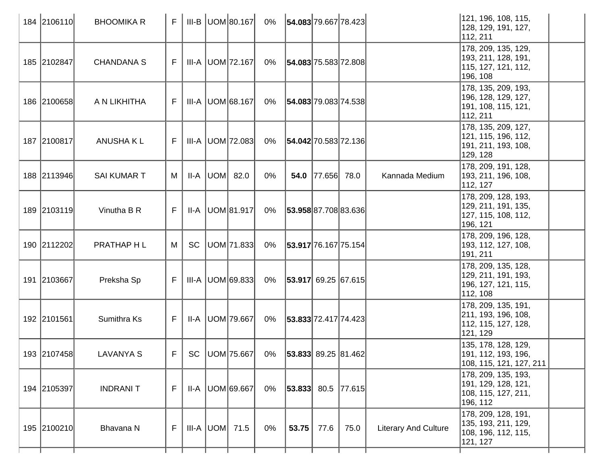| 184 2106110 | <b>BHOOMIKA R</b>  | FI        |           | $III-B$ UOM 80.167   | 0% | 54.083 79.667 78.423                        |                  |      |                             | 121, 196, 108, 115,<br>128, 129, 191, 127,<br>112, 211                         |
|-------------|--------------------|-----------|-----------|----------------------|----|---------------------------------------------|------------------|------|-----------------------------|--------------------------------------------------------------------------------|
| 185 2102847 | <b>CHANDANA S</b>  | F.        |           | III-A   UOM   72.167 | 0% | 54.083 75.583 72.808                        |                  |      |                             | 178, 209, 135, 129,<br>193, 211, 128, 191,<br>115, 127, 121, 112,<br>196, 108  |
| 186 2100658 | A N LIKHITHA       | F.        |           | III-A   UOM 68.167   | 0% | 54.083 79.083 74.538                        |                  |      |                             | 178, 135, 209, 193,<br> 196, 128, 129, 127,<br>191, 108, 115, 121,<br>112, 211 |
| 187 2100817 | <b>ANUSHAKL</b>    | F.        |           | III-A UOM 72.083     | 0% | 54.042 70.583 72.136                        |                  |      |                             | 178, 135, 209, 127,<br>121, 115, 196, 112,<br> 191, 211, 193, 108,<br>129, 128 |
| 188 2113946 | <b>SAI KUMAR T</b> | M         |           | $II-A$ UOM 82.0      | 0% |                                             | 54.0 77.656 78.0 |      | Kannada Medium              | 178, 209, 191, 128,<br>193, 211, 196, 108,<br>112, 127                         |
| 189 2103119 | Vinutha B R        | F.        |           | $II-A$ UOM 81.917    | 0% | 53.958 87.708 83.636                        |                  |      |                             | 178, 209, 128, 193,<br>129, 211, 191, 135,<br>127, 115, 108, 112,<br> 196, 121 |
| 190 2112202 | PRATHAP H L        | M         | <b>SC</b> | UOM 71.833           | 0% | 53.917 76.167 75.154                        |                  |      |                             | 178, 209, 196, 128,<br>193, 112, 127, 108,<br>191, 211                         |
| 191 2103667 | Preksha Sp         | F         |           | $III-A$ UOM 69.833   | 0% | $ 53.917 $ 69.25 67.615                     |                  |      |                             | 178, 209, 135, 128,<br> 129, 211, 191, 193,<br>196, 127, 121, 115,<br>112, 108 |
| 192 2101561 | Sumithra Ks        | F.        |           | II-A   UOM   79.667  | 0% | 53.833 72.417 74.423                        |                  |      |                             | 178, 209, 135, 191,<br>211, 193, 196, 108,<br>112, 115, 127, 128,<br>121, 129  |
| 193 2107458 | <b>LAVANYA S</b>   | $F \perp$ |           |                      |    | SC  UOM 75.667  0%   53.833  89.25   81.462 |                  |      |                             | 135, 178, 128, 129,<br>191, 112, 193, 196,<br>108, 115, 121, 127, 211          |
| 194 2105397 | <b>INDRANIT</b>    | F         |           | II-A   UOM 69.667    | 0% | $ 53.833 $ 80.5   77.615                    |                  |      |                             | 178, 209, 135, 193,<br> 191, 129, 128, 121,<br>108, 115, 127, 211,<br>196, 112 |
| 195 2100210 | Bhavana N          | F         |           | $III-A$ UOM 71.5     | 0% |                                             | $53.75$ 77.6     | 75.0 | <b>Literary And Culture</b> | 178, 209, 128, 191,<br>135, 193, 211, 129,<br>108, 196, 112, 115,<br>121, 127  |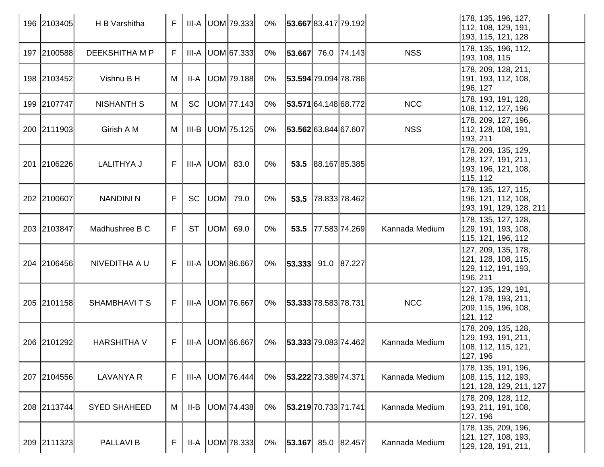| 196 2103405 | H B Varshitha       | F  |           |                    | $III-A$ UOM 79.333   | 0%    | 53.667 83.417 79.192       |                    |                | 178, 135, 196, 127,<br>112, 108, 129, 191,<br> 193, 115, 121, 128               |  |
|-------------|---------------------|----|-----------|--------------------|----------------------|-------|----------------------------|--------------------|----------------|---------------------------------------------------------------------------------|--|
| 197 2100588 | DEEKSHITHA M P      | F  | III-A     |                    | UOM 67.333           | 0%    | 53.667                     | 76.0 74.143        | <b>NSS</b>     | 178, 135, 196, 112,<br>193, 108, 115                                            |  |
| 198 2103452 | Vishnu B H          | M  | II-A      |                    | UOM 79.188           | 0%    | 53.594 79.094 78.786       |                    |                | 178, 209, 128, 211,<br>191, 193, 112, 108,<br> 196, 127                         |  |
| 199 2107747 | <b>NISHANTH S</b>   | M  | <b>SC</b> |                    | UOM 77.143           | 0%    | 53.571 64.148 68.772       |                    | <b>NCC</b>     | 178, 193, 191, 128,<br>108, 112, 127, 196                                       |  |
| 200 2111903 | Girish A M          | M  | III-B     |                    | UOM 75.125           | 0%    | 53.562 63.844 67.607       |                    | <b>NSS</b>     | 178, 209, 127, 196,<br>112, 128, 108, 191,<br>193, 211                          |  |
| 201 2106226 | <b>LALITHYA J</b>   | F  |           | $III-A$ $UOM$ 83.0 |                      | $0\%$ |                            | 53.5 88.167 85.385 |                | 178, 209, 135, 129,<br>128, 127, 191, 211,<br> 193, 196, 121, 108,<br>115, 112  |  |
| 202 2100607 | <b>NANDINI N</b>    | F  | <b>SC</b> | UOM                | 79.0                 | $0\%$ | 53.5                       | 78.833 78.462      |                | 178, 135, 127, 115,<br>196, 121, 112, 108,<br> 193, 191, 129, 128, 211          |  |
| 203 2103847 | Madhushree B C      | F  | <b>ST</b> |                    | $UOM$ 69.0           | 0%    | 53.5                       | 77.583 74.269      | Kannada Medium | 178, 135, 127, 128,<br>129, 191, 193, 108,<br>115, 121, 196, 112                |  |
| 204 2106456 | NIVEDITHA A U       | F  | III-A     |                    | UOM 86.667           | 0%    | $ 53.333 $ 91.0 $ 87.227 $ |                    |                | 127, 209, 135, 178,<br>121, 128, 108, 115,<br> 129, 112, 191, 193,<br> 196, 211 |  |
| 205 2101158 | <b>SHAMBHAVITS</b>  | F. |           |                    | III-A   UOM   76.667 | 0%    | 53.333 78.583 78.731       |                    | <b>NCC</b>     | 127, 135, 129, 191,<br>128, 178, 193, 211,<br>209, 115, 196, 108,<br>121, 112   |  |
| 206 2101292 | <b>HARSHITHA V</b>  | F  | III-A     |                    | UOM 66.667           | 0%    | 53.333 79.083 74.462       |                    | Kannada Medium | 178, 209, 135, 128,<br> 129, 193, 191, 211,<br>108, 112, 115, 121,<br>127, 196  |  |
| 207 2104556 | <b>LAVANYA R</b>    | F  | III-A     |                    | UOM 76.444           | $0\%$ | 53.222 73.389 74.371       |                    | Kannada Medium | 178, 135, 191, 196,<br>108, 115, 112, 193,<br>121, 128, 129, 211, 127           |  |
| 208 2113744 | <b>SYED SHAHEED</b> | М  | II-B      |                    | UOM 74.438           | $0\%$ | 53.219 70.733 71.741       |                    | Kannada Medium | 178, 209, 128, 112,<br>193, 211, 191, 108,<br>127, 196                          |  |
| 209 2111323 | <b>PALLAVIB</b>     | F  | II-A      |                    | UOM 78.333           | 0%    | $ 53.167 $ 85.0 $ 82.457 $ |                    | Kannada Medium | 178, 135, 209, 196,<br>121, 127, 108, 193,<br>129, 128, 191, 211,               |  |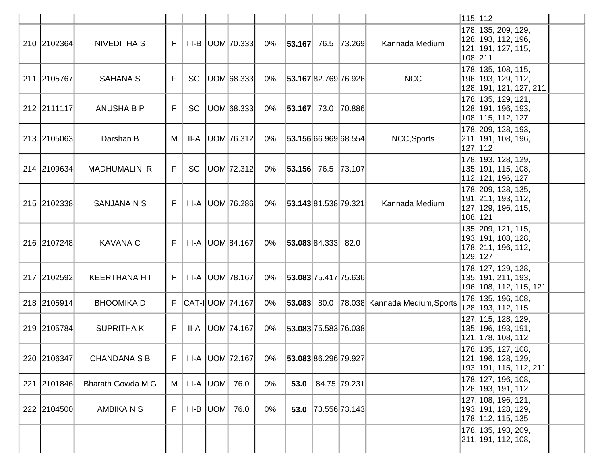|             |                          |    |           |                          |       |                          |                    |                                    | 115, 112                                                                      |  |
|-------------|--------------------------|----|-----------|--------------------------|-------|--------------------------|--------------------|------------------------------------|-------------------------------------------------------------------------------|--|
| 210 2102364 | <b>NIVEDITHA S</b>       | F. |           | $III-B$ UOM 70.333       | 0%    | $ 53.167 $ 76.5   73.269 |                    | Kannada Medium                     | 178, 135, 209, 129,<br>128, 193, 112, 196,<br>121, 191, 127, 115,<br>108, 211 |  |
| 211 2105767 | <b>SAHANA S</b>          | F  | <b>SC</b> | UOM 68.333               | 0%    | 53.16782.76976.926       |                    | <b>NCC</b>                         | 178, 135, 108, 115,<br>196, 193, 129, 112,<br>128, 191, 121, 127, 211         |  |
| 212 2111117 | <b>ANUSHA B P</b>        | F  | <b>SC</b> | UOM 68.333               | $0\%$ | $ 53.167 $ 73.0 70.886   |                    |                                    | 178, 135, 129, 121,<br>128, 191, 196, 193,<br>108, 115, 112, 127              |  |
| 213 2105063 | Darshan B                | M  | II-A      | UOM 76.312               | $0\%$ | 53.156 66.969 68.554     |                    | NCC, Sports                        | 178, 209, 128, 193,<br>211, 191, 108, 196,<br>127, 112                        |  |
| 214 2109634 | <b>MADHUMALINI R</b>     | F. | SC        | UOM 72.312               | 0%    | $ 53.156 $ 76.5   73.107 |                    |                                    | 178, 193, 128, 129,<br>135, 191, 115, 108,<br>112, 121, 196, 127              |  |
| 215 2102338 | <b>SANJANA N S</b>       | F  |           | III-A   UOM   76.286     | $0\%$ | 53.143 81.538 79.321     |                    | Kannada Medium                     | 178, 209, 128, 135,<br>191, 211, 193, 112,<br>127, 129, 196, 115,<br>108, 121 |  |
| 216 2107248 | <b>KAVANA C</b>          | F. |           | III-A   UOM 84.167       | 0%    | 53.083 84.333            | 82.0               |                                    | 135, 209, 121, 115,<br>193, 191, 108, 128,<br>178, 211, 196, 112,<br>129, 127 |  |
| 217 2102592 | <b>KEERTHANA HI</b>      | F. |           | III-A   UOM   78.167     | $0\%$ | 53.083 75.417 75.636     |                    |                                    | 178, 127, 129, 128,<br>135, 191, 211, 193,<br>196, 108, 112, 115, 121         |  |
| 218 2105914 | <b>BHOOMIKA D</b>        |    |           | F   CAT-I   UOM   74.167 | $0\%$ | 53.083                   |                    | 80.0 78.038 Kannada Medium, Sports | 178, 135, 196, 108,<br>128, 193, 112, 115                                     |  |
| 219 2105784 | <b>SUPRITHAK</b>         | F. | II-A      | UOM 74.167               | $0\%$ | 53.083 75.583 76.038     |                    |                                    | 127, 115, 128, 129,<br>135, 196, 193, 191,<br>121, 178, 108, 112              |  |
| 220 2106347 | <b>CHANDANA S B</b>      | F. |           | III-A   UOM   72.167     | 0%    | 53.08386.29679.927       |                    |                                    | 178, 135, 127, 108,<br> 121, 196, 128, 129,<br> 193, 191, 115, 112, 211       |  |
| 221 2101846 | <b>Bharath Gowda M G</b> | M  |           | $III-A$ UOM $76.0$       | 0%    | 53.0                     | 84.75 79.231       |                                    | 178, 127, 196, 108,<br>128, 193, 191, 112                                     |  |
| 222 2104500 | <b>AMBIKA N S</b>        | F  |           | $III-B$ UOM $76.0$       | 0%    |                          | 53.0 73.556 73.143 |                                    | 127, 108, 196, 121,<br> 193, 191, 128, 129,<br>178, 112, 115, 135             |  |
|             |                          |    |           |                          |       |                          |                    |                                    | 178, 135, 193, 209,<br>211, 191, 112, 108,                                    |  |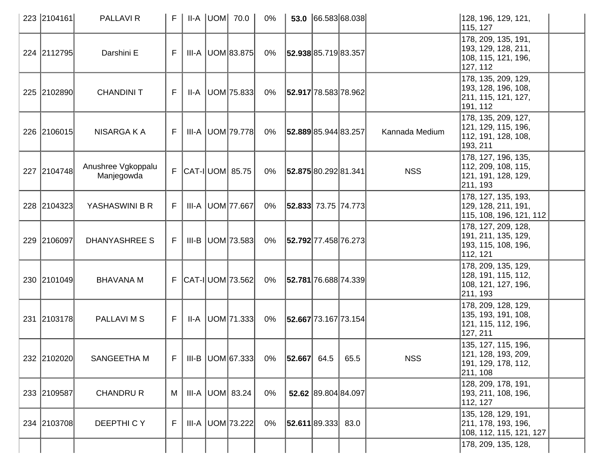| 223 2104161 | <b>PALLAVIR</b>                  | F  |  | II-A  UOM  70.0            | $0\%$ |                           | $\vert 53.0 \vert \vert 66.583 \vert 68.038 \vert$ |                | 128, 196, 129, 121,<br>115, 127                                                |  |
|-------------|----------------------------------|----|--|----------------------------|-------|---------------------------|----------------------------------------------------|----------------|--------------------------------------------------------------------------------|--|
| 224 2112795 | Darshini E                       | F  |  | $III-A$ $ UOM 83.875 $     | 0%    | 52.938 85.719 83.357      |                                                    |                | 178, 209, 135, 191,<br>193, 129, 128, 211,<br>108, 115, 121, 196,<br>127, 112  |  |
| 225 2102890 | <b>CHANDINI T</b>                | F  |  | $II-A$ UOM 75.833          | 0%    | 52.917 78.583 78.962      |                                                    |                | 178, 135, 209, 129,<br>193, 128, 196, 108,<br>211, 115, 121, 127,<br>191, 112  |  |
| 226 2106015 | NISARGA K A                      | F  |  | III-A   UOM   79.778       | 0%    | 52.889 85.944 83.257      |                                                    | Kannada Medium | 178, 135, 209, 127,<br>121, 129, 115, 196,<br>112, 191, 128, 108,<br>193, 211  |  |
| 227 2104748 | Anushree Vgkoppalu<br>Manjegowda |    |  | $F$ CAT-I UOM 85.75        | 0%    | 52.875 80.292 81.341      |                                                    | <b>NSS</b>     | 178, 127, 196, 135,<br>112, 209, 108, 115,<br>121, 191, 128, 129,<br>211, 193  |  |
| 228 2104323 | YASHASWINI B R                   | F  |  | III-A   UOM   77.667       | 0%    | $ 52.833 $ 73.75   74.773 |                                                    |                | 178, 127, 135, 193,<br> 129, 128, 211, 191,<br>115, 108, 196, 121, 112         |  |
| 229 2106097 | DHANYASHREE S                    | F. |  | $III-B$ UOM 73.583         | 0%    | 52.792 77.458 76.273      |                                                    |                | 178, 127, 209, 128,<br>191, 211, 135, 129,<br>193, 115, 108, 196,<br>112, 121  |  |
| 230 2101049 | <b>BHAVANA M</b>                 |    |  | $F$ $ CAT - I $ UOM 73.562 | 0%    | 52.781 76.688 74.339      |                                                    |                | 178, 209, 135, 129,<br> 128, 191, 115, 112,<br>108, 121, 127, 196,<br>211, 193 |  |
| 231 2103178 | PALLAVI M S                      | F. |  | $II-A$ UOM 71.333          | 0%    | 52.667 73.167 73.154      |                                                    |                | 178, 209, 128, 129,<br>135, 193, 191, 108,<br>121, 115, 112, 196,<br>127, 211  |  |
| 232 2102020 | SANGEETHA M                      | F. |  | $III-B$ UOM 67.333         | 0%    | $ 52.667 $ 64.5           | 65.5                                               | <b>NSS</b>     | 135, 127, 115, 196,<br>121, 128, 193, 209,<br> 191, 129, 178, 112,<br>211, 108 |  |
| 233 2109587 | <b>CHANDRU R</b>                 | M  |  | $III-A$ $ UOM $ 83.24      | $0\%$ |                           | 52.62 89.804 84.097                                |                | 128, 209, 178, 191,<br> 193, 211, 108, 196,<br>112, 127                        |  |
| 234 2103708 | DEEPTHICY                        | F  |  | III-A   UOM   73.222       | $0\%$ | 52.611 89.333 83.0        |                                                    |                | 135, 128, 129, 191,<br> 211, 178, 193, 196,<br>108, 112, 115, 121, 127         |  |
|             |                                  |    |  |                            |       |                           |                                                    |                | 178, 209, 135, 128,                                                            |  |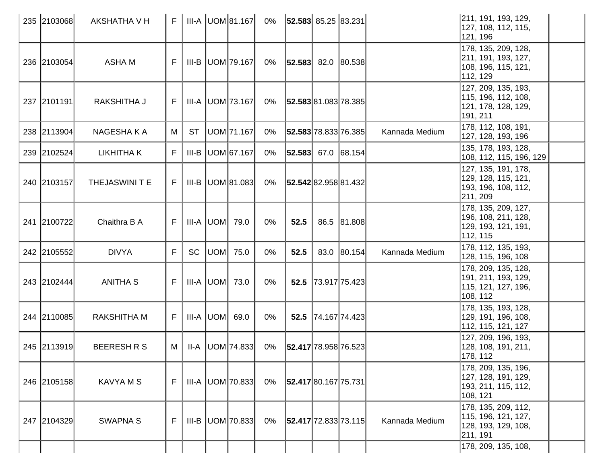| 235 2103068 | AKSHATHA V H       | F  |           | <b>III-A UOM 81.167</b> | 0%    | $ 52.583 $ 85.25 83.231 |      |                    |                | 211, 191, 193, 129,<br>127, 108, 112, 115,<br>121, 196                        |  |
|-------------|--------------------|----|-----------|-------------------------|-------|-------------------------|------|--------------------|----------------|-------------------------------------------------------------------------------|--|
| 236 2103054 | <b>ASHAM</b>       | F  |           | $III-B$ UOM 79.167      | 0%    | $ 52.583 $ 82.0 80.538  |      |                    |                | 178, 135, 209, 128,<br>211, 191, 193, 127,<br>108, 196, 115, 121,<br>112, 129 |  |
| 237 2101191 | RAKSHITHA J        | F. |           | III-A   UOM   73.167    | 0%    | 52.583 81.083 78.385    |      |                    |                | 127, 209, 135, 193,<br>115, 196, 112, 108,<br>121, 178, 128, 129,<br>191, 211 |  |
| 238 2113904 | NAGESHA K A        | M  | <b>ST</b> | UOM 71.167              | 0%    | 52.583 78.833 76.385    |      |                    | Kannada Medium | 178, 112, 108, 191,<br>127, 128, 193, 196                                     |  |
| 239 2102524 | <b>LIKHITHAK</b>   | F. | III-B     | UOM 67.167              | 0%    | $ 52.583 $ 67.0 68.154  |      |                    |                | 135, 178, 193, 128,<br>108, 112, 115, 196, 129                                |  |
| 240 2103157 | THEJASWINI T E     | F. |           | III-B   UOM 81.083      | 0%    | 52.542 82.958 81.432    |      |                    |                | 127, 135, 191, 178,<br>129, 128, 115, 121,<br>193, 196, 108, 112,<br>211, 209 |  |
| 241 2100722 | Chaithra B A       | F. |           | $III-A$ $UOM$ 79.0      | 0%    | 52.5                    |      | 86.5 81.808        |                | 178, 135, 209, 127,<br>196, 108, 211, 128,<br>129, 193, 121, 191,<br>112, 115 |  |
| 242 2105552 | <b>DIVYA</b>       | F  | <b>SC</b> | UOM 75.0                | $0\%$ | 52.5                    | 83.0 | 80.154             | Kannada Medium | 178, 112, 135, 193,<br>128, 115, 196, 108                                     |  |
| 243 2102444 | <b>ANITHA S</b>    | F. |           | $III-A$ $UOM$ 73.0      | $0\%$ |                         |      | 52.5 73.917 75.423 |                | 178, 209, 135, 128,<br>191, 211, 193, 129,<br>115, 121, 127, 196,<br>108, 112 |  |
| 244 2110085 | <b>RAKSHITHA M</b> | F. |           | $III-A$ $ UOM $ 69.0    | $0\%$ | 52.5                    |      | 74.167 74.423      |                | 178, 135, 193, 128,<br> 129, 191, 196, 108,<br>112, 115, 121, 127             |  |
| 245 2113919 | <b>BEERESH R S</b> | М  |           | $II-A$ UOM 74.833       | 0%    | 52.417 78.958 76.523    |      |                    |                | 127, 209, 196, 193,<br>128, 108, 191, 211,<br>178, 112                        |  |
| 246 2105158 | <b>KAVYA M S</b>   | F  |           | $III-A$ UOM 70.833      | 0%    | 52.417 80.167 75.731    |      |                    |                | 178, 209, 135, 196,<br>127, 128, 191, 129,<br>193, 211, 115, 112,<br>108, 121 |  |
| 247 2104329 | <b>SWAPNA S</b>    | F. |           | $III-B$ UOM 70.833      | 0%    | 52.417 72.833 73.115    |      |                    | Kannada Medium | 178, 135, 209, 112,<br>115, 196, 121, 127,<br>128, 193, 129, 108,<br>211, 191 |  |
|             |                    |    |           |                         |       |                         |      |                    |                | 178, 209, 135, 108,                                                           |  |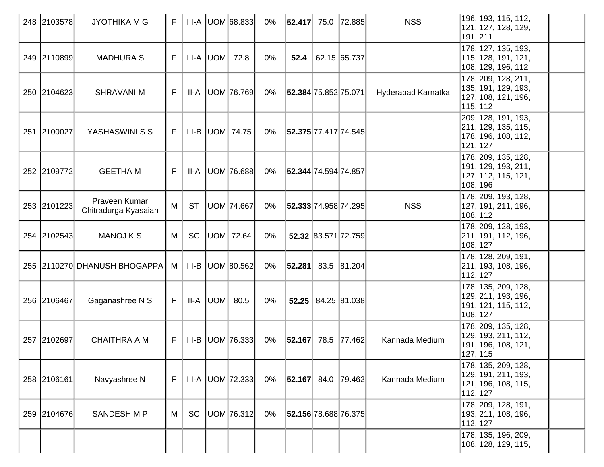| 248 2103578 | <b>JYOTHIKA M G</b>                   | F  |           | $III-A$ UOM 68.833  | $0\%$ | $ 52.417 $ 75.0   72.885   |                                     | <b>NSS</b>         | 196, 193, 115, 112,<br> 121, 127, 128, 129,<br>191, 211                         |
|-------------|---------------------------------------|----|-----------|---------------------|-------|----------------------------|-------------------------------------|--------------------|---------------------------------------------------------------------------------|
| 249 2110899 | <b>MADHURA S</b>                      | F. |           | $III-A$ UOM $72.8$  | $0\%$ | 52.4                       | 62.15 65.737                        |                    | 178, 127, 135, 193,<br> 115, 128, 191, 121,<br>108, 129, 196, 112               |
| 250 2104623 | <b>SHRAVANI M</b>                     | F  |           | II-A   UOM   76.769 | 0%    | 52.384 75.852 75.071       |                                     | Hyderabad Karnatka | 178, 209, 128, 211,<br>135, 191, 129, 193,<br>127, 108, 121, 196,<br>115, 112   |
| 251 2100027 | YASHASWINI S S                        | F. |           | III-B  UOM  74.75   | 0%    | 52.375 77.417 74.545       |                                     |                    | 209, 128, 191, 193,<br>211, 129, 135, 115,<br> 178, 196, 108, 112,<br>121, 127  |
| 252 2109772 | <b>GEETHA M</b>                       | F  |           | II-A   UOM   76.688 | 0%    | 52.344 74.594 74.857       |                                     |                    | 178, 209, 135, 128,<br> 191, 129, 193, 211,<br>127, 112, 115, 121,<br>108, 196  |
| 253 2101223 | Praveen Kumar<br>Chitradurga Kyasaiah | M  | <b>ST</b> | UOM 74.667          | 0%    | 52.333 74.958 74.295       |                                     | <b>NSS</b>         | 178, 209, 193, 128,<br>127, 191, 211, 196,<br> 108, 112                         |
| 254 2102543 | <b>MANOJ K S</b>                      | M  | <b>SC</b> | UOM 72.64           | 0%    |                            | 52.32 83.571 72.759                 |                    | 178, 209, 128, 193,<br> 211, 191, 112, 196,<br>108, 127                         |
|             | 255 2110270 DHANUSH BHOGAPPA          | M  |           | III-B UOM 80.562    | 0%    | $ 52.281 $ 83.5 $ 81.204 $ |                                     |                    | 178, 128, 209, 191,<br>211, 193, 108, 196,<br>112, 127                          |
| 256 2106467 | Gaganashree N S                       | F. |           | $II-A$ UOM 80.5     | $0\%$ |                            | $52.25 \mid 84.25 \mid 81.038 \mid$ |                    | 178, 135, 209, 128,<br> 129, 211, 193, 196,<br>191, 121, 115, 112,<br>108, 127  |
| 257 2102697 | <b>CHAITHRA A M</b>                   | F. |           | $III-B$ UOM 76.333  | 0%    | $ 52.167 $ 78.5   77.462   |                                     | Kannada Medium     | 178, 209, 135, 128,<br>129, 193, 211, 112,<br> 191, 196, 108, 121,<br>127, 115  |
| 258 2106161 | Navyashree N                          | F. |           | $III-A$ UOM 72.333  | 0%    | $ 52.167 $ 84.0   79.462   |                                     | Kannada Medium     | 178, 135, 209, 128,<br> 129, 191, 211, 193,<br> 121, 196, 108, 115,<br>112, 127 |
| 259 2104676 | SANDESH M P                           | M  | <b>SC</b> | UOM 76.312          | 0%    | 52.156 78.688 76.375       |                                     |                    | 178, 209, 128, 191,<br> 193, 211, 108, 196,<br>112, 127                         |
|             |                                       |    |           |                     |       |                            |                                     |                    | 178, 135, 196, 209,<br> 108, 128, 129, 115,                                     |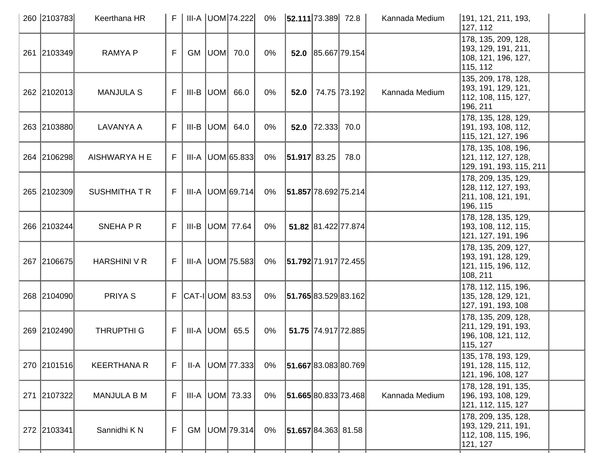|     | 260 2103783 | Keerthana HR         |    |  | III-A UOM 74.222          | 0%    | 52.111 73.389 72.8   |                      |                     | Kannada Medium | 191, 121, 211, 193,<br>127, 112                                                 |
|-----|-------------|----------------------|----|--|---------------------------|-------|----------------------|----------------------|---------------------|----------------|---------------------------------------------------------------------------------|
|     | 261 2103349 | <b>RAMYAP</b>        | F. |  | <b>GM  UOM  70.0</b>      | $0\%$ |                      |                      | 52.0 85.667 79.154  |                | 178, 135, 209, 128,<br> 193, 129, 191, 211,<br>108, 121, 196, 127,<br>115, 112  |
|     | 262 2102013 | <b>MANJULA S</b>     | F. |  | $III-B$ $ UOM $ 66.0      | $0\%$ | 52.0                 |                      | 74.75 73.192        | Kannada Medium | 135, 209, 178, 128,<br>193, 191, 129, 121,<br>112, 108, 115, 127,<br>196, 211   |
|     | 263 2103880 | LAVANYA A            | F. |  | III-B $ $ UOM $ $ 64.0    | 0%    |                      | 52.0 $ 72.333 $ 70.0 |                     |                | 178, 135, 128, 129,<br> 191, 193, 108, 112,<br>115, 121, 127, 196               |
|     | 264 2106298 | AISHWARYA H E        | F. |  | $III-A$ UOM 65.833        | 0%    | 51.917 83.25         |                      | 78.0                |                | 178, 135, 108, 196,<br>121, 112, 127, 128,<br> 129, 191, 193, 115, 211          |
|     | 265 2102309 | <b>SUSHMITHA T R</b> | F. |  | III-A UOM 69.714          | 0%    | 51.857 78.692 75.214 |                      |                     |                | 178, 209, 135, 129,<br>128, 112, 127, 193,<br>211, 108, 121, 191,<br>196, 115   |
|     | 266 2103244 | SNEHAPR              | F  |  | III-B  UOM  77.64         | 0%    |                      | 51.82 81.422 77.874  |                     |                | 178, 128, 135, 129,<br>193, 108, 112, 115,<br>121, 127, 191, 196                |
|     | 267 2106675 | HARSHINI V R         | F. |  | $III-A$ UOM 75.583        | 0%    | 51.792 71.917 72.455 |                      |                     |                | 178, 135, 209, 127,<br> 193, 191, 128, 129,<br> 121, 115, 196, 112,<br>108, 211 |
|     | 268 2104090 | PRIYA <sub>S</sub>   |    |  | $F$ $ CAT - I $ UOM 83.53 | 0%    | 51.765 83.529 83.162 |                      |                     |                | 178, 112, 115, 196,<br> 135, 128, 129, 121,<br> 127, 191, 193, 108              |
|     | 269 2102490 | <b>THRUPTHI G</b>    | F. |  | $III-A$ UOM 65.5          | 0%    |                      |                      | 51.75 74.917 72.885 |                | 178, 135, 209, 128,<br>211, 129, 191, 193,<br>196, 108, 121, 112,<br>115, 127   |
|     | 270 2101516 | <b>KEERTHANA R</b>   | F  |  | II-A   UOM   77.333       | 0%    | 51.66783.08380.769   |                      |                     |                | 135, 178, 193, 129,<br>191, 128, 115, 112,<br>121, 196, 108, 127                |
| 271 | 2107322     | <b>MANJULA B M</b>   | F  |  | $III-A$ UOM 73.33         | $0\%$ | 51.665 80.833 73.468 |                      |                     | Kannada Medium | 178, 128, 191, 135,<br> 196, 193, 108, 129,<br>121, 112, 115, 127               |
|     | 272 2103341 | Sannidhi K N         | F  |  | GM   UOM   79.314         | 0%    | 51.657 84.363 81.58  |                      |                     |                | 178, 209, 135, 128,<br> 193, 129, 211, 191,<br> 112, 108, 115, 196,<br>121, 127 |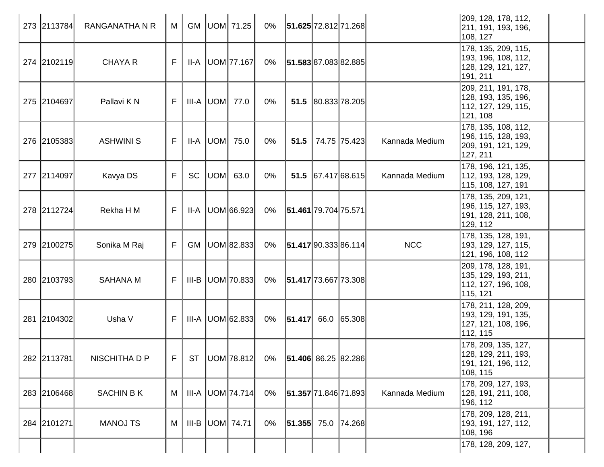| 273 2113784 | <b>RANGANATHA N R</b> | M  |           | GM   UOM   71.25        | 0%    | 51.625 72.812 71.268     |                    |              |                | 209, 128, 178, 112,<br>211, 191, 193, 196,<br>108, 127                         |
|-------------|-----------------------|----|-----------|-------------------------|-------|--------------------------|--------------------|--------------|----------------|--------------------------------------------------------------------------------|
| 274 2102119 | <b>CHAYA R</b>        | F  |           | $II-A$ UOM 77.167       | 0%    | 51.583 87.083 82.885     |                    |              |                | 178, 135, 209, 115,<br>193, 196, 108, 112,<br>128, 129, 121, 127,<br>191, 211  |
| 275 2104697 | Pallavi K N           | F. |           | III-A  UOM  77.0        | 0%    |                          | 51.5 80.833 78.205 |              |                | 209, 211, 191, 178,<br> 128, 193, 135, 196,<br>112, 127, 129, 115,<br>121, 108 |
| 276 2105383 | <b>ASHWINI S</b>      | F  |           | II-A  UOM  75.0         | $0\%$ | 51.5                     |                    | 74.75 75.423 | Kannada Medium | 178, 135, 108, 112,<br>196, 115, 128, 193,<br>209, 191, 121, 129,<br>127, 211  |
| 277 2114097 | Kavya DS              | F  | <b>SC</b> | UOM  63.0               | $0\%$ |                          | 51.5 67.417 68.615 |              | Kannada Medium | 178, 196, 121, 135,<br>112, 193, 128, 129,<br>115, 108, 127, 191               |
| 278 2112724 | Rekha H M             | F  |           | II-A   UOM 66.923       | 0%    | 51.461 79.704 75.571     |                    |              |                | 178, 135, 209, 121,<br>196, 115, 127, 193,<br> 191, 128, 211, 108,<br>129, 112 |
| 279 2100275 | Sonika M Raj          | F  | <b>GM</b> | UOM 82.833              | 0%    | 51.417 90.333 86.114     |                    |              | <b>NCC</b>     | 178, 135, 128, 191,<br>193, 129, 127, 115,<br>121, 196, 108, 112               |
| 280 2103793 | <b>SAHANA M</b>       | F. |           | $III-B$ UOM 70.833      | 0%    | 51.417 73.667 73.308     |                    |              |                | 209, 178, 128, 191,<br>135, 129, 193, 211,<br> 112, 127, 196, 108,<br>115, 121 |
| 281 2104302 | Usha V                | F. |           | $III-A$ UOM 62.833      | 0%    | $ 51.417 $ 66.0 65.308   |                    |              |                | 178, 211, 128, 209,<br>193, 129, 191, 135,<br> 127, 121, 108, 196,<br>112, 115 |
| 282 2113781 | NISCHITHA D P         | F  | <b>ST</b> | UOM 78.812              | 0%    | $ 51.406 $ 86.25 82.286  |                    |              |                | 178, 209, 135, 127,<br>128, 129, 211, 193,<br>191, 121, 196, 112,<br>108, 115  |
| 283 2106468 | <b>SACHIN BK</b>      | M  |           | $III-A$ $UOM$ $74.714$  | $0\%$ | 51.357 71.846 71.893     |                    |              | Kannada Medium | 178, 209, 127, 193,<br>128, 191, 211, 108,<br>196, 112                         |
| 284 2101271 | <b>MANOJ TS</b>       | M  |           | III-B $ $ UOM $ $ 74.71 | $0\%$ | $ 51.355 $ 75.0   74.268 |                    |              |                | 178, 209, 128, 211,<br>193, 191, 127, 112,<br>108, 196                         |
|             |                       |    |           |                         |       |                          |                    |              |                | 178, 128, 209, 127,                                                            |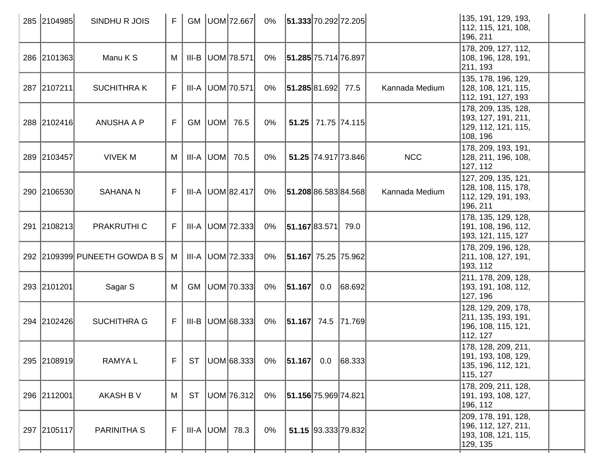|     | 285 2104985 | SINDHU R JOIS                 | F. |           | GM   UOM   72.667      | $0\%$ | 51.333 70.292 72.205     |     |                     |                | 135, 191, 129, 193,<br>112, 115, 121, 108,<br>196, 211                         |
|-----|-------------|-------------------------------|----|-----------|------------------------|-------|--------------------------|-----|---------------------|----------------|--------------------------------------------------------------------------------|
|     | 286 2101363 | Manu K S                      | M  |           | III-B UOM 78.571       | 0%    | 51.285 75.714 76.897     |     |                     |                | 178, 209, 127, 112,<br> 108, 196, 128, 191,<br>211, 193                        |
|     | 287 2107211 | <b>SUCHITHRAK</b>             | F  |           | III-A UOM 70.571       | 0%    | 51.285 81.692 77.5       |     |                     | Kannada Medium | 135, 178, 196, 129,<br>128, 108, 121, 115,<br>112, 191, 127, 193               |
|     | 288 2102416 | <b>ANUSHA A P</b>             | F. |           | GM   UOM   76.5        | 0%    |                          |     | 51.25 71.75 74.115  |                | 178, 209, 135, 128,<br> 193, 127, 191, 211,<br>129, 112, 121, 115,<br>108, 196 |
|     | 289 2103457 | <b>VIVEK M</b>                | M  |           | $III-A$ UOM $70.5$     | 0%    |                          |     | 51.25 74.917 73.846 | <b>NCC</b>     | 178, 209, 193, 191,<br> 128, 211, 196, 108,<br>127, 112                        |
|     | 290 2106530 | <b>SAHANA N</b>               | F. |           | $III-A$ $UOM$ $82.417$ | 0%    | 51.208 86.583 84.568     |     |                     | Kannada Medium | 127, 209, 135, 121,<br>128, 108, 115, 178,<br> 112, 129, 191, 193,<br>196, 211 |
| 291 | 2108213     | PRAKRUTHI C                   | F. |           | III-A UOM 72.333       | 0%    | 51.167 83.571            |     | 79.0                |                | 178, 135, 129, 128,<br>191, 108, 196, 112,<br>193, 121, 115, 127               |
|     |             | 292 2109399 PUNEETH GOWDA B S | M  |           | $III-A$ UOM 72.333     | 0%    | 51.167 75.25 75.962      |     |                     |                | 178, 209, 196, 128,<br>211, 108, 127, 191,<br>193, 112                         |
|     | 293 2101201 | Sagar S                       | M  |           | GM   UOM   70.333      | 0%    | 51.167                   | 0.0 | 68.692              |                | 211, 178, 209, 128,<br> 193, 191, 108, 112,<br>127, 196                        |
|     | 294 2102426 | <b>SUCHITHRA G</b>            | F. |           | $III-B$ UOM 68.333     | 0%    | $ 51.167 $ 74.5   71.769 |     |                     |                | 128, 129, 209, 178,<br>211, 135, 193, 191,<br>196, 108, 115, 121,<br>112, 127  |
|     | 295 2108919 | <b>RAMYAL</b>                 | F  | <b>ST</b> | UOM 68.333             | $0\%$ | 51.167                   |     | $0.0$ 68.333        |                | 178, 128, 209, 211,<br>191, 193, 108, 129,<br> 135, 196, 112, 121,<br>115, 127 |
|     | 296 2112001 | <b>AKASH B V</b>              | M  | <b>ST</b> | UOM 76.312             | 0%    | 51.156 75.969 74.821     |     |                     |                | 178, 209, 211, 128,<br>191, 193, 108, 127,<br>196, 112                         |
|     | 297 2105117 | PARINITHA S                   | F  |           | $III-A$ UOM $78.3$     | $0\%$ |                          |     | 51.15 93.333 79.832 |                | 209, 178, 191, 128,<br>196, 112, 127, 211,<br>193, 108, 121, 115,<br>129, 135  |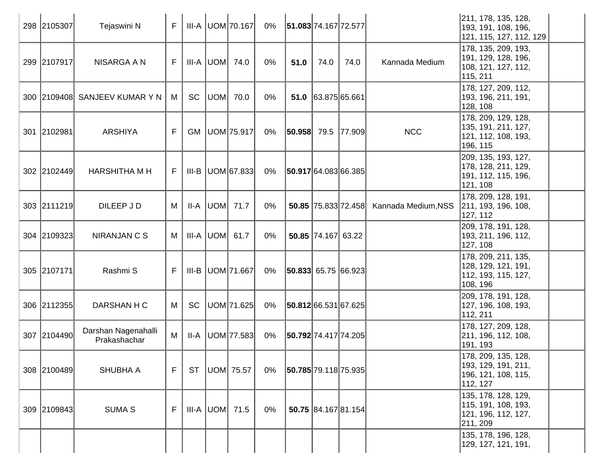| 298 2105307 | Tejaswini N                         | F  |           |           | III-A   UOM   70.167 | 0%    | 51.083 74.167 72.577     |                      |                     |                     | 211, 178, 135, 128,<br> 193, 191, 108, 196,<br> 121, 115, 127, 112, 129        |
|-------------|-------------------------------------|----|-----------|-----------|----------------------|-------|--------------------------|----------------------|---------------------|---------------------|--------------------------------------------------------------------------------|
| 299 2107917 | NISARGA A N                         | F. |           |           | $III-A$ $UOM$ 74.0   | 0%    | 51.0                     | 74.0                 | 74.0                | Kannada Medium      | 178, 135, 209, 193,<br>191, 129, 128, 196,<br>108, 121, 127, 112,<br>115, 211  |
|             | 300 2109408 SANJEEV KUMAR Y N       | M  | SC        | UOM       | 70.0                 | 0%    |                          | $51.0$ 63.875 65.661 |                     |                     | 178, 127, 209, 112,<br> 193, 196, 211, 191,<br>128, 108                        |
| 301 2102981 | <b>ARSHIYA</b>                      | F. | <b>GM</b> |           | UOM 75.917           | 0%    | $ 50.958 $ 79.5   77.909 |                      |                     | <b>NCC</b>          | 178, 209, 129, 128,<br> 135, 191, 211, 127,<br>121, 112, 108, 193,<br>196, 115 |
| 302 2102449 | <b>HARSHITHA M H</b>                | F. | III-B     |           | UOM 67.833           | $0\%$ | 50.917 64.083 66.385     |                      |                     |                     | 209, 135, 193, 127,<br>178, 128, 211, 129,<br>191, 112, 115, 196,<br>121, 108  |
| 303 2111219 | DILEEP J D                          | M  | II-A      |           | UOM  71.7            | 0%    |                          |                      | 50.85 75.833 72.458 | Kannada Medium, NSS | 178, 209, 128, 191,<br>211, 193, 196, 108,<br>127, 112                         |
| 304 2109323 | NIRANJAN C S                        | М  |           | III-A UOM | 61.7                 | 0%    |                          | 50.85 74.167 63.22   |                     |                     | 209, 178, 191, 128,<br> 193, 211, 196, 112,<br>127, 108                        |
| 305 2107171 | Rashmi S                            | F  |           |           | III-B   UOM   71.667 | $0\%$ | $ 50.833 $ 65.75 66.923  |                      |                     |                     | 178, 209, 211, 135,<br> 128, 129, 121, 191,<br>112, 193, 115, 127,<br>108, 196 |
| 306 2112355 | DARSHAN H C                         | М  | SC        |           | UOM 71.625           | $0\%$ | 50.812 66.531 67.625     |                      |                     |                     | 209, 178, 191, 128,<br> 127, 196, 108, 193,<br>112, 211                        |
| 307 2104490 | Darshan Nagenahalli<br>Prakashachar | M  | II-A      |           | UOM 77.583           | 0%    | 50.792 74.417 74.205     |                      |                     |                     | 178, 127, 209, 128,<br>211, 196, 112, 108,<br>191, 193                         |
| 308 2100489 | <b>SHUBHA A</b>                     | F. | <b>ST</b> |           | UOM 75.57            | 0%    | 50.785 79.118 75.935     |                      |                     |                     | 178, 209, 135, 128,<br> 193, 129, 191, 211,<br>196, 121, 108, 115,<br>112, 127 |
| 309 2109843 | <b>SUMA S</b>                       | F  |           |           | $III-A$ UOM 71.5     | $0\%$ |                          |                      | 50.75 84.167 81.154 |                     | 135, 178, 128, 129,<br>115, 191, 108, 193,<br> 121, 196, 112, 127,<br>211, 209 |
|             |                                     |    |           |           |                      |       |                          |                      |                     |                     | 135, 178, 196, 128,<br> 129, 127, 121, 191,                                    |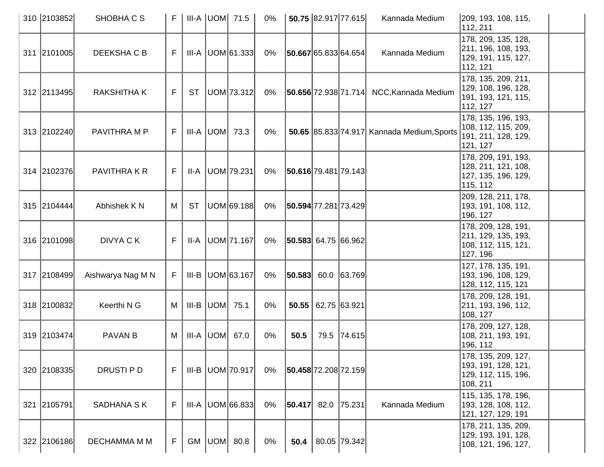| 310 2103852 | SHOBHA C S         | F. |           |                    | III-A UOM 71.5         | 0%    |                             | 50.75 82.917 77.615 |                | Kannada Medium                                  | 209, 193, 108, 115,<br>112, 211                                                 |
|-------------|--------------------|----|-----------|--------------------|------------------------|-------|-----------------------------|---------------------|----------------|-------------------------------------------------|---------------------------------------------------------------------------------|
| 311 2101005 | DEEKSHA C B        | F  |           |                    | $III-A$ UOM 61.333     | 0%    | 50.667 65.833 64.654        |                     |                | Kannada Medium                                  | 178, 209, 135, 128,<br>211, 196, 108, 193,<br>129, 191, 115, 127,<br>112, 121   |
| 312 2113495 | <b>RAKSHITHA K</b> | F. | <b>ST</b> |                    | UOM 73.312             | 0%    |                             |                     |                | <b>50.656</b> 72.938 71.714 NCC, Kannada Medium | 178, 135, 209, 211,<br>129, 108, 196, 128,<br>191, 193, 121, 115,<br>112, 127   |
| 313 2102240 | PAVITHRA M P       | F. |           |                    | III-A $ $ UOM $ $ 73.3 | $0\%$ |                             |                     |                | 50.65 85.833 74.917 Kannada Medium, Sports      | 178, 135, 196, 193,<br>108, 112, 115, 209,<br>191, 211, 128, 129,<br>121, 127   |
| 314 2102376 | PAVITHRA K R       | F  |           |                    | <b>II-A UOM 79.231</b> | 0%    | 50.616 79.481 79.143        |                     |                |                                                 | 178, 209, 191, 193,<br>128, 211, 121, 108,<br>127, 135, 196, 129,<br>115, 112   |
| 315 2104444 | Abhishek K N       | M  | <b>ST</b> |                    | UOM 69.188             | $0\%$ | 50.594 77.281 73.429        |                     |                |                                                 | 209, 128, 211, 178,<br> 193, 191, 108, 112,<br>196, 127                         |
| 316 2101098 | DIVYA C K          | F  |           |                    | II-A   UOM   71.167    | 0%    | $ 50.583 $ 64.75 $ 66.962 $ |                     |                |                                                 | 178, 209, 128, 191,<br>211, 129, 135, 193,<br>108, 112, 115, 121,<br>127, 196   |
| 317 2108499 | Aishwarya Nag M N  | F. |           |                    | III-B   UOM 63.167     | $0\%$ | $ 50.583 $ 60.0 $ 63.769 $  |                     |                |                                                 | 127, 178, 135, 191,<br>193, 196, 108, 129,<br>128, 112, 115, 121                |
| 318 2100832 | Keerthi N G        | M  |           | III-B $ UOM $ 75.1 |                        | $0\%$ | 50.55                       |                     | 62.75   63.921 |                                                 | 178, 209, 128, 191,<br>211, 193, 196, 112,<br>108, 127                          |
| 319 2103474 | <b>PAVAN B</b>     | M  |           |                    | $III-A$ $UOM$ 67.0     | 0%    | 50.5                        |                     | 79.5 74.615    |                                                 | 178, 209, 127, 128,<br>108, 211, 193, 191,<br>196, 112                          |
| 320 2108335 | DRUSTI P D         | F  |           |                    | $III-B$ UOM 70.917     | 0%    | 50.458 72.208 72.159        |                     |                |                                                 | 178, 135, 209, 127,<br> 193, 191, 128, 121,<br> 129, 112, 115, 196,<br>108, 211 |
| 321 2105791 | SADHANA S K        | F  |           |                    | $III-A$ UOM 66.833     | $0\%$ | $ 50.417 $ 82.0             |                     | 75.231         | Kannada Medium                                  | 115, 135, 178, 196,<br>193, 128, 108, 112,<br>121, 127, 129, 191                |
| 322 2106186 | DECHAMMA M M       | F  |           |                    | GM $ UOM $ 80.8        | 0%    | 50.4                        |                     | 80.05 79.342   |                                                 | 178, 211, 135, 209,<br> 129, 193, 191, 128,<br>108, 121, 196, 127,              |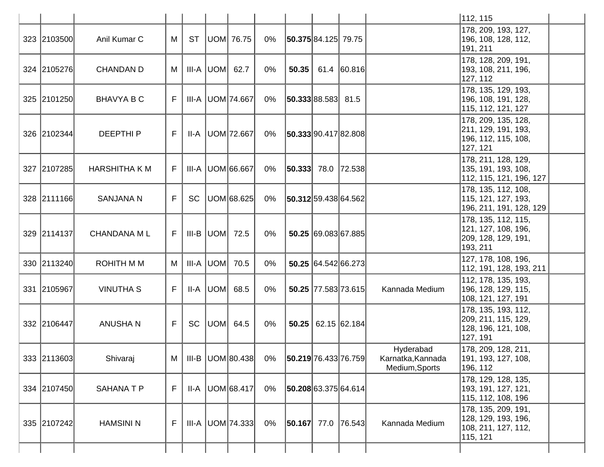|             |                      |    |           |           |                      |       |                          |      |                                                          |                                                  | 112, 115                                                                        |  |
|-------------|----------------------|----|-----------|-----------|----------------------|-------|--------------------------|------|----------------------------------------------------------|--------------------------------------------------|---------------------------------------------------------------------------------|--|
| 323 2103500 | Anil Kumar C         | М  | <b>ST</b> |           | UOM 76.75            | 0%    | 50.375 84.125 79.75      |      |                                                          |                                                  | 178, 209, 193, 127,<br>196, 108, 128, 112,<br>191, 211                          |  |
| 324 2105276 | <b>CHANDAN D</b>     | M  |           |           | $III-A$ UOM 62.7     | $0\%$ | 50.35                    | 61.4 | 60.816                                                   |                                                  | 178, 128, 209, 191,<br>193, 108, 211, 196,<br>127, 112                          |  |
| 325 2101250 | <b>BHAVYA B C</b>    | F. |           |           | III-A   UOM   74.667 | 0%    | 50.333 88.583            |      | 81.5                                                     |                                                  | 178, 135, 129, 193,<br>196, 108, 191, 128,<br>115, 112, 121, 127                |  |
| 326 2102344 | <b>DEEPTHIP</b>      | F  |           |           | II-A   UOM   72.667  | 0%    | 50.333 90.417 82.808     |      |                                                          |                                                  | 178, 209, 135, 128,<br>211, 129, 191, 193,<br>196, 112, 115, 108,<br>127, 121   |  |
| 327 2107285 | <b>HARSHITHA K M</b> | F. |           |           | III-A UOM 66.667     | $0\%$ | $ 50.333 $ 78.0   72.538 |      |                                                          |                                                  | 178, 211, 128, 129,<br>135, 191, 193, 108,<br>112, 115, 121, 196, 127           |  |
| 328 2111166 | <b>SANJANA N</b>     | F  | <b>SC</b> |           | UOM 68.625           | 0%    | 50.312 59.438 64.562     |      |                                                          |                                                  | 178, 135, 112, 108,<br>115, 121, 127, 193,<br> 196, 211, 191, 128, 129          |  |
| 329 2114137 | <b>CHANDANA ML</b>   | F. |           |           | $III-B$ UOM 72.5     | $0\%$ |                          |      | 50.25 69.083 67.885                                      |                                                  | 178, 135, 112, 115,<br> 121, 127, 108, 196,<br> 209, 128, 129, 191,<br>193, 211 |  |
| 330 2113240 | <b>ROHITH MM</b>     | M  |           |           | $III-A$ UOM $70.5$   | 0%    |                          |      | 50.25 64.542 66.273                                      |                                                  | 127, 178, 108, 196,<br>112, 191, 128, 193, 211                                  |  |
| 331 2105967 | <b>VINUTHA S</b>     | F  |           | II-A  UOM | 68.5                 | $0\%$ |                          |      | 50.25 77.583 73.615                                      | Kannada Medium                                   | 112, 178, 135, 193,<br>196, 128, 129, 115,<br>108, 121, 127, 191                |  |
| 332 2106447 | <b>ANUSHAN</b>       | F  | <b>SC</b> |           | UOM  64.5            | $0\%$ |                          |      | $\vert 50.25 \vert \vert 62.15 \vert \vert 62.184 \vert$ |                                                  | 178, 135, 193, 112,<br>209, 211, 115, 129,<br>128, 196, 121, 108,<br>127, 191   |  |
| 333 2113603 | Shivaraj             | М  |           |           | III-B   UOM 80.438   | 0%    | 50.219 76.433 76.759     |      |                                                          | Hyderabad<br>Karnatka, Kannada<br>Medium, Sports | 178, 209, 128, 211,<br> 191, 193, 127, 108,<br>196, 112                         |  |
| 334 2107450 | <b>SAHANATP</b>      | F  | II-A      |           | UOM 68.417           | $0\%$ | 50.208 63.375 64.614     |      |                                                          |                                                  | 178, 129, 128, 135,<br>193, 191, 127, 121,<br>115, 112, 108, 196                |  |
| 335 2107242 | <b>HAMSINI N</b>     | F  |           |           | III-A   UOM   74.333 | 0%    | $ 50.167 $ 77.0 76.543   |      |                                                          | Kannada Medium                                   | 178, 135, 209, 191,<br>128, 129, 193, 196,<br>108, 211, 127, 112,<br>115, 121   |  |
|             |                      |    |           |           |                      |       |                          |      |                                                          |                                                  |                                                                                 |  |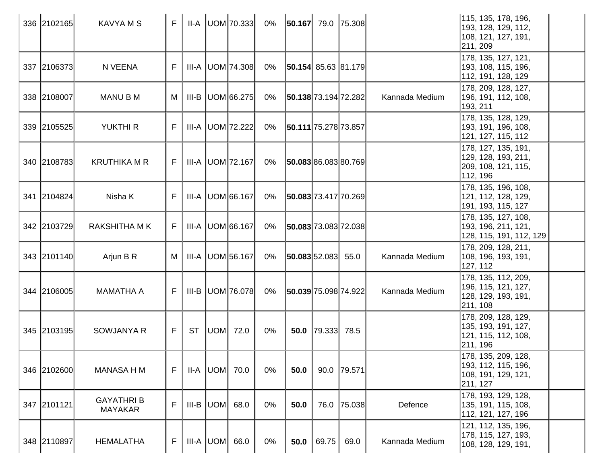| 336 2102165 | <b>KAVYAMS</b>                     | F           |           | $II-A$ UOM 70.333    | 0%    | $ 50.167 $ 79.0 75.308  |                      |             |                | 115, 135, 178, 196,<br>193, 128, 129, 112,<br>108, 121, 127, 191,<br>211, 209   |  |
|-------------|------------------------------------|-------------|-----------|----------------------|-------|-------------------------|----------------------|-------------|----------------|---------------------------------------------------------------------------------|--|
| 337 2106373 | N VEENA                            | F.          |           | III-A   UOM   74.308 | 0%    | $ 50.154 $ 85.63 81.179 |                      |             |                | 178, 135, 127, 121,<br> 193, 108, 115, 196,<br>112, 191, 128, 129               |  |
| 338 2108007 | <b>MANU B M</b>                    | M           | III-B     | UOM 66.275           | $0\%$ | 50.138 73.194 72.282    |                      |             | Kannada Medium | 178, 209, 128, 127,<br> 196, 191, 112, 108,<br>193, 211                         |  |
| 339 2105525 | <b>YUKTHI R</b>                    | F           |           | III-A   UOM   72.222 | 0%    | 50.111 75.278 73.857    |                      |             |                | 178, 135, 128, 129,<br> 193, 191, 196, 108,<br>121, 127, 115, 112               |  |
| 340 2108783 | <b>KRUTHIKA M R</b>                | F           |           | $III-A$ UOM 72.167   | 0%    | 50.08386.08380.769      |                      |             |                | 178, 127, 135, 191,<br>129, 128, 193, 211,<br>209, 108, 121, 115,<br>112, 196   |  |
| 341 2104824 | Nisha K                            | F           |           | III-A   UOM 66.167   | $0\%$ | 50.083 73.417 70.269    |                      |             |                | 178, 135, 196, 108,<br>121, 112, 128, 129,<br>191, 193, 115, 127                |  |
| 342 2103729 | <b>RAKSHITHA MK</b>                | F           |           | III-A   UOM 66.167   | $0\%$ | 50.083 73.083 72.038    |                      |             |                | 178, 135, 127, 108,<br>193, 196, 211, 121,<br>128, 115, 191, 112, 129           |  |
| 343 2101140 | Arjun B R                          | M           |           | III-A   UOM 56.167   | $0\%$ | 50.083 52.083           |                      | 55.0        | Kannada Medium | 178, 209, 128, 211,<br>108, 196, 193, 191,<br>127, 112                          |  |
| 344 2106005 | <b>MAMATHA A</b>                   | F.          |           | III-B   UOM   76.078 | 0%    | 50.039 75.098 74.922    |                      |             | Kannada Medium | 178, 135, 112, 209,<br>196, 115, 121, 127,<br>128, 129, 193, 191,<br>211, 108   |  |
| 345 2103195 | SOWJANYA R                         | $F_{\perp}$ | <b>ST</b> | UOM  72.0            | $0\%$ |                         | 50.0 $ 79.333 $ 78.5 |             |                | 178, 209, 128, 129,<br>135, 193, 191, 127,<br> 121, 115, 112, 108,<br>211, 196  |  |
| 346 2102600 | <b>MANASA H M</b>                  | F           |           | II-A  UOM  70.0      | 0%    | 50.0                    |                      | 90.0 79.571 |                | 178, 135, 209, 128,<br> 193, 112, 115, 196,<br> 108, 191, 129, 121,<br>211, 127 |  |
| 347 2101121 | <b>GAYATHRIB</b><br><b>MAYAKAR</b> | F           |           | $III-B$ UOM 68.0     | 0%    | 50.0                    |                      | 76.0 75.038 | Defence        | 178, 193, 129, 128,<br> 135, 191, 115, 108,<br>112, 121, 127, 196               |  |
| 348 2110897 | <b>HEMALATHA</b>                   | F           |           | $III-A  UOM  66.0$   | 0%    | 50.0                    | 69.75                | 69.0        | Kannada Medium | 121, 112, 135, 196,<br>178, 115, 127, 193,<br>108, 128, 129, 191,               |  |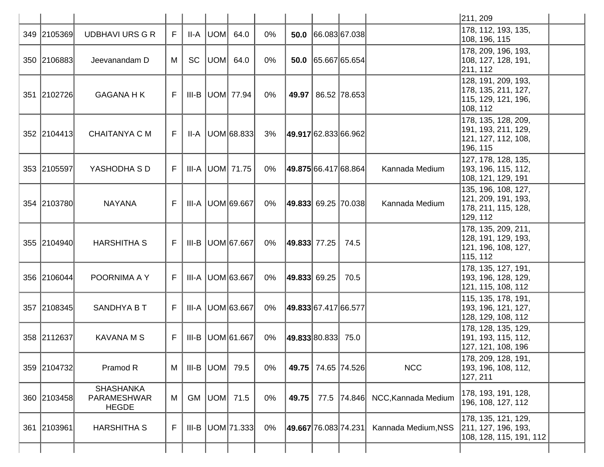|             |                                                 |    |           |     |                         |       |                    |      |                           |                     | 211, 209                                                                       |  |
|-------------|-------------------------------------------------|----|-----------|-----|-------------------------|-------|--------------------|------|---------------------------|---------------------|--------------------------------------------------------------------------------|--|
| 349 2105369 | <b>UDBHAVI URS G R</b>                          | F  | II-A      |     | UOM 64.0                | 0%    | 50.0               |      | 66.083 67.038             |                     | 178, 112, 193, 135,<br>108, 196, 115                                           |  |
| 350 2106883 | Jeevanandam D                                   | M  | SC        | UOM | 64.0                    | $0\%$ | 50.0               |      | 65.667 65.654             |                     | 178, 209, 196, 193,<br>108, 127, 128, 191,<br>211, 112                         |  |
| 351 2102726 | <b>GAGANA H K</b>                               | F. |           |     | III-B $ $ UOM $ $ 77.94 | $0\%$ |                    |      | 49.97   86.52   78.653    |                     | 128, 191, 209, 193,<br>178, 135, 211, 127,<br>115, 129, 121, 196,<br>108, 112  |  |
| 352 2104413 | CHAITANYA C M                                   | F. | II-A      |     | UOM 68.833              | 3%    |                    |      | 49.917 62.833 66.962      |                     | 178, 135, 128, 209,<br> 191, 193, 211, 129,<br>121, 127, 112, 108,<br>196, 115 |  |
| 353 2105597 | YASHODHA S D                                    | F. |           |     | III-A   UOM   71.75     | 0%    |                    |      | 49.875 66.417 68.864      | Kannada Medium      | 127, 178, 128, 135,<br>193, 196, 115, 112,<br>108, 121, 129, 191               |  |
| 354 2103780 | <b>NAYANA</b>                                   | F. |           |     | III-A UOM 69.667        | $0\%$ |                    |      | $ 49.833 $ 69.25   70.038 | Kannada Medium      | 135, 196, 108, 127,<br> 121, 209, 191, 193,<br>178, 211, 115, 128,<br>129, 112 |  |
| 355 2104940 | <b>HARSHITHA S</b>                              | F. |           |     | III-B  UOM 67.667       | 0%    | 49.833  77.25      |      | 74.5                      |                     | 178, 135, 209, 211,<br> 128, 191, 129, 193,<br>121, 196, 108, 127,<br>115, 112 |  |
| 356 2106044 | POORNIMA A Y                                    | F  |           |     | III-A UOM 63.667        | $0\%$ | $ 49.833 $ 69.25   |      | 70.5                      |                     | 178, 135, 127, 191,<br>193, 196, 128, 129,<br>121, 115, 108, 112               |  |
| 357 2108345 | SANDHYA B T                                     | F  |           |     | III-A UOM 63.667        | 0%    |                    |      | 49.833 67.417 66.577      |                     | 115, 135, 178, 191,<br>193, 196, 121, 127,<br>128, 129, 108, 112               |  |
| 358 2112637 | <b>KAVANA M S</b>                               | F  |           |     | III-B   UOM 61.667      | $0\%$ | 49.833 80.833 75.0 |      |                           |                     | 178, 128, 135, 129,<br>191, 193, 115, 112,<br>127, 121, 108, 196               |  |
| 359 2104732 | Pramod R                                        | M  | III-B     |     | UOM 79.5                | 0%    |                    |      | 49.75 74.65 74.526        | <b>NCC</b>          | 178, 209, 128, 191,<br> 193, 196, 108, 112,<br>127, 211                        |  |
| 360 2103458 | <b>SHASHANKA</b><br>PARAMESHWAR<br><b>HEGDE</b> | M  | <b>GM</b> |     | UOM 71.5                | 0%    | 49.75              | 77.5 | $\vert$ 74.846 $\vert$    | NCC, Kannada Medium | 178, 193, 191, 128,<br>196, 108, 127, 112                                      |  |
| 361 2103961 | <b>HARSHITHA S</b>                              | F  | III-B     |     | UOM 71.333              | $0\%$ |                    |      | 49.667 76.083 74.231      | Kannada Medium, NSS | 178, 135, 121, 129,<br>211, 127, 196, 193,<br>108, 128, 115, 191, 112          |  |
|             |                                                 |    |           |     |                         |       |                    |      |                           |                     |                                                                                |  |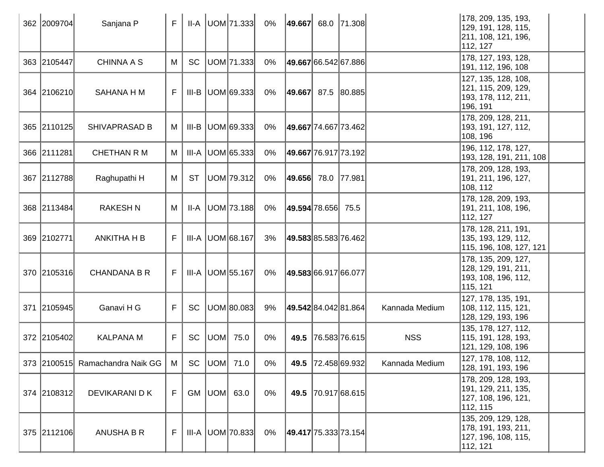| 362 2009704 | Sanjana P                       | F |           |     | $II-A$ UOM 71.333      | 0%    | 49.667 68.0 71.308          |                             |                | 178, 209, 135, 193,<br>129, 191, 128, 115,<br>211, 108, 121, 196,<br>112, 127   |  |
|-------------|---------------------------------|---|-----------|-----|------------------------|-------|-----------------------------|-----------------------------|----------------|---------------------------------------------------------------------------------|--|
| 363 2105447 | <b>CHINNA A S</b>               | M | <b>SC</b> |     | UOM 71.333             | $0\%$ |                             | <b>49.667</b> 66.542 67.886 |                | 178, 127, 193, 128,<br>191, 112, 196, 108                                       |  |
| 364 2106210 | SAHANA H M                      | F |           |     | $III-B$ $ UOM 69.333 $ | $0\%$ | 49.667 87.5 80.885          |                             |                | 127, 135, 128, 108,<br>121, 115, 209, 129,<br> 193, 178, 112, 211,<br>196, 191  |  |
| 365 2110125 | <b>SHIVAPRASAD B</b>            | M | III-B     |     | UOM 69.333             | 0%    | 49.667 74.667 73.462        |                             |                | 178, 209, 128, 211,<br> 193, 191, 127, 112,<br>108, 196                         |  |
| 366 2111281 | <b>CHETHAN R M</b>              | M | III-A     |     | UOM 65.333             | $0\%$ |                             | <b>49.667</b> 76.917 73.192 |                | 196, 112, 178, 127,<br> 193, 128, 191, 211, 108                                 |  |
| 367 2112788 | Raghupathi H                    | M | <b>ST</b> |     | UOM 79.312             | 0%    | 49.656 78.0 77.981          |                             |                | 178, 209, 128, 193,<br>191, 211, 196, 127,<br>108, 112                          |  |
| 368 2113484 | <b>RAKESHN</b>                  | M | II-A      |     | UOM 73.188             | $0\%$ | 49.594 78.656               | 75.5                        |                | 178, 128, 209, 193,<br>191, 211, 108, 196,<br>112, 127                          |  |
| 369 2102771 | <b>ANKITHA H B</b>              | F | III-A     |     | UOM 68.167             | 3%    | 49.583 85.583 76.462        |                             |                | 178, 128, 211, 191,<br>135, 193, 129, 112,<br> 115, 196, 108, 127, 121          |  |
| 370 2105316 | <b>CHANDANA B R</b>             | F |           |     | III-A   UOM 55.167     | $0\%$ | 49.583 66.917 66.077        |                             |                | 178, 135, 209, 127,<br> 128, 129, 191, 211,<br>193, 108, 196, 112,<br>115, 121  |  |
| 371 2105945 | Ganavi H G                      | F | <b>SC</b> |     | UOM 80.083             | 9%    | <b>49.542</b> 84.042 81.864 |                             | Kannada Medium | 127, 178, 135, 191,<br>108, 112, 115, 121,<br>128, 129, 193, 196                |  |
| 372 2105402 | <b>KALPANA M</b>                | F | <b>SC</b> | UOM | 75.0                   | 0%    | 49.5                        | 76.583 76.615               | <b>NSS</b>     | 135, 178, 127, 112,<br>115, 191, 128, 193,<br>121, 129, 108, 196                |  |
|             | 373 2100515 Ramachandra Naik GG | M | <b>SC</b> |     | UOM 71.0               | 0%    |                             | 49.5 72.458 69.932          | Kannada Medium | 127, 178, 108, 112,<br>128, 191, 193, 196                                       |  |
| 374 2108312 | DEVIKARANI D K                  | F |           |     | GM   UOM   63.0        | $0\%$ |                             | 49.5 70.917 68.615          |                | 178, 209, 128, 193,<br> 191, 129, 211, 135,<br> 127, 108, 196, 121,<br>112, 115 |  |
| 375 2112106 | <b>ANUSHA B R</b>               | F |           |     | $III-A$ UOM 70.833     | 0%    | 49.417 75.333 73.154        |                             |                | 135, 209, 129, 128,<br>178, 191, 193, 211,<br>127, 196, 108, 115,<br>112, 121   |  |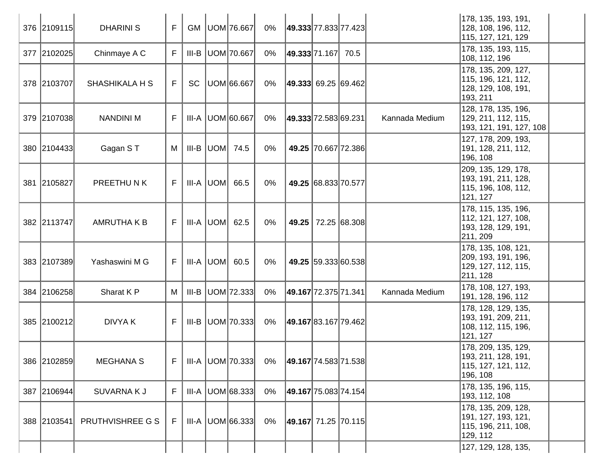| 376 2109115 | <b>DHARINI S</b>      | F  | <b>GM</b> |           | UOM 76.667           | $0\%$ | 49.333 77.833 77.423    |                     |                     |                | 178, 135, 193, 191,<br>128, 108, 196, 112,<br>115, 127, 121, 129                |  |
|-------------|-----------------------|----|-----------|-----------|----------------------|-------|-------------------------|---------------------|---------------------|----------------|---------------------------------------------------------------------------------|--|
| 377 2102025 | Chinmaye A C          | F. | III-B     |           | UOM 70.667           | $0\%$ | 49.333 71.167 70.5      |                     |                     |                | 178, 135, 193, 115,<br>108, 112, 196                                            |  |
| 378 2103707 | <b>SHASHIKALA H S</b> | F. | SC        |           | UOM 66.667           | $0\%$ | $ 49.333 $ 69.25 69.462 |                     |                     |                | 178, 135, 209, 127,<br>115, 196, 121, 112,<br>128, 129, 108, 191,<br>193, 211   |  |
| 379 2107038 | <b>NANDINI M</b>      | F  |           |           | III-A   UOM 60.667   | $0\%$ | 49.333 72.583 69.231    |                     |                     | Kannada Medium | 128, 178, 135, 196,<br>129, 211, 112, 115,<br>193, 121, 191, 127, 108           |  |
| 380 2104433 | Gagan ST              | M  | III-B     |           | UOM 74.5             | 0%    |                         |                     | 49.25 70.667 72.386 |                | 127, 178, 209, 193,<br>191, 128, 211, 112,<br>196, 108                          |  |
| 381 2105827 | PREETHUNK             | F. |           | III-A UOM | 66.5                 | $0\%$ |                         | 49.25 68.833 70.577 |                     |                | 209, 135, 129, 178,<br>193, 191, 211, 128,<br>115, 196, 108, 112,<br>121, 127   |  |
| 382 2113747 | <b>AMRUTHAKB</b>      | F. |           |           | III-A  UOM  62.5     | $0\%$ | 49.25                   |                     | 72.25 68.308        |                | 178, 115, 135, 196,<br>112, 121, 127, 108,<br>193, 128, 129, 191,<br>211, 209   |  |
| 383 2107389 | Yashaswini M G        | F. |           |           | $III-A$ $ UOM $ 60.5 | $0\%$ |                         |                     | 49.25 59.333 60.538 |                | 178, 135, 108, 121,<br> 209, 193, 191, 196,<br>129, 127, 112, 115,<br>211, 128  |  |
| 384 2106258 | Sharat K P            | M  | III-B     |           | UOM 72.333           | $0\%$ | 49.167 72.375 71.341    |                     |                     | Kannada Medium | 178, 108, 127, 193,<br>191, 128, 196, 112                                       |  |
| 385 2100212 | <b>DIVYAK</b>         | F. |           |           | $III-B$ UOM 70.333   | $0\%$ | 49.167 83.167 79.462    |                     |                     |                | 178, 128, 129, 135,<br>193, 191, 209, 211,<br>108, 112, 115, 196,<br>121, 127   |  |
| 386 2102859 | <b>MEGHANA S</b>      | F  |           |           | III-A   UOM   70.333 | 0%    | 49.167 74.583 71.538    |                     |                     |                | 178, 209, 135, 129,<br> 193, 211, 128, 191,<br>115, 127, 121, 112,<br> 196, 108 |  |
| 387 2106944 | <b>SUVARNAKJ</b>      | F. |           |           | III-A UOM 68.333     | $0\%$ | 49.167 75.083 74.154    |                     |                     |                | 178, 135, 196, 115,<br>193, 112, 108                                            |  |
| 388 2103541 | PRUTHVISHREE G S      | F  |           |           | $III-A$ UOM 66.333   | 0%    | 49.167 71.25 70.115     |                     |                     |                | 178, 135, 209, 128,<br> 191, 127, 193, 121,<br>115, 196, 211, 108,<br>129, 112  |  |
|             |                       |    |           |           |                      |       |                         |                     |                     |                | 127, 129, 128, 135,                                                             |  |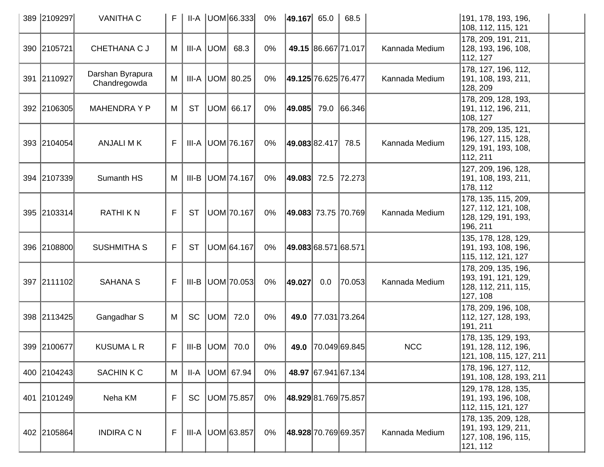| 389 2109297 | <b>VANITHA C</b>                 | F | II-A      |               | UOM 66.333           | 0%    | $ 49.167 $ 65.0      |                     | 68.5                |                | 191, 178, 193, 196,<br>108, 112, 115, 121                                      |  |
|-------------|----------------------------------|---|-----------|---------------|----------------------|-------|----------------------|---------------------|---------------------|----------------|--------------------------------------------------------------------------------|--|
| 390 2105721 | CHETHANA C J                     | M | III-A     | UOM           | 68.3                 | 0%    |                      | 49.15 86.667 71.017 |                     | Kannada Medium | 178, 209, 191, 211,<br>128, 193, 196, 108,<br>112, 127                         |  |
| 391 2110927 | Darshan Byrapura<br>Chandregowda | M | III-A     |               | UOM  80.25           | 0%    | 49.125 76.625 76.477 |                     |                     | Kannada Medium | 178, 127, 196, 112,<br>191, 108, 193, 211,<br>128, 209                         |  |
| 392 2106305 | <b>MAHENDRAYP</b>                | M | <b>ST</b> |               | UOM 66.17            | 0%    | 49.085  79.0  66.346 |                     |                     |                | 178, 209, 128, 193,<br>191, 112, 196, 211,<br>108, 127                         |  |
| 393 2104054 | <b>ANJALI MK</b>                 | F |           |               | III-A   UOM   76.167 | 0%    | 49.08382.417         |                     | 78.5                | Kannada Medium | 178, 209, 135, 121,<br>196, 127, 115, 128,<br> 129, 191, 193, 108,<br>112, 211 |  |
| 394 2107339 | Sumanth HS                       | M | III-B     |               | UOM 74.167           | $0\%$ | 49.083  72.5  72.273 |                     |                     |                | 127, 209, 196, 128,<br>191, 108, 193, 211,<br>178, 112                         |  |
| 395 2103314 | <b>RATHIKN</b>                   | F | <b>ST</b> |               | UOM 70.167           | $0\%$ | 49.083 73.75 70.769  |                     |                     | Kannada Medium | 178, 135, 115, 209,<br>127, 112, 121, 108,<br>128, 129, 191, 193,<br>196, 211  |  |
| 396 2108800 | <b>SUSHMITHA S</b>               | F | <b>ST</b> |               | UOM 64.167           | 0%    | 49.083 68.571 68.571 |                     |                     |                | 135, 178, 128, 129,<br>191, 193, 108, 196,<br>115, 112, 121, 127               |  |
| 397 2111102 | <b>SAHANA S</b>                  | F | III-B     |               | UOM 70.053           | $0\%$ | 49.027               | 0.0                 | 70.053              | Kannada Medium | 178, 209, 135, 196,<br>193, 191, 121, 129,<br>128, 112, 211, 115,<br>127, 108  |  |
| 398 2113425 | Gangadhar S                      | M | SC        | UOM           | 72.0                 | 0%    | 49.0                 | 77.031 73.264       |                     |                | 178, 209, 196, 108,<br>112, 127, 128, 193,<br>191, 211                         |  |
| 399 2100677 | <b>KUSUMALR</b>                  | F |           | $III-B  UOM $ | 70.0                 | 0%    |                      |                     | 49.0 70.049 69.845  | <b>NCC</b>     | 178, 135, 129, 193,<br> 191, 128, 112, 196,<br>121, 108, 115, 127, 211         |  |
| 400 2104243 | <b>SACHINKC</b>                  | M | II-A      |               | UOM 67.94            | 0%    |                      |                     | 48.97 67.941 67.134 |                | 178, 196, 127, 112,<br> 191, 108, 128, 193, 211                                |  |
| 401 2101249 | Neha KM                          | F | <b>SC</b> |               | UOM 75.857           | $0\%$ | 48.929 81.769 75.857 |                     |                     |                | 129, 178, 128, 135,<br>191, 193, 196, 108,<br>112, 115, 121, 127               |  |
| 402 2105864 | <b>INDIRA C N</b>                | F |           |               | III-A   UOM 63.857   | $0\%$ | 48.928 70.769 69.357 |                     |                     | Kannada Medium | 178, 135, 209, 128,<br>191, 193, 129, 211,<br>127, 108, 196, 115,<br>121, 112  |  |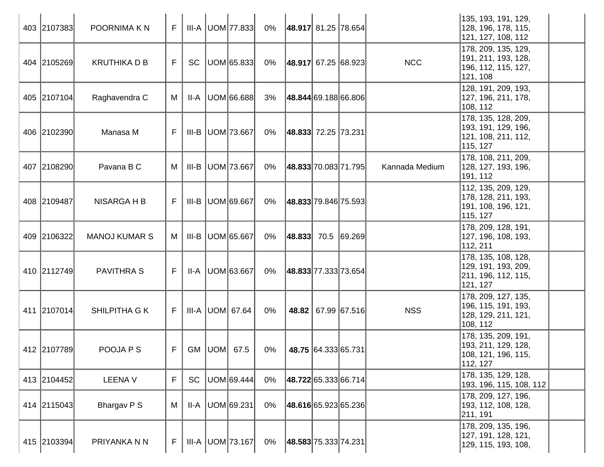| 403 2107383 | POORNIMA K N         | F. |           | <b>III-A UOM 77.833</b> | $0\%$ | 48.917 81.25 78.654       |                     |                | 135, 193, 191, 129,<br>128, 196, 178, 115,<br>121, 127, 108, 112               |  |
|-------------|----------------------|----|-----------|-------------------------|-------|---------------------------|---------------------|----------------|--------------------------------------------------------------------------------|--|
| 404 2105269 | <b>KRUTHIKA D B</b>  | F. | SC        | UOM 65.833              | 0%    | $ 48.917 $ 67.25 68.923   |                     | <b>NCC</b>     | 178, 209, 135, 129,<br>191, 211, 193, 128,<br>196, 112, 115, 127,<br>121, 108  |  |
| 405 2107104 | Raghavendra C        | M  | II-A      | UOM 66.688              | 3%    | 48.844 69.188 66.806      |                     |                | 128, 191, 209, 193,<br> 127, 196, 211, 178,<br>108, 112                        |  |
| 406 2102390 | Manasa M             | F  |           | $III-B$ UOM 73.667      | 0%    | $ 48.833 $ 72.25   73.231 |                     |                | 178, 135, 128, 209,<br>193, 191, 129, 196,<br>121, 108, 211, 112,<br>115, 127  |  |
| 407 2108290 | Pavana B C           | M  |           | III-B   UOM   73.667    | 0%    | 48.833 70.083 71.795      |                     | Kannada Medium | 178, 108, 211, 209,<br>128, 127, 193, 196,<br>191, 112                         |  |
| 408 2109487 | NISARGA H B          | F  |           | III-B   UOM 69.667      | 0%    | 48.833 79.846 75.593      |                     |                | 112, 135, 209, 129,<br>178, 128, 211, 193,<br> 191, 108, 196, 121,<br>115, 127 |  |
| 409 2106322 | <b>MANOJ KUMAR S</b> | М  |           | III-B   UOM 65.667      | $0\%$ | $ 48.833 $ 70.5 69.269    |                     |                | 178, 209, 128, 191,<br>127, 196, 108, 193,<br>112, 211                         |  |
| 410 2112749 | <b>PAVITHRA S</b>    | F  |           | II-A   UOM 63.667       | 0%    | 48.833 77.333 73.654      |                     |                | 178, 135, 108, 128,<br> 129, 191, 193, 209,<br>211, 196, 112, 115,<br>121, 127 |  |
| 411 2107014 | SHILPITHA G K        | F. |           | III-A UOM 67.64         | $0\%$ |                           | 48.82 67.99 67.516  | <b>NSS</b>     | 178, 209, 127, 135,<br>196, 115, 191, 193,<br>128, 129, 211, 121,<br>108, 112  |  |
| 412 2107789 | POOJA P S            | F. |           | GM   UOM   67.5         | 0%    |                           | 48.75 64.333 65.731 |                | 178, 135, 209, 191,<br>193, 211, 129, 128,<br>108, 121, 196, 115,<br>112, 127  |  |
| 413 2104452 | <b>LEENA V</b>       | F  | <b>SC</b> | UOM 69.444              | $0\%$ | 48.722 65.333 66.714      |                     |                | 178, 135, 129, 128,<br>193, 196, 115, 108, 112                                 |  |
| 414 2115043 | Bhargav P S          | M  | II-A      | UOM 69.231              | $0\%$ | 48.616 65.923 65.236      |                     |                | 178, 209, 127, 196,<br> 193, 112, 108, 128,<br>211, 191                        |  |
| 415 2103394 | PRIYANKA N N         | F  |           | III-A   UOM   73.167    | 0%    | 48.583 75.333 74.231      |                     |                | 178, 209, 135, 196,<br> 127, 191, 128, 121,<br>129, 115, 193, 108,             |  |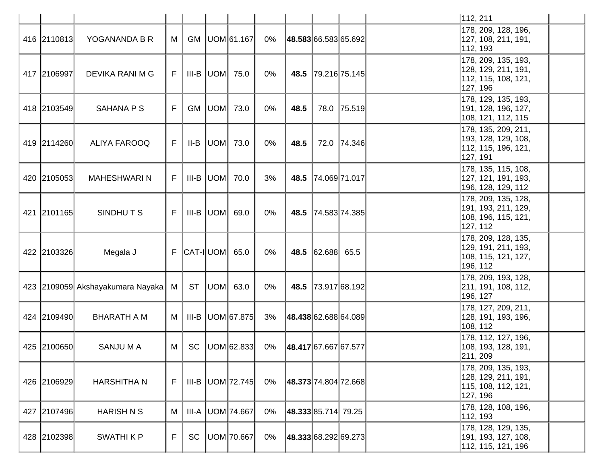|             |                                      |    |           |                          |       |                      |                  |                    | 112, 211                                                                       |  |
|-------------|--------------------------------------|----|-----------|--------------------------|-------|----------------------|------------------|--------------------|--------------------------------------------------------------------------------|--|
| 416 2110813 | YOGANANDA B R                        | М  | GM        | UOM 61.167               | 0%    | 48.583 66.583 65.692 |                  |                    | 178, 209, 128, 196,<br>127, 108, 211, 191,<br>112, 193                         |  |
| 417 2106997 | DEVIKA RANI M G                      | F. |           | $III-B$ UOM $75.0$       | $0\%$ | 48.5                 |                  | 79.216 75.145      | 178, 209, 135, 193,<br> 128, 129, 211, 191,<br>112, 115, 108, 121,<br>127, 196 |  |
| 418 2103549 | <b>SAHANA P S</b>                    | F  | <b>GM</b> | UOM  73.0                | 0%    | 48.5                 | 78.0             | 75.519             | 178, 129, 135, 193,<br>191, 128, 196, 127,<br>108, 121, 112, 115               |  |
| 419 2114260 | <b>ALIYA FAROOQ</b>                  | F. |           | $II-B$ UOM 73.0          | 0%    | 48.5                 |                  | 72.0 74.346        | 178, 135, 209, 211,<br>193, 128, 129, 108,<br>112, 115, 196, 121,<br>127, 191  |  |
| 420 2105053 | <b>MAHESHWARIN</b>                   | F  |           | $III-B$ UOM $70.0$       | 3%    | 48.5                 |                  | 74.06971.017       | 178, 135, 115, 108,<br>127, 121, 191, 193,<br>196, 128, 129, 112               |  |
| 421 2101165 | SINDHUTS                             | F. |           | $III-B$ $ UOM $ 69.0     | 0%    |                      |                  | 48.5 74.583 74.385 | 178, 209, 135, 128,<br>191, 193, 211, 129,<br>108, 196, 115, 121,<br>127, 112  |  |
| 422 2103326 | Megala J                             |    |           | $F$ $ CAT - I $ UOM 65.0 | $0\%$ |                      | 48.5 62.688 65.5 |                    | 178, 209, 128, 135,<br> 129, 191, 211, 193,<br>108, 115, 121, 127,<br>196, 112 |  |
|             | 423 2109059 Akshayakumara Nayaka   M |    | <b>ST</b> | UOM 63.0                 | $0\%$ | 48.5                 |                  | 73.917 68.192      | 178, 209, 193, 128,<br>211, 191, 108, 112,<br>196, 127                         |  |
| 424 2109490 | <b>BHARATH A M</b>                   | M  | $III-B$   | UOM 67.875               | 3%    | 48.438 62.688 64.089 |                  |                    | 178, 127, 209, 211,<br> 128, 191, 193, 196,<br>108, 112                        |  |
| 425 2100650 | <b>SANJUMA</b>                       | M  | SC        | UOM 62.833               | 0%    | 48.417 67.667 67.577 |                  |                    | 178, 112, 127, 196,<br>108, 193, 128, 191,<br>211, 209                         |  |
| 426 2106929 | <b>HARSHITHAN</b>                    | F  |           | $III-B$ UOM 72.745       | 0%    | 48.373 74.804 72.668 |                  |                    | 178, 209, 135, 193,<br> 128, 129, 211, 191,<br>115, 108, 112, 121,<br>127, 196 |  |
| 427 2107496 | <b>HARISH N S</b>                    | M  | III-A     | UOM 74.667               | 0%    | 48.333 85.714 79.25  |                  |                    | 178, 128, 108, 196,<br>112, 193                                                |  |
| 428 2102398 | <b>SWATHIKP</b>                      | F  | <b>SC</b> | UOM 70.667               | $0\%$ | 48.333 68.292 69.273 |                  |                    | 178, 128, 129, 135,<br> 191, 193, 127, 108,<br>112, 115, 121, 196              |  |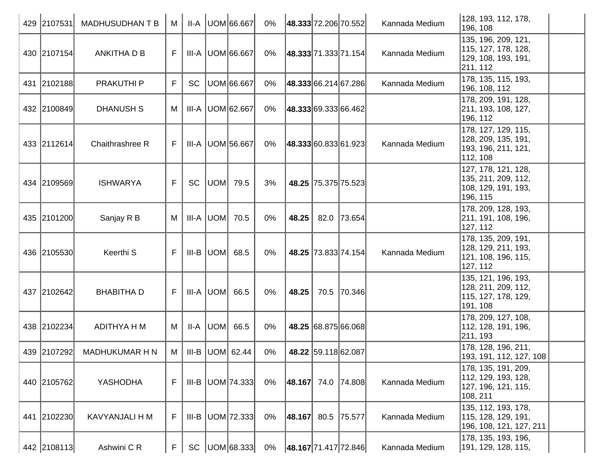| 429 2107531 | <b>MADHUSUDHANTB</b> | M  | II-A      | UOM 66.667              | 0%    | 48.333 72.206 70.552 |                     |                     | Kannada Medium | 128, 193, 112, 178,<br>196, 108                                                |  |
|-------------|----------------------|----|-----------|-------------------------|-------|----------------------|---------------------|---------------------|----------------|--------------------------------------------------------------------------------|--|
| 430 2107154 | ANKITHA D B          | F  |           | III-A UOM 66.667        | 0%    | 48.333 71.333 71.154 |                     |                     | Kannada Medium | 135, 196, 209, 121,<br>115, 127, 178, 128,<br>129, 108, 193, 191,<br>211, 112  |  |
| 431 2102188 | <b>PRAKUTHI P</b>    | F. | <b>SC</b> | UOM 66.667              | 0%    | 48.333 66.214 67.286 |                     |                     | Kannada Medium | 178, 135, 115, 193,<br>196, 108, 112                                           |  |
| 432 2100849 | <b>DHANUSH S</b>     | М  |           | III-A   UOM 62.667      | 0%    | 48.333 69.333 66.462 |                     |                     |                | 178, 209, 191, 128,<br>211, 193, 108, 127,<br>196, 112                         |  |
| 433 2112614 | Chaithrashree R      | F  |           | III-A   UOM 56.667      | 0%    | 48.333 60.833 61.923 |                     |                     | Kannada Medium | 178, 127, 129, 115,<br>128, 209, 135, 191,<br>193, 196, 211, 121,<br>112, 108  |  |
| 434 2109569 | <b>ISHWARYA</b>      | F  | <b>SC</b> | $ UOM $ 79.5            | 3%    |                      | 48.25 75.375 75.523 |                     |                | 127, 178, 121, 128,<br>135, 211, 209, 112,<br>108, 129, 191, 193,<br>196, 115  |  |
| 435 2101200 | Sanjay R B           | М  |           | III-A UOM 70.5          | 0%    | 48.25                | 82.0                | 73.654              |                | 178, 209, 128, 193,<br>211, 191, 108, 196,<br>127, 112                         |  |
| 436 2105530 | Keerthi S            | F  |           | $III-B$ UOM 68.5        | $0\%$ |                      |                     | 48.25 73.833 74.154 | Kannada Medium | 178, 135, 209, 191,<br>128, 129, 211, 193,<br>121, 108, 196, 115,<br>127, 112  |  |
| 437 2102642 | <b>BHABITHA D</b>    | F. |           | III-A  UOM  66.5        | $0\%$ | 48.25                |                     | 70.5 70.346         |                | 135, 121, 196, 193,<br>128, 211, 209, 112,<br>115, 127, 178, 129,<br>191, 108  |  |
| 438 2102234 | ADITHYA H M          | M  |           | $II-A$ $ UOM $ 66.5     | $0\%$ |                      | 48.25 68.875 66.068 |                     |                | 178, 209, 127, 108,<br>112, 128, 191, 196,<br>211, 193                         |  |
| 439 2107292 | MADHUKUMAR H N       |    |           | M   III-B   UOM   62.44 | 0%    |                      |                     | 48.22 59.118 62.087 |                | 178, 128, 196, 211,<br>193, 191, 112, 127, 108                                 |  |
| 440 2105762 | YASHODHA             | F  |           | III-B   UOM   74.333    | 0%    | 48.167 74.0 74.808   |                     |                     | Kannada Medium | 178, 135, 191, 209,<br> 112, 129, 193, 128,<br>127, 196, 121, 115,<br>108, 211 |  |
| 441 2102230 | KAVYANJALI H M       | F  | $III-B$   | UOM 72.333              | $0\%$ | 48.167               |                     | 80.5 75.577         | Kannada Medium | 135, 112, 193, 178,<br> 115, 128, 129, 191,<br>196, 108, 121, 127, 211         |  |
| 442 2108113 | Ashwini C R          | F. |           | SC   UOM 68.333         | 0%    | 48.167 71.417 72.846 |                     |                     | Kannada Medium | 178, 135, 193, 196,<br>191, 129, 128, 115,                                     |  |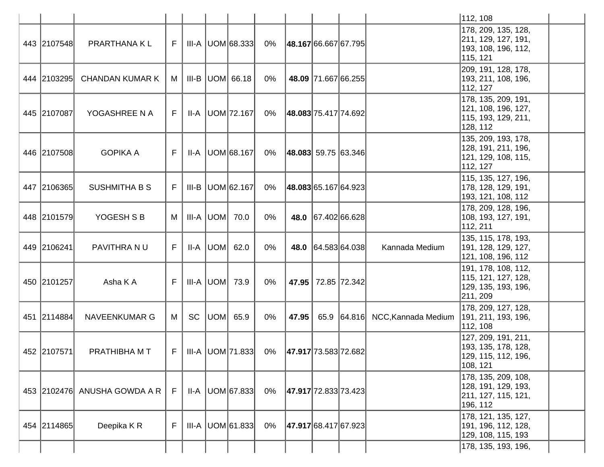|             |                              |    |    |                                                      |       |       |                             |                     | 112, 108                                                                       |  |
|-------------|------------------------------|----|----|------------------------------------------------------|-------|-------|-----------------------------|---------------------|--------------------------------------------------------------------------------|--|
| 443 2107548 | PRARTHANA KL                 | F. |    | $III-A$ UOM 68.333                                   | 0%    |       | 48.167 66.667 67.795        |                     | 178, 209, 135, 128,<br>211, 129, 127, 191,<br>193, 108, 196, 112,<br>115, 121  |  |
| 444 2103295 | <b>CHANDAN KUMAR K</b>       | M  |    | III-B UOM 66.18                                      | $0\%$ |       | 48.09 71.667 66.255         |                     | 209, 191, 128, 178,<br>193, 211, 108, 196,<br>112, 127                         |  |
| 445 2107087 | YOGASHREE N A                | F. |    | II-A   UOM   72.167                                  | 0%    |       | 48.083 75.417 74.692        |                     | 178, 135, 209, 191,<br>121, 108, 196, 127,<br>115, 193, 129, 211,<br>128, 112  |  |
| 446 2107508 | <b>GOPIKA A</b>              | F  |    | $II-A$ UOM 68.167                                    | 0%    |       | $ 48.083 $ 59.75 $ 63.346 $ |                     | 135, 209, 193, 178,<br> 128, 191, 211, 196,<br>121, 129, 108, 115,<br>112, 127 |  |
| 447 2106365 | <b>SUSHMITHA B S</b>         | F  |    | III-B UOM 62.167                                     | 0%    |       | 48.083 65.167 64.923        |                     | 115, 135, 127, 196,<br>178, 128, 129, 191,<br>193, 121, 108, 112               |  |
| 448 2101579 | YOGESH S B                   | M  |    | $III-A  UOM $ 70.0                                   | $0\%$ |       | 48.0 67.402 66.628          |                     | 178, 209, 128, 196,<br>108, 193, 127, 191,<br>112, 211                         |  |
| 449 2106241 | PAVITHRA NU                  | F  |    | $II-A$ $ UOM $ 62.0                                  | $0\%$ | 48.0  | 64.583 64.038               | Kannada Medium      | 135, 115, 178, 193,<br> 191, 128, 129, 127,<br>121, 108, 196, 112              |  |
| 450 2101257 | Asha K A                     | F  |    | $III-A$ UOM $73.9$                                   | $0\%$ |       | 47.95   72.85   72.342      |                     | 191, 178, 108, 112,<br>115, 121, 127, 128,<br>129, 135, 193, 196,<br>211, 209  |  |
| 451 2114884 | <b>NAVEENKUMAR G</b>         | M  | SC | $ UOM $ 65.9                                         | $0\%$ | 47.95 | 65.9 64.816                 | NCC, Kannada Medium | 178, 209, 127, 128,<br>191, 211, 193, 196,<br>112, 108                         |  |
| 452 2107571 | PRATHIBHA M T                | F. |    | III-A   UOM   71.833   0%   47.917   73.583   72.682 |       |       |                             |                     | 127, 209, 191, 211,<br>193, 135, 178, 128,<br>129, 115, 112, 196,<br> 108, 121 |  |
|             | 453 2102476 ANUSHA GOWDA A R | F  |    | $II-A$ UOM $67.833$                                  | 0%    |       | 47.917 72.833 73.423        |                     | 178, 135, 209, 108,<br> 128, 191, 129, 193,<br>211, 127, 115, 121,<br>196, 112 |  |
| 454 2114865 | Deepika KR                   | F  |    | $III-A$ UOM 61.833                                   | 0%    |       | 47.917 68.417 67.923        |                     | 178, 121, 135, 127,<br> 191, 196, 112, 128,<br>129, 108, 115, 193              |  |
|             |                              |    |    |                                                      |       |       |                             |                     | 178, 135, 193, 196,                                                            |  |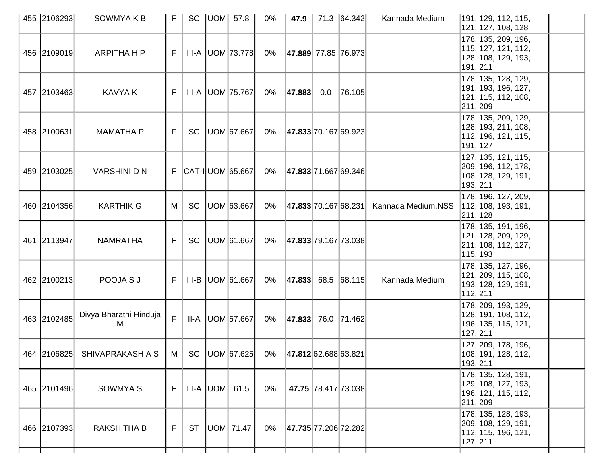| 455 2106293 | <b>SOWMYAKB</b>                                                              | F.             | <b>SC</b> | $ UOM $ 57.8               | $0\%$ | 47.9                     |     | 71.3 64.342         | Kannada Medium      | 191, 129, 112, 115,<br>121, 127, 108, 128                                       |
|-------------|------------------------------------------------------------------------------|----------------|-----------|----------------------------|-------|--------------------------|-----|---------------------|---------------------|---------------------------------------------------------------------------------|
| 456 2109019 | <b>ARPITHA H P</b>                                                           | F              |           | III-A   UOM   73.778       | 0%    | 47.889  77.85   76.973   |     |                     |                     | 178, 135, 209, 196,<br>115, 127, 121, 112,<br>128, 108, 129, 193,<br>191, 211   |
| 457 2103463 | <b>KAVYA K</b>                                                               | F.             |           | III-A   UOM   75.767       | 0%    | 47.883                   | 0.0 | 76.105              |                     | 178, 135, 128, 129,<br> 191, 193, 196, 127,<br>121, 115, 112, 108,<br>211, 209  |
| 458 2100631 | <b>MAMATHA P</b>                                                             | F              | SC        | UOM 67.667                 | 0%    | 47.833 70.167 69.923     |     |                     |                     | 178, 135, 209, 129,<br>128, 193, 211, 108,<br> 112, 196, 121, 115,<br>191, 127  |
| 459 2103025 | <b>VARSHINI D N</b>                                                          |                |           | $F$ $ CAT - I $ UOM 65.667 | 0%    | 47.833 71.667 69.346     |     |                     |                     | 127, 135, 121, 115,<br>209, 196, 112, 178,<br>108, 128, 129, 191,<br>193, 211   |
| 460 2104356 | <b>KARTHIK G</b>                                                             | M              | <b>SC</b> | UOM 63.667                 | 0%    | 47.833 70.167 68.231     |     |                     | Kannada Medium, NSS | 178, 196, 127, 209,<br>112, 108, 193, 191,<br>211, 128                          |
| 461 2113947 | <b>NAMRATHA</b>                                                              | F.             | <b>SC</b> | UOM 61.667                 | 0%    | 47.833 79.167 73.038     |     |                     |                     | 178, 135, 191, 196,<br>121, 128, 209, 129,<br>211, 108, 112, 127,<br>115, 193   |
| 462 2100213 | POOJA S J                                                                    | F              |           | III-B   UOM 61.667         | 0%    | $ 47.833 $ 68.5 68.115   |     |                     | Kannada Medium      | 178, 135, 127, 196,<br>121, 209, 115, 108,<br>193, 128, 129, 191,<br>112, 211   |
| 463 2102485 | Divya Bharathi Hinduja<br>м                                                  | F.             |           | II-A   UOM 57.667          | 0%    | $ 47.833 $ 76.0   71.462 |     |                     |                     | 178, 209, 193, 129,<br>128, 191, 108, 112,<br>196, 135, 115, 121,<br>127, 211   |
|             | 464 2106825 SHIVAPRAKASH A S   M   SC   UOM 67.625 0%   47.812 62.688 63.821 |                |           |                            |       |                          |     |                     |                     | 127, 209, 178, 196,<br>108, 191, 128, 112,<br>193, 211                          |
| 465 2101496 | SOWMYA S                                                                     | F <sub>1</sub> |           | III-A $ $ UOM $ $ 61.5     | 0%    |                          |     | 47.75 78.417 73.038 |                     | 178, 135, 128, 191,<br> 129, 108, 127, 193,<br> 196, 121, 115, 112,<br>211, 209 |
| 466 2107393 | <b>RAKSHITHA B</b>                                                           | F              | <b>ST</b> | UOM 71.47                  | 0%    | 47.735 77.206 72.282     |     |                     |                     | 178, 135, 128, 193,<br>209, 108, 129, 191,<br>112, 115, 196, 121,<br>127, 211   |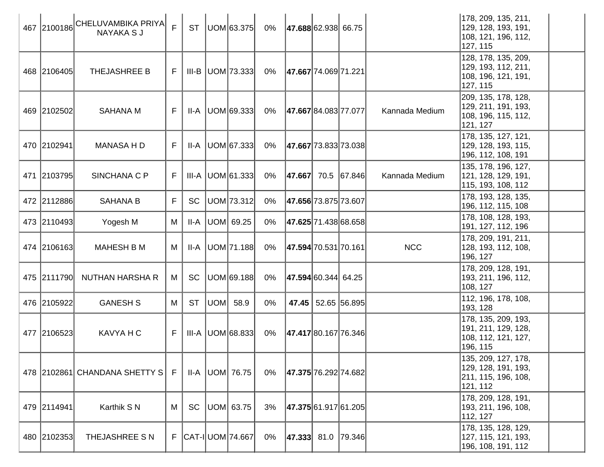| 467 2100186 | CHELUVAMBIKA PRIYA <br>NAYAKA S J | $\mathsf{F}$ | <b>ST</b> |     | UOM 63.375               | 0%    | 47.688 62.938 66.75      |                      |                | 178, 209, 135, 211,<br> 129, 128, 193, 191,<br> 108, 121, 196, 112,<br>127, 115 |  |
|-------------|-----------------------------------|--------------|-----------|-----|--------------------------|-------|--------------------------|----------------------|----------------|---------------------------------------------------------------------------------|--|
| 468 2106405 | THEJASHREE B                      | F            |           |     | $III-B$ $ UOM 73.333 $   | 0%    | 47.667 74.069 71.221     |                      |                | 128, 178, 135, 209,<br>129, 193, 112, 211,<br>108, 196, 121, 191,<br>127, 115   |  |
| 469 2102502 | <b>SAHANA M</b>                   | F            | II-A      |     | UOM 69.333               | 0%    | 47.667 84.083 77.077     |                      | Kannada Medium | 209, 135, 178, 128,<br>129, 211, 191, 193,<br>108, 196, 115, 112,<br>121, 127   |  |
| 470 2102941 | MANASA H D                        | F            | II-A      |     | UOM 67.333               | 0%    | 47.667 73.833 73.038     |                      |                | 178, 135, 127, 121,<br> 129, 128, 193, 115,<br>196, 112, 108, 191               |  |
| 471 2103795 | SINCHANA C P                      | F            |           |     | $III-A$ UOM 61.333       | 0%    | 47.667                   | 70.5 67.846          | Kannada Medium | 135, 178, 196, 127,<br>121, 128, 129, 191,<br>115, 193, 108, 112                |  |
| 472 2112886 | <b>SAHANA B</b>                   | F            | <b>SC</b> |     | UOM 73.312               | 0%    |                          | 47.656 73.875 73.607 |                | 178, 193, 128, 135,<br>196, 112, 115, 108                                       |  |
| 473 2110493 | Yogesh M                          | M            | II-A      |     | UOM 69.25                | 0%    |                          | 47.625 71.438 68.658 |                | 178, 108, 128, 193,<br> 191, 127, 112, 196                                      |  |
| 474 2106163 | <b>MAHESH B M</b>                 | M            | II-A      |     | UOM 71.188               | $0\%$ |                          | 47.594 70.531 70.161 | <b>NCC</b>     | 178, 209, 191, 211,<br>128, 193, 112, 108,<br>196, 127                          |  |
| 475 2111790 | NUTHAN HARSHA R                   | М            | <b>SC</b> |     | UOM 69.188               | 0%    | 47.594 60.344 64.25      |                      |                | 178, 209, 128, 191,<br>193, 211, 196, 112,<br>108, 127                          |  |
| 476 2105922 | <b>GANESH S</b>                   | М            | <b>ST</b> | UOM | 58.9                     | $0\%$ | 47.45                    | 52.65 56.895         |                | 112, 196, 178, 108,<br>193, 128                                                 |  |
| 477 2106523 | KAVYA H C                         | F            |           |     | $III-A$ UOM 68.833       | 0%    | 47.417 80.167 76.346     |                      |                | 178, 135, 209, 193,<br> 191, 211, 129, 128,<br>108, 112, 121, 127,<br>196, 115  |  |
|             | 478 2102861 CHANDANA SHETTY S     | - F          |           |     | $II-A$ UOM $76.75$       | 0%    | 47.375 76.292 74.682     |                      |                | 135, 209, 127, 178,<br>129, 128, 191, 193,<br>211, 115, 196, 108,<br>121, 112   |  |
| 479 2114941 | Karthik S N                       | M            | <b>SC</b> |     | UOM  63.75               | 3%    |                          | 47.375 61.917 61.205 |                | 178, 209, 128, 191,<br>193, 211, 196, 108,<br>112, 127                          |  |
| 480 2102353 | THEJASHREE S N                    |              |           |     | F   CAT-I   UOM   74.667 | 0%    | $ 47.333 $ 81.0   79.346 |                      |                | 178, 135, 128, 129,<br>127, 115, 121, 193,<br>196, 108, 191, 112                |  |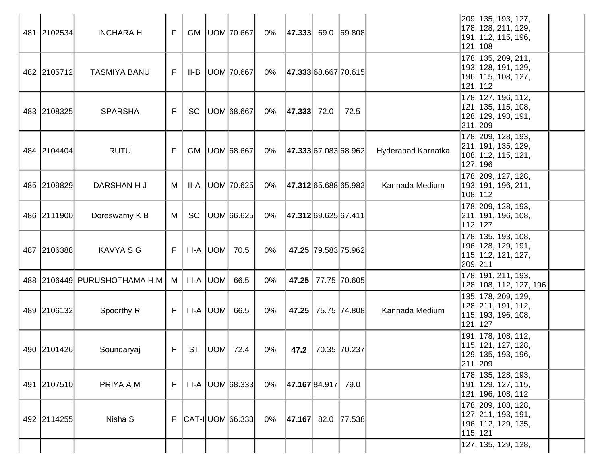| 481 2102534 | <b>INCHARA H</b>             | F. |           |           | GM   UOM   70.667          | 0%    | $ 47.333 $ 69.0 69.808   |                     |                    | 209, 135, 193, 127,<br> 178, 128, 211, 129,<br>191, 112, 115, 196,<br>121, 108  |
|-------------|------------------------------|----|-----------|-----------|----------------------------|-------|--------------------------|---------------------|--------------------|---------------------------------------------------------------------------------|
| 482 2105712 | <b>TASMIYA BANU</b>          | F. |           |           | $II-B$   UOM   70.667      | 0%    | 47.333 68.667 70.615     |                     |                    | 178, 135, 209, 211,<br> 193, 128, 191, 129,<br> 196, 115, 108, 127,<br>121, 112 |
| 483 2108325 | <b>SPARSHA</b>               | F. | <b>SC</b> |           | UOM 68.667                 | 0%    | $ 47.333 $ 72.0          | 72.5                |                    | 178, 127, 196, 112,<br>121, 135, 115, 108,<br>128, 129, 193, 191,<br>211, 209   |
| 484 2104404 | <b>RUTU</b>                  | F  |           |           | GM   UOM 68.667            | 0%    | 47.333 67.083 68.962     |                     | Hyderabad Karnatka | 178, 209, 128, 193,<br>211, 191, 135, 129,<br>108, 112, 115, 121,<br>127, 196   |
| 485 2109829 | DARSHAN H J                  | M  | II-A      |           | UOM 70.625                 | 0%    | 47.312 65.688 65.982     |                     | Kannada Medium     | 178, 209, 127, 128,<br>193, 191, 196, 211,<br>108, 112                          |
| 486 2111900 | Doreswamy K B                | M  | <b>SC</b> |           | UOM 66.625                 | $0\%$ | 47.312 69.625 67.411     |                     |                    | 178, 209, 128, 193,<br>211, 191, 196, 108,<br>112, 127                          |
| 487 2106388 | <b>KAVYA S G</b>             | F  |           |           | $III-A$ UOM $70.5$         | $0\%$ |                          | 47.25 79.583 75.962 |                    | 178, 135, 193, 108,<br>196, 128, 129, 191,<br>115, 112, 121, 127,<br>209, 211   |
|             | 488 2106449 PURUSHOTHAMA H M | M  |           | III-A UOM | 66.5                       | $0\%$ | 47.25                    | 77.75   70.605      |                    | 178, 191, 211, 193,<br> 128, 108, 112, 127, 196                                 |
| 489 2106132 | Spoorthy R                   | F. |           |           | $III-A$ $UOM$ 66.5         | 0%    |                          | 47.25 75.75 74.808  | Kannada Medium     | 135, 178, 209, 129,<br> 128, 211, 191, 112,<br>115, 193, 196, 108,<br>121, 127  |
| 490 2101426 | Soundaryaj                   | F. |           |           | ST   UOM   72.4            | 0%    |                          | 47.2 70.35 70.237   |                    | 191, 178, 108, 112,<br>115, 121, 127, 128,<br>129, 135, 193, 196,<br>211, 209   |
| 491 2107510 | PRIYA A M                    | F  |           |           | $III-A$ UOM 68.333         | 0%    | 47.167 84.917 79.0       |                     |                    | 178, 135, 128, 193,<br> 191, 129, 127, 115,<br>121, 196, 108, 112               |
| 492 2114255 | Nisha S                      |    |           |           | $F$ $ CAT - I $ UOM 66.333 | 0%    | $ 47.167 $ 82.0   77.538 |                     |                    | 178, 209, 108, 128,<br>127, 211, 193, 191,<br> 196, 112, 129, 135,<br>115, 121  |
|             |                              |    |           |           |                            |       |                          |                     |                    | 127, 135, 129, 128,                                                             |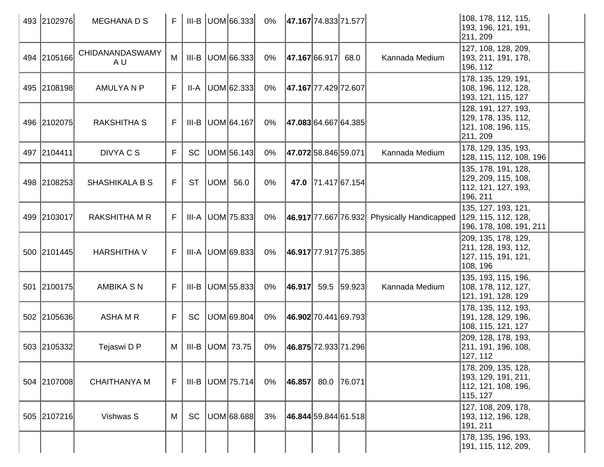| 493 2102976 | <b>MEGHANADS</b>       | $F_{\perp}$ |           | $III-B$ UOM 66.333      | 0%    | 47.167 74.833 71.577     |                    |             |                                                 | 108, 178, 112, 115,<br>193, 196, 121, 191,<br>211, 209                         |  |
|-------------|------------------------|-------------|-----------|-------------------------|-------|--------------------------|--------------------|-------------|-------------------------------------------------|--------------------------------------------------------------------------------|--|
| 494 2105166 | CHIDANANDASWAMY<br>A U | M           | III-B     | UOM 66.333              | $0\%$ | 47.167 66.917            |                    | 68.0        | Kannada Medium                                  | 127, 108, 128, 209,<br>193, 211, 191, 178,<br>196, 112                         |  |
| 495 2108198 | <b>AMULYANP</b>        | F           | II-A      | UOM 62.333              | $0\%$ | 47.167 77.429 72.607     |                    |             |                                                 | 178, 135, 129, 191,<br>108, 196, 112, 128,<br>193, 121, 115, 127               |  |
| 496 2102075 | <b>RAKSHITHA S</b>     | F.          |           | $III-B$ UOM 64.167      | 0%    | 47.083 64.667 64.385     |                    |             |                                                 | 128, 191, 127, 193,<br>129, 178, 135, 112,<br>121, 108, 196, 115,<br>211, 209  |  |
| 497 2104411 | DIVYA C S              | F           | <b>SC</b> | UOM 56.143              | $0\%$ | 47.07258.84659.071       |                    |             | Kannada Medium                                  | 178, 129, 135, 193,<br>128, 115, 112, 108, 196                                 |  |
| 498 2108253 | <b>SHASHIKALA B S</b>  | F.          | <b>ST</b> | UOM 56.0                | $0\%$ |                          | 47.0 71.417 67.154 |             |                                                 | 135, 178, 191, 128,<br>129, 209, 115, 108,<br>112, 121, 127, 193,<br>196, 211  |  |
| 499 2103017 | <b>RAKSHITHA M R</b>   | F           |           | III-A   UOM   75.833    | $0\%$ |                          |                    |             | $ 46.917 77.667 76.932 $ Physically Handicapped | 135, 127, 193, 121,<br>129, 115, 112, 128,<br>196, 178, 108, 191, 211          |  |
| 500 2101445 | <b>HARSHITHA V</b>     | F.          |           | $III-A$ UOM 69.833      | 0%    | 46.917 77.917 75.385     |                    |             |                                                 | 209, 135, 178, 129,<br>211, 128, 193, 112,<br> 127, 115, 191, 121,<br>108, 196 |  |
| 501 2100175 | <b>AMBIKA S N</b>      | F.          |           | $III-B$ UOM 55.833      | 0%    | 46.917                   |                    | 59.5 59.923 | Kannada Medium                                  | 135, 193, 115, 196,<br>108, 178, 112, 127,<br>121, 191, 128, 129               |  |
| 502 2105636 | ASHA M R               | F           | <b>SC</b> | UOM 69.804              | $0\%$ | 46.902 70.441 69.793     |                    |             |                                                 | 178, 135, 112, 193,<br> 191, 128, 129, 196,<br>108, 115, 121, 127              |  |
| 503 2105332 | Tejaswi D P            | M           |           | III-B $ $ UOM $ $ 73.75 | $0\%$ | 46.875 72.933 71.296     |                    |             |                                                 | 209, 128, 178, 193,<br>211, 191, 196, 108,<br>127, 112                         |  |
| 504 2107008 | <b>CHAITHANYA M</b>    | F           |           | $III-B$ UOM 75.714      | 0%    | $ 46.857 $ 80.0   76.071 |                    |             |                                                 | 178, 209, 135, 128,<br>193, 129, 191, 211,<br>112, 121, 108, 196,<br>115, 127  |  |
| 505 2107216 | Vishwas S              | M           | <b>SC</b> | UOM 68.688              | 3%    | 46.844 59.844 61.518     |                    |             |                                                 | 127, 108, 209, 178,<br> 193, 112, 196, 128,<br>191, 211                        |  |
|             |                        |             |           |                         |       |                          |                    |             |                                                 | 178, 135, 196, 193,<br>191, 115, 112, 209,                                     |  |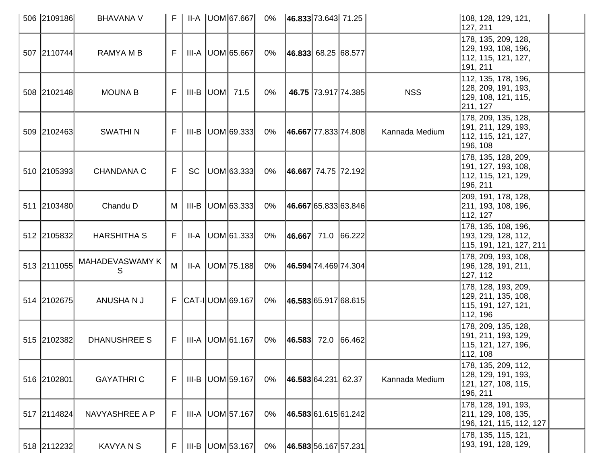| 506 2109186 | <b>BHAVANA V</b>     | F. |           | II-A UOM 67.667                | 0%    | 46.833 73.643 71.25        |                     |                | 108, 128, 129, 121,<br>127, 211                                                 |  |
|-------------|----------------------|----|-----------|--------------------------------|-------|----------------------------|---------------------|----------------|---------------------------------------------------------------------------------|--|
| 507 2110744 | RAMYA M B            | F. |           | $III-A$ UOM 65.667             | 0%    | $ 46.833 $ 68.25 68.577    |                     |                | 178, 135, 209, 128,<br>129, 193, 108, 196,<br>112, 115, 121, 127,<br>191, 211   |  |
| 508 2102148 | <b>MOUNA B</b>       | F  |           | III-B $ $ UOM $ $ 71.5         | 0%    |                            | 46.75 73.917 74.385 | <b>NSS</b>     | 112, 135, 178, 196,<br>128, 209, 191, 193,<br>129, 108, 121, 115,<br>211, 127   |  |
| 509 2102463 | <b>SWATHIN</b>       | F  |           | $III-B$ $ UOM 69.333 $         | 0%    | 46.667 77.833 74.808       |                     | Kannada Medium | 178, 209, 135, 128,<br>191, 211, 129, 193,<br>112, 115, 121, 127,<br>196, 108   |  |
| 510 2105393 | <b>CHANDANA C</b>    | F  | <b>SC</b> | UOM 63.333                     | 0%    | 46.667  74.75   72.192     |                     |                | 178, 135, 128, 209,<br>191, 127, 193, 108,<br>112, 115, 121, 129,<br>196, 211   |  |
| 511 2103480 | Chandu D             | M  |           | $III-B$ UOM 63.333             | 0%    | 46.667 65.833 63.846       |                     |                | 209, 191, 178, 128,<br>211, 193, 108, 196,<br>112, 127                          |  |
| 512 2105832 | <b>HARSHITHA S</b>   | F  |           | $II-A$   UOM $61.333$          | 0%    | $ 46.667 $ 71.0 $ 66.222 $ |                     |                | 178, 135, 108, 196,<br>193, 129, 128, 112,<br>115, 191, 121, 127, 211           |  |
| 513 2111055 | MAHADEVASWAMY K<br>S | M  |           | $II-A$ UOM 75.188              | 0%    | 46.594 74.469 74.304       |                     |                | 178, 209, 193, 108,<br>196, 128, 191, 211,<br>127, 112                          |  |
| 514 2102675 | ANUSHANJ             |    |           | $F$ $ CAT - I $ UOM $ 69.167 $ | 0%    | 46.583 65.917 68.615       |                     |                | 178, 128, 193, 209,<br>129, 211, 135, 108,<br> 115, 191, 127, 121,<br>112, 196  |  |
| 515 2102382 | <b>DHANUSHREE S</b>  | F  |           | $III-A$ UOM 61.167             | 0%    | $ 46.583 $ 72.0 66.462     |                     |                | 178, 209, 135, 128,<br>191, 211, 193, 129,<br>115, 121, 127, 196,<br>112, 108   |  |
| 516 2102801 | <b>GAYATHRIC</b>     | F  |           | III-B   UOM   59.167           | 0%    | 46.583 64.231 62.37        |                     | Kannada Medium | 178, 135, 209, 112,<br> 128, 129, 191, 193,<br>121, 127, 108, 115,<br> 196, 211 |  |
| 517 2114824 | NAVYASHREE A P       | F  |           | III-A   UOM   57.167           | $0\%$ | 46.583 61.615 61.242       |                     |                | 178, 128, 191, 193,<br>211, 129, 108, 135,<br>196, 121, 115, 112, 127           |  |
| 518 2112232 | <b>KAVYANS</b>       | F  |           | $III-B$ UOM 53.167             | 0%    | 46.583 56.167 57.231       |                     |                | 178, 135, 115, 121,<br>193, 191, 128, 129,                                      |  |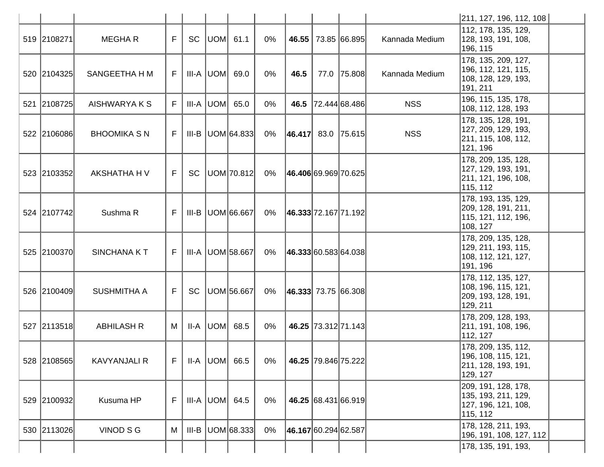|             |                     |    |         |                      |       |                          |                     |                | 211, 127, 196, 112, 108                                                         |  |
|-------------|---------------------|----|---------|----------------------|-------|--------------------------|---------------------|----------------|---------------------------------------------------------------------------------|--|
| 519 2108271 | <b>MEGHAR</b>       | F  | SC      | $ UOM $ 61.1         | $0\%$ | 46.55                    | 73.85 66.895        | Kannada Medium | 112, 178, 135, 129,<br>128, 193, 191, 108,<br>196, 115                          |  |
| 520 2104325 | SANGEETHA H M       | F  |         | $III-A$ $ UOM $ 69.0 | 0%    | 46.5                     | 77.0 75.808         | Kannada Medium | 178, 135, 209, 127,<br>196, 112, 121, 115,<br>108, 128, 129, 193,<br>191, 211   |  |
| 521 2108725 | AISHWARYA K S       | F  |         | $III-A$ UOM 65.0     | $0\%$ | 46.5                     | 72.444 68.486       | <b>NSS</b>     | 196, 115, 135, 178,<br>108, 112, 128, 193                                       |  |
| 522 2106086 | <b>BHOOMIKA S N</b> | F. |         | $III-B$ UOM 64.833   | 0%    | $ 46.417 $ 83.0   75.615 |                     | <b>NSS</b>     | 178, 135, 128, 191,<br>127, 209, 129, 193,<br>211, 115, 108, 112,<br>121, 196   |  |
| 523 2103352 | AKSHATHA H V        | F  |         | SC   UOM   70.812    | 0%    | 46.406 69.969 70.625     |                     |                | 178, 209, 135, 128,<br>127, 129, 193, 191,<br>211, 121, 196, 108,<br>115, 112   |  |
| 524 2107742 | Sushma R            | F. |         | III-B   UOM 66.667   | 0%    | 46.333 72.167 71.192     |                     |                | 178, 193, 135, 129,<br>209, 128, 191, 211,<br>115, 121, 112, 196,<br>108, 127   |  |
| 525 2100370 | SINCHANA KT         | F. |         | III-A   UOM 58.667   | 0%    | 46.333 60.583 64.038     |                     |                | 178, 209, 135, 128,<br> 129, 211, 193, 115,<br>108, 112, 121, 127,<br> 191, 196 |  |
| 526 2100409 | <b>SUSHMITHA A</b>  | F  | SC      | UOM 56.667           | 0%    | $ 46.333 $ 73.75 66.308  |                     |                | 178, 112, 135, 127,<br>108, 196, 115, 121,<br> 209, 193, 128, 191,<br>129, 211  |  |
| 527 2113518 | <b>ABHILASH R</b>   | M  |         | $II-A$ UOM 68.5      | $0\%$ |                          | 46.25 73.312 71.143 |                | 178, 209, 128, 193,<br>211, 191, 108, 196,<br>112, 127                          |  |
| 528 2108565 | <b>KAVYANJALI R</b> | F  |         | $II-A$ UOM 66.5      | 0%    |                          | 46.25 79.846 75.222 |                | 178, 209, 135, 112,<br>196, 108, 115, 121,<br>211, 128, 193, 191,<br>129, 127   |  |
| 529 2100932 | Kusuma HP           | F  |         | $III-A$ UOM 64.5     | 0%    |                          | 46.25 68.431 66.919 |                | 209, 191, 128, 178,<br>135, 193, 211, 129,<br>127, 196, 121, 108,<br>115, 112   |  |
| 530 2113026 | VINOD S G           | M  | $III-B$ | UOM 68.333           | $0\%$ | 46.167 60.294 62.587     |                     |                | 178, 128, 211, 193,<br> 196, 191, 108, 127, 112                                 |  |
|             |                     |    |         |                      |       |                          |                     |                | 178, 135, 191, 193,                                                             |  |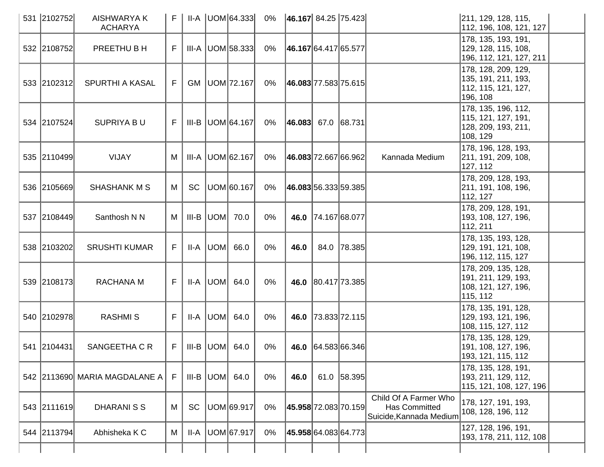| 531 2102752 | <b>AISHWARYA K</b><br><b>ACHARYA</b> |     |           | $II-A$ $ UOM 64.333 $ | 0%    | $ 46.167 $ 84.25   75.423   |                    |             |                                                                   | 211, 129, 128, 115,<br>112, 196, 108, 121, 127                                 |
|-------------|--------------------------------------|-----|-----------|-----------------------|-------|-----------------------------|--------------------|-------------|-------------------------------------------------------------------|--------------------------------------------------------------------------------|
| 532 2108752 | PREETHU B H                          | F.  |           | III-A   UOM 58.333    | 0%    | 46.167 64.417 65.577        |                    |             |                                                                   | 178, 135, 193, 191,<br> 129, 128, 115, 108,<br> 196, 112, 121, 127, 211        |
| 533 2102312 | <b>SPURTHI A KASAL</b>               | F.  |           | GM   UOM   72.167     | 0%    | 46.083 77.583 75.615        |                    |             |                                                                   | 178, 128, 209, 129,<br>135, 191, 211, 193,<br>112, 115, 121, 127,<br>196, 108  |
| 534 2107524 | <b>SUPRIYA BU</b>                    | F.  |           | III-B UOM 64.167      | 0%    | $ 46.083 $ 67.0 68.731      |                    |             |                                                                   | 178, 135, 196, 112,<br> 115, 121, 127, 191,<br>128, 209, 193, 211,<br>108, 129 |
| 535 2110499 | <b>VIJAY</b>                         | M   |           | III-A   UOM 62.167    | 0%    | 46.083 72.667 66.962        |                    |             | Kannada Medium                                                    | 178, 196, 128, 193,<br>211, 191, 209, 108,<br>127, 112                         |
| 536 2105669 | <b>SHASHANK M S</b>                  | M   | <b>SC</b> | UOM 60.167            | 0%    | <b>46.083</b> 56.333 59.385 |                    |             |                                                                   | 178, 209, 128, 193,<br>211, 191, 108, 196,<br>112, 127                         |
| 537 2108449 | Santhosh N N                         | M   |           | $III-B$ $UOM$ 70.0    | $0\%$ |                             | 46.0 74.167 68.077 |             |                                                                   | 178, 209, 128, 191,<br> 193, 108, 127, 196,<br>112, 211                        |
| 538 2103202 | <b>SRUSHTI KUMAR</b>                 | F.  |           | $II-A$ $ UOM $ 66.0   | $0\%$ | 46.0                        |                    | 84.0 78.385 |                                                                   | 178, 135, 193, 128,<br> 129, 191, 121, 108,<br>196, 112, 115, 127              |
| 539 2108173 | RACHANA M                            | F.  |           | II-A $ $ UOM $ $ 64.0 | $0\%$ |                             | 46.0 80.417 73.385 |             |                                                                   | 178, 209, 135, 128,<br>191, 211, 129, 193,<br> 108, 121, 127, 196,<br>115, 112 |
| 540 2102978 | <b>RASHMIS</b>                       | F   |           | $II-A$ $ UOM $ 64.0   | 0%    |                             | 46.0 73.833 72.115 |             |                                                                   | 178, 135, 191, 128,<br>129, 193, 121, 196,<br>108, 115, 127, 112               |
| 541 2104431 | SANGEETHA C R                        | F I |           | $III-B$ UOM 64.0      | 0%    |                             | 46.0 64.583 66.346 |             |                                                                   | 178, 135, 128, 129,<br> 191, 108, 127, 196,<br>193, 121, 115, 112              |
|             | 542 2113690 MARIA MAGDALANE A        | F   |           | $III-B$ UOM 64.0      | 0%    | 46.0                        |                    | 61.0 58.395 |                                                                   | 178, 135, 128, 191,<br>193, 211, 129, 112,<br>115, 121, 108, 127, 196          |
| 543 2111619 | <b>DHARANISS</b>                     | M   | <b>SC</b> | UOM 69.917            | $0\%$ | 45.958 72.083 70.159        |                    |             | Child Of A Farmer Who<br>Has Committed<br>Suicide, Kannada Medium | 178, 127, 191, 193,<br>108, 128, 196, 112                                      |
| 544 2113794 | Abhisheka K C                        | M   | $II-A$    | UOM 67.917            | 0%    | <b>45.958</b> 64.083 64.773 |                    |             |                                                                   | 127, 128, 196, 191,<br>193, 178, 211, 112, 108                                 |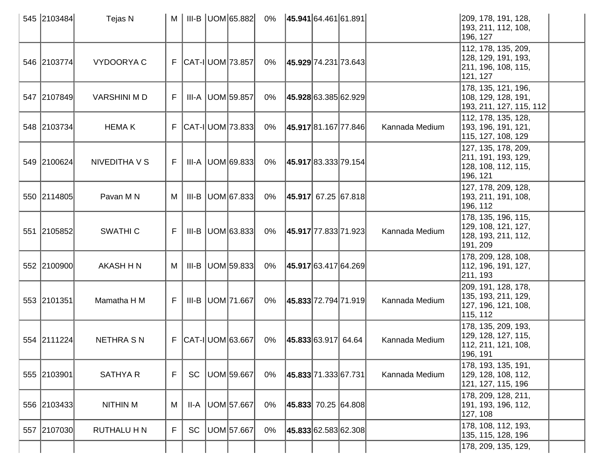| 545 2103484 | Tejas N            | M  |           | $III-B$ UOM 65.882         | 0%    | 45.941 64.461 61.891 |                      |                | 209, 178, 191, 128,<br>193, 211, 112, 108,<br>196, 127                          |
|-------------|--------------------|----|-----------|----------------------------|-------|----------------------|----------------------|----------------|---------------------------------------------------------------------------------|
| 546 2103774 | <b>VYDOORYAC</b>   |    |           | $F$ $ CAT - I $ UOM 73.857 | 0%    | 45.929 74.231 73.643 |                      |                | 112, 178, 135, 209,<br>128, 129, 191, 193,<br>211, 196, 108, 115,<br>121, 127   |
| 547 2107849 | <b>VARSHINI MD</b> | F. | III-A     | UOM 59.857                 | $0\%$ | 45.928 63.385 62.929 |                      |                | 178, 135, 121, 196,<br>108, 129, 128, 191,<br>193, 211, 127, 115, 112           |
| 548 2103734 | <b>HEMAK</b>       |    |           | F   CAT-I   UOM   73.833   | 0%    | 45.917 81.167 77.846 |                      | Kannada Medium | 112, 178, 135, 128,<br> 193, 196, 191, 121,<br>115, 127, 108, 129               |
| 549 2100624 | NIVEDITHA V S      | F. |           | $III-A$ UOM 69.833         | 0%    | 45.917 83.333 79.154 |                      |                | 127, 135, 178, 209,<br>211, 191, 193, 129,<br>128, 108, 112, 115,<br>196, 121   |
| 550 2114805 | Pavan M N          | M  | III-B     | UOM 67.833                 | 0%    | 45.917 67.25 67.818  |                      |                | 127, 178, 209, 128,<br> 193, 211, 191, 108,<br>196, 112                         |
| 551 2105852 | <b>SWATHIC</b>     | F. |           | $III-B$ UOM 63.833         | 0%    | 45.917 77.833 71.923 |                      | Kannada Medium | 178, 135, 196, 115,<br>129, 108, 121, 127,<br>128, 193, 211, 112,<br>191, 209   |
| 552 2100900 | <b>AKASH H N</b>   | M  | III-B     | UOM 59.833                 | 0%    |                      | 45.917 63.417 64.269 |                | 178, 209, 128, 108,<br> 112, 196, 191, 127,<br>211, 193                         |
| 553 2101351 | Mamatha H M        | F  |           | III-B   UOM   71.667       | 0%    | 45.833 72.794 71.919 |                      | Kannada Medium | 209, 191, 128, 178,<br> 135, 193, 211, 129,<br> 127, 196, 121, 108,<br>115, 112 |
| 554 2111224 | <b>NETHRA S N</b>  |    |           | F   CAT-I   UOM   63.667   | $0\%$ | 45.833 63.917 64.64  |                      | Kannada Medium | 178, 135, 209, 193,<br>129, 128, 127, 115,<br>112, 211, 121, 108,<br>196, 191   |
| 555 2103901 | <b>SATHYA R</b>    | F  | <b>SC</b> | UOM 59.667                 | $0\%$ | 45.833 71.333 67.731 |                      | Kannada Medium | 178, 193, 135, 191,<br> 129, 128, 108, 112,<br>121, 127, 115, 196               |
| 556 2103433 | <b>NITHIN M</b>    | M  | II-A      | UOM 57.667                 | $0\%$ | 45.833 70.25 64.808  |                      |                | 178, 209, 128, 211,<br>191, 193, 196, 112,<br>127, 108                          |
| 557 2107030 | <b>RUTHALU H N</b> | F  | <b>SC</b> | UOM 57.667                 | 0%    | 45.833 62.583 62.308 |                      |                | 178, 108, 112, 193,<br>135, 115, 128, 196                                       |
|             |                    |    |           |                            |       |                      |                      |                | 178, 209, 135, 129,                                                             |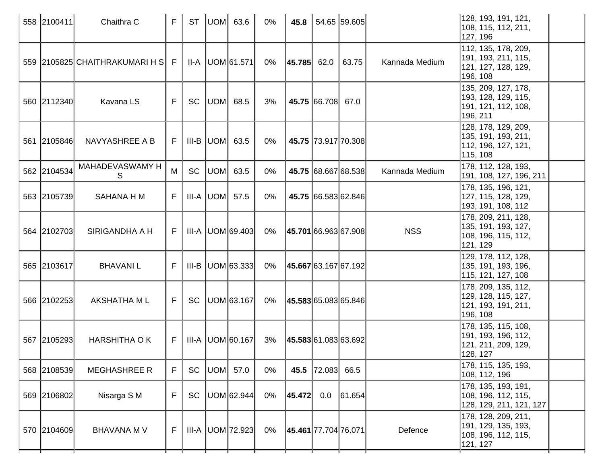| 558 2100411 | Chaithra C                     | F   | <b>ST</b> |     | $ UOM $ 63.6         | $0\%$ | 45.8                 |                   | 54.65 59.605         |                | 128, 193, 191, 121,<br>108, 115, 112, 211,<br>127, 196                           |
|-------------|--------------------------------|-----|-----------|-----|----------------------|-------|----------------------|-------------------|----------------------|----------------|----------------------------------------------------------------------------------|
|             | 559 2105825 CHAITHRAKUMARI H S | -F  |           |     | II-A   UOM 61.571    | 0%    | $ 45.785 $ 62.0      |                   | 63.75                | Kannada Medium | 112, 135, 178, 209,<br>191, 193, 211, 115,<br>121, 127, 128, 129,<br> 196, 108   |
| 560 2112340 | Kavana LS                      | F.  | <b>SC</b> |     | UOM  68.5            | 3%    |                      | 45.75 66.708 67.0 |                      |                | 135, 209, 127, 178,<br>193, 128, 129, 115,<br> 191, 121, 112, 108,<br>196, 211   |
| 561 2105846 | NAVYASHREE A B                 | F I |           |     | $III-B$ $ UOM $ 63.5 | 0%    |                      |                   | 45.75 73.917 70.308  |                | 128, 178, 129, 209,<br>135, 191, 193, 211,<br> 112, 196, 127, 121,<br>115, 108   |
| 562 2104534 | MAHADEVASWAMY H<br>S           | M   | <b>SC</b> | UOM | 63.5                 | 0%    |                      |                   | 45.75 68.667 68.538  | Kannada Medium | 178, 112, 128, 193,<br> 191, 108, 127, 196, 211                                  |
| 563 2105739 | <b>SAHANA H M</b>              | F.  |           |     | $III-A$ UOM $57.5$   | 0%    |                      |                   | 45.75 66.583 62.846  |                | 178, 135, 196, 121,<br>127, 115, 128, 129,<br>193, 191, 108, 112                 |
| 564 2102703 | SIRIGANDHA A H                 |     |           |     | III-A UOM 69.403     | 0%    | 45.701 66.963 67.908 |                   |                      | <b>NSS</b>     | 178, 209, 211, 128,<br>135, 191, 193, 127,<br>108, 196, 115, 112,<br>121, 129    |
| 565 2103617 | <b>BHAVANIL</b>                | F.  |           |     | III-B   UOM 63.333   | 0%    | 45.667 63.167 67.192 |                   |                      |                | 129, 178, 112, 128,<br> 135, 191, 193, 196,<br>115, 121, 127, 108                |
| 566 2102253 | <b>AKSHATHA ML</b>             | F   | SC        |     | UOM 63.167           | 0%    |                      |                   | 45.583 65.083 65.846 |                | 178, 209, 135, 112,<br> 129, 128, 115, 127,<br> 121, 193, 191, 211,<br> 196, 108 |
| 567 2105293 | <b>HARSHITHA OK</b>            | F.  |           |     | III-A   UOM 60.167   | 3%    | 45.583 61.083 63.692 |                   |                      |                | 178, 135, 115, 108,<br> 191, 193, 196, 112,<br>121, 211, 209, 129,<br>128, 127   |
| 568 2108539 | <b>MEGHASHREE R</b>            | F.  | SC        |     | UOM 57.0             | 0%    | 45.5                 | $ 72.083 $ 66.5   |                      |                | 178, 115, 135, 193,<br> 108, 112, 196                                            |
| 569 2106802 | Nisarga S M                    | F   | <b>SC</b> |     | UOM 62.944           | 0%    | 45.472               | 0.0               | 61.654               |                | 178, 135, 193, 191,<br> 108, 196, 112, 115,<br>128, 129, 211, 121, 127           |
| 570 2104609 | <b>BHAVANA M V</b>             | F.  |           |     | $III-A$ UOM 72.923   | 0%    | 45.461 77.704 76.071 |                   |                      | Defence        | 178, 128, 209, 211,<br> 191, 129, 135, 193,<br>108, 196, 112, 115,<br>121, 127   |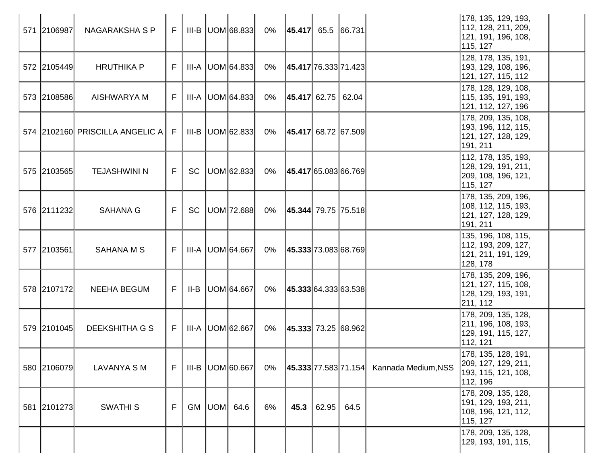| 571 2106987 | NAGARAKSHA S P                      | $F_{\perp}$ |    | III-B  UOM 68.833  | 0%    | $ 45.417 $ 65.5 66.731    |       |      |                     | 178, 135, 129, 193,<br>112, 128, 211, 209,<br>121, 191, 196, 108,<br>115, 127  |  |
|-------------|-------------------------------------|-------------|----|--------------------|-------|---------------------------|-------|------|---------------------|--------------------------------------------------------------------------------|--|
| 572 2105449 | <b>HRUTHIKA P</b>                   | F.          |    | III-A UOM 64.833   | 0%    | 45.417 76.333 71.423      |       |      |                     | 128, 178, 135, 191,<br> 193, 129, 108, 196,<br>121, 127, 115, 112              |  |
| 573 2108586 | <b>AISHWARYA M</b>                  | F.          |    | $III-A$ UOM 64.833 | 0%    | $ 45.417 $ 62.75   62.04  |       |      |                     | 178, 128, 129, 108,<br>115, 135, 191, 193,<br>121, 112, 127, 196               |  |
|             | 574 2102160 PRISCILLA ANGELIC A   F |             |    | III-B  UOM 62.833  | 0%    | 45.417  68.72   67.509    |       |      |                     | 178, 209, 135, 108,<br>193, 196, 112, 115,<br>121, 127, 128, 129,<br>191, 211  |  |
| 575 2103565 | <b>TEJASHWINI N</b>                 | F           | SC | UOM 62.833         | 0%    | 45.417 65.083 66.769      |       |      |                     | 112, 178, 135, 193,<br>128, 129, 191, 211,<br>209, 108, 196, 121,<br>115, 127  |  |
| 576 2111232 | <b>SAHANA G</b>                     | F.          | SC | UOM 72.688         | 0%    | $ 45.344 $ 79.75   75.518 |       |      |                     | 178, 135, 209, 196,<br>108, 112, 115, 193,<br>121, 127, 128, 129,<br>191, 211  |  |
| 577 2103561 | <b>SAHANA M S</b>                   | F.          |    | III-A UOM 64.667   | 0%    | 45.333 73.083 68.769      |       |      |                     | 135, 196, 108, 115,<br>112, 193, 209, 127,<br> 121, 211, 191, 129,<br>128, 178 |  |
| 578 2107172 | <b>NEEHA BEGUM</b>                  | F.          |    | II-B   UOM 64.667  | 0%    | 45.333 64.333 63.538      |       |      |                     | 178, 135, 209, 196,<br>121, 127, 115, 108,<br> 128, 129, 193, 191,<br>211, 112 |  |
| 579 2101045 | DEEKSHITHA G S                      | F.          |    | III-A   UOM 62.667 | 0%    | $ 45.333 $ 73.25 68.962   |       |      |                     | 178, 209, 135, 128,<br>211, 196, 108, 193,<br>129, 191, 115, 127,<br>112, 121  |  |
| 580 2106079 | <b>LAVANYA SM</b>                   | F           |    | III-B   UOM 60.667 | $0\%$ | 45.333 77.583 71.154      |       |      | Kannada Medium, NSS | 178, 135, 128, 191,<br> 209, 127, 129, 211,<br>193, 115, 121, 108,<br>112, 196 |  |
| 581 2101273 | <b>SWATHIS</b>                      | F           |    | GM $ UOM $ 64.6    | 6%    | 45.3                      | 62.95 | 64.5 |                     | 178, 209, 135, 128,<br>191, 129, 193, 211,<br>108, 196, 121, 112,<br>115, 127  |  |
|             |                                     |             |    |                    |       |                           |       |      |                     | 178, 209, 135, 128,<br>129, 193, 191, 115,                                     |  |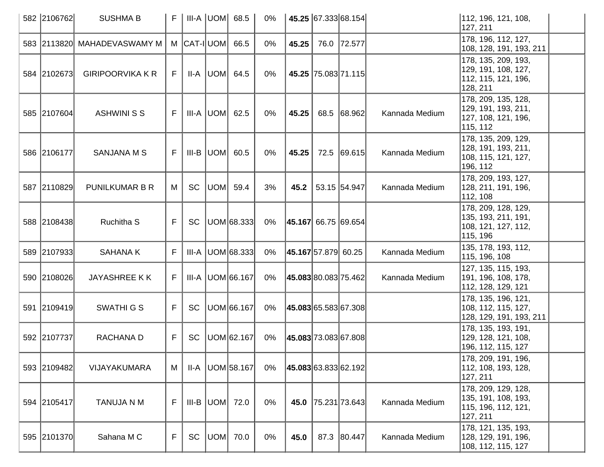| 582 2106762 | <b>SUSHMA B</b>             | F |            |                  | $III-A$ UOM 68.5 | 0%    |                            | 45.25 67.333 68.154  |                | 112, 196, 121, 108,<br>127, 211                                                |  |
|-------------|-----------------------------|---|------------|------------------|------------------|-------|----------------------------|----------------------|----------------|--------------------------------------------------------------------------------|--|
|             | 583 2113820 MAHADEVASWAMY M |   | M CAT-IUOM |                  | 66.5             | 0%    | 45.25                      | 76.0 72.577          |                | 178, 196, 112, 127,<br>108, 128, 191, 193, 211                                 |  |
| 584 2102673 | <b>GIRIPOORVIKA K R</b>     | F |            | $II-A$ $ UOM $   | 64.5             | $0\%$ |                            | 45.25 75.083 71.115  |                | 178, 135, 209, 193,<br>129, 191, 108, 127,<br>112, 115, 121, 196,<br>128, 211  |  |
| 585 2107604 | <b>ASHWINI S S</b>          | F |            |                  | $III-A$ UOM 62.5 | $0\%$ | 45.25                      | 68.5 68.962          | Kannada Medium | 178, 209, 135, 128,<br>129, 191, 193, 211,<br>127, 108, 121, 196,<br>115, 112  |  |
| 586 2106177 | <b>SANJANA M S</b>          | F |            | $III-B$ UOM 60.5 |                  | $0\%$ | 45.25                      | 72.5 69.615          | Kannada Medium | 178, 135, 209, 129,<br>128, 191, 193, 211,<br>108, 115, 121, 127,<br>196, 112  |  |
| 587 2110829 | <b>PUNILKUMAR B R</b>       | М | SC         | UOM              | 59.4             | 3%    | 45.2                       | 53.15 54.947         | Kannada Medium | 178, 209, 193, 127,<br>128, 211, 191, 196,<br>112, 108                         |  |
| 588 2108438 | Ruchitha S                  | F | <b>SC</b>  |                  | UOM 68.333       | $0\%$ | 45.167 66.75 69.654        |                      |                | 178, 209, 128, 129,<br>135, 193, 211, 191,<br>108, 121, 127, 112,<br>115, 196  |  |
| 589 2107933 | <b>SAHANAK</b>              | F | III-A      |                  | UOM 68.333       | $0\%$ | <b>45.167</b> 57.879 60.25 |                      | Kannada Medium | 135, 178, 193, 112,<br>115, 196, 108                                           |  |
| 590 2108026 | <b>JAYASHREE KK</b>         | F | III-A      |                  | UOM 66.167       | 0%    |                            | 45.083 80.083 75.462 | Kannada Medium | 127, 135, 115, 193,<br>191, 196, 108, 178,<br>112, 128, 129, 121               |  |
| 591 2109419 | <b>SWATHIGS</b>             | F | <b>SC</b>  |                  | UOM 66.167       | $0\%$ |                            | 45.083 65.583 67.308 |                | 178, 135, 196, 121,<br>108, 112, 115, 127,<br>128, 129, 191, 193, 211          |  |
| 592 2107737 | RACHANA D                   | F | <b>SC</b>  |                  | UOM 62.167       | $0\%$ |                            | 45.083 73.083 67.808 |                | 178, 135, 193, 191,<br>129, 128, 121, 108,<br>196, 112, 115, 127               |  |
| 593 2109482 | VIJAYAKUMARA                | M | II-A       |                  | UOM 58.167       | 0%    | 45.083 63.833 62.192       |                      |                | 178, 209, 191, 196,<br> 112, 108, 193, 128,<br>127, 211                        |  |
| 594 2105417 | <b>TANUJA N M</b>           | F | III-B      | UOM 72.0         |                  | $0\%$ | 45.0                       | 75.231 73.643        | Kannada Medium | 178, 209, 129, 128,<br> 135, 191, 108, 193,<br>115, 196, 112, 121,<br>127, 211 |  |
| 595 2101370 | Sahana M C                  | F | SC         | UOM              | 70.0             | 0%    | 45.0                       | 87.3 80.447          | Kannada Medium | 178, 121, 135, 193,<br>128, 129, 191, 196,<br>108, 112, 115, 127               |  |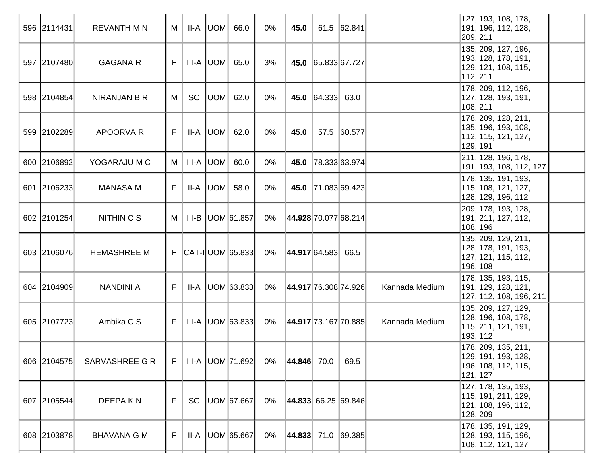| 596 2114431 | <b>REVANTH M N</b>  | M  |           |           | $II-A$ $ UOM $ 66.0  | 0%    | 45.0                    |                    | $61.5$ 62.841        |                | 127, 193, 108, 178,<br>191, 196, 112, 128,<br>209, 211                          |
|-------------|---------------------|----|-----------|-----------|----------------------|-------|-------------------------|--------------------|----------------------|----------------|---------------------------------------------------------------------------------|
| 597 2107480 | <b>GAGANA R</b>     | F  |           |           | $III-A$ $UOM$ 65.0   | 3%    |                         | 45.0 65.833 67.727 |                      |                | 135, 209, 127, 196,<br> 193, 128, 178, 191,<br> 129, 121, 108, 115,<br>112, 211 |
| 598 2104854 | <b>NIRANJAN B R</b> | M  | <b>SC</b> |           | UOM 62.0             | $0\%$ |                         | 45.0 64.333 63.0   |                      |                | 178, 209, 112, 196,<br> 127, 128, 193, 191,<br>108, 211                         |
| 599 2102289 | APOORVA R           | F. |           |           | $II-A$ $ UOM $ 62.0  | $0\%$ | 45.0                    |                    | 57.5 60.577          |                | 178, 209, 128, 211,<br> 135, 196, 193, 108,<br>112, 115, 121, 127,<br>129, 191  |
| 600 2106892 | YOGARAJU M C        | M  |           | III-A UOM | 60.0                 | 0%    | 45.0                    |                    | 78.333 63.974        |                | 211, 128, 196, 178,<br>191, 193, 108, 112, 127                                  |
| 601 2106233 | <b>MANASA M</b>     | F  |           |           | $II-A$ $ UOM $ 58.0  | 0%    |                         |                    | 45.0 71.083 69.423   |                | 178, 135, 191, 193,<br>115, 108, 121, 127,<br>128, 129, 196, 112                |
| 602 2101254 | NITHIN C S          | M  |           |           | III-B   UOM 61.857   | 0%    | 44.928 70.077 68.214    |                    |                      |                | 209, 178, 193, 128,<br> 191, 211, 127, 112,<br>108, 196                         |
| 603 2106076 | <b>HEMASHREE M</b>  |    |           |           | $F$ CAT-I UOM 65.833 | 0%    | 44.917 64.583 66.5      |                    |                      |                | 135, 209, 129, 211,<br>128, 178, 191, 193,<br>127, 121, 115, 112,<br> 196, 108  |
| 604 2104909 | <b>NANDINI A</b>    | F. |           |           | $II-A$ UOM 63.833    | 0%    |                         |                    | 44.917 76.308 74.926 | Kannada Medium | 178, 135, 193, 115,<br> 191, 129, 128, 121,<br> 127, 112, 108, 196, 211         |
| 605 2107723 | Ambika C S          | F. |           |           | $III-A$ UOM 63.833   | 0%    | 44.917 73.167 70.885    |                    |                      | Kannada Medium | 135, 209, 127, 129,<br>128, 196, 108, 178,<br>115, 211, 121, 191,<br>193, 112   |
| 606 2104575 | SARVASHREE G R      | F  |           |           | III-A UOM 71.692     | $0\%$ | $ 44.846 $ 70.0         |                    | 69.5                 |                | 178, 209, 135, 211,<br>129, 191, 193, 128,<br>196, 108, 112, 115,<br>121, 127   |
| 607 2105544 | DEEPA K N           | F. | <b>SC</b> |           | UOM 67.667           | 0%    | $ 44.833 $ 66.25 69.846 |                    |                      |                | 127, 178, 135, 193,<br>115, 191, 211, 129,<br>121, 108, 196, 112,<br>128, 209   |
| 608 2103878 | <b>BHAVANA G M</b>  | F  |           |           | II-A   UOM 65.667    | 0%    | $ 44.833 $ 71.0 69.385  |                    |                      |                | 178, 135, 191, 129,<br> 128, 193, 115, 196,<br>108, 112, 121, 127               |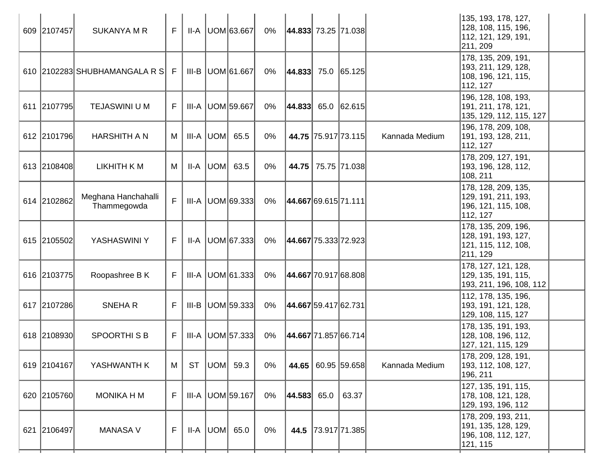| 609 2107457 | <b>SUKANYA M R</b>                 | F  |           | $II-A$ UOM 63.667    | 0%    |                        | 44.833 73.25 71.038    |                | 135, 193, 178, 127,<br>128, 108, 115, 196,<br>112, 121, 129, 191,<br>211, 209  |
|-------------|------------------------------------|----|-----------|----------------------|-------|------------------------|------------------------|----------------|--------------------------------------------------------------------------------|
|             | 610 2102283 SHUBHAMANGALA R S      | -F |           | III-B   UOM 61.667   | 0%    | $ 44.833 $ 75.0 65.125 |                        |                | 178, 135, 209, 191,<br>193, 211, 129, 128,<br>108, 196, 121, 115,<br>112, 127  |
| 611 2107795 | <b>TEJASWINI U M</b>               | F  |           | III-A UOM 59.667     | 0%    | $ 44.833 $ 65.0 62.615 |                        |                | 196, 128, 108, 193,<br>191, 211, 178, 121,<br>135, 129, 112, 115, 127          |
| 612 2101796 | <b>HARSHITH A N</b>                | M  |           | $III-A$ UOM 65.5     | $0\%$ |                        | 44.75 75.917 73.115    | Kannada Medium | 196, 178, 209, 108,<br> 191, 193, 128, 211,<br>112, 127                        |
| 613 2108408 | LIKHITH K M                        | M  | $II-A$    | UOM 63.5             | 0%    |                        | 44.75   75.75   71.038 |                | 178, 209, 127, 191,<br> 193, 196, 128, 112,<br>108, 211                        |
| 614 2102862 | Meghana Hanchahalli<br>Thammegowda | F  |           | $III-A$ UOM 69.333   | 0%    | 44.667 69.615 71.111   |                        |                | 178, 128, 209, 135,<br> 129, 191, 211, 193,<br>196, 121, 115, 108,<br>112, 127 |
| 615 2105502 | YASHASWINI Y                       | F. | II-A      | UOM 67.333           | 0%    | 44.667 75.333 72.923   |                        |                | 178, 135, 209, 196,<br>128, 191, 193, 127,<br>121, 115, 112, 108,<br>211, 129  |
| 616 2103775 | Roopashree B K                     | F. |           | $III-A$ UOM 61.333   | 0%    |                        | 44.667 70.917 68.808   |                | 178, 127, 121, 128,<br>129, 135, 191, 115,<br>193, 211, 196, 108, 112          |
| 617 2107286 | <b>SNEHAR</b>                      | F. |           | $III-B$ UOM 59.333   | 0%    | 44.667 59.417 62.731   |                        |                | 112, 178, 135, 196,<br>193, 191, 121, 128,<br>129, 108, 115, 127               |
| 618 2108930 | SPOORTHISB                         | F. |           | III-A UOM 57.333     | $0\%$ | 44.667 71.857 66.714   |                        |                | 178, 135, 191, 193,<br>128, 108, 196, 112,<br>127, 121, 115, 129               |
| 619 2104167 | YASHWANTH K                        | M  | <b>ST</b> | UOM  59.3            | 0%    |                        | 44.65 60.95 59.658     | Kannada Medium | 178, 209, 128, 191,<br> 193, 112, 108, 127,<br>196, 211                        |
| 620 2105760 | <b>MONIKA H M</b>                  | F  |           | III-A   UOM   59.167 | 0%    | 44.583  65.0           | 63.37                  |                | 127, 135, 191, 115,<br> 178, 108, 121, 128,<br>129, 193, 196, 112              |
| 621 2106497 | <b>MANASA V</b>                    | F. |           | $II-A$ $UOM$ 65.0    | 0%    |                        | 44.5 73.917 71.385     |                | 178, 209, 193, 211,<br> 191, 135, 128, 129,<br>196, 108, 112, 127,<br>121, 115 |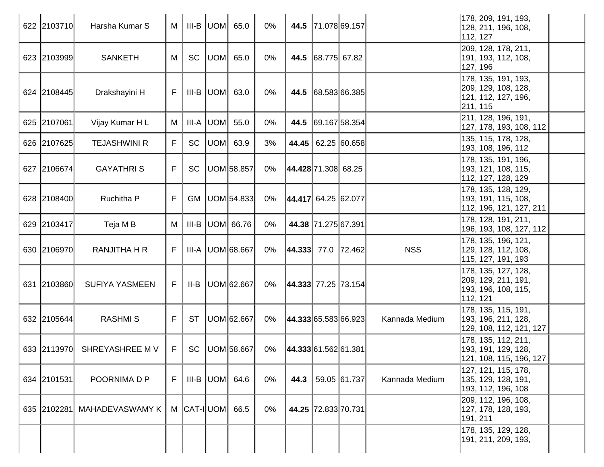| 622 2103710 | Harsha Kumar S              | M            |                            | $III-B$ UOM 65.0 |                   | 0%    |                       |                     | 44.5 71.078 69.157 |                | 178, 209, 191, 193,<br>128, 211, 196, 108,<br>112, 127                        |  |
|-------------|-----------------------------|--------------|----------------------------|------------------|-------------------|-------|-----------------------|---------------------|--------------------|----------------|-------------------------------------------------------------------------------|--|
| 623 2103999 | <b>SANKETH</b>              | М            | <b>SC</b>                  |                  | $UOM$ 65.0        | $0\%$ |                       | 44.5 68.775 67.82   |                    |                | 209, 128, 178, 211,<br> 191, 193, 112, 108,<br>127, 196                       |  |
| 624 2108445 | Drakshayini H               | F            |                            | $III-B$ UOM 63.0 |                   | 0%    |                       |                     | 44.5 68.583 66.385 |                | 178, 135, 191, 193,<br>209, 129, 108, 128,<br>121, 112, 127, 196,<br>211, 115 |  |
| 625 2107061 | Vijay Kumar H L             | М            | III-A                      | UOM              | 55.0              | $0\%$ |                       |                     | 44.5 69.167 58.354 |                | 211, 128, 196, 191,<br> 127, 178, 193, 108, 112                               |  |
| 626 2107625 | <b>TEJASHWINI R</b>         | F            | <b>SC</b>                  |                  | $UOM$ 63.9        | 3%    |                       |                     | 44.45 62.25 60.658 |                | 135, 115, 178, 128,<br>193, 108, 196, 112                                     |  |
| 627 2106674 | <b>GAYATHRIS</b>            | F            | <b>SC</b>                  |                  | UOM 58.857        | 0%    | 44.428 71.308 68.25   |                     |                    |                | 178, 135, 191, 196,<br> 193, 121, 108, 115,<br>112, 127, 128, 129             |  |
| 628 2108400 | Ruchitha P                  | $\mathsf{F}$ | GM                         |                  | UOM 54.833        | $0\%$ | 44.417 64.25 62.077   |                     |                    |                | 178, 135, 128, 129,<br>193, 191, 115, 108,<br> 112, 196, 121, 127, 211        |  |
| 629 2103417 | Teja M B                    | М            | III-B                      |                  | UOM 66.76         | 0%    |                       | 44.38 71.275 67.391 |                    |                | 178, 128, 191, 211,<br> 196, 193, 108, 127, 112                               |  |
| 630 2106970 | <b>RANJITHA H R</b>         | F            | III-A                      |                  | UOM 68.667        | 0%    | 44.333  77.0   72.462 |                     |                    | <b>NSS</b>     | 178, 135, 196, 121,<br> 129, 128, 112, 108,<br> 115, 127, 191, 193            |  |
| 631 2103860 | <b>SUFIYA YASMEEN</b>       | F            | II-B                       |                  | UOM 62.667        | 0%    | 44.333 77.25 73.154   |                     |                    |                | 178, 135, 127, 128,<br>209, 129, 211, 191,<br>193, 196, 108, 115,<br>112, 121 |  |
| 632 2105644 | <b>RASHMIS</b>              | F            | <b>ST</b>                  |                  | UOM 62.667        | 0%    | 44.333 65.583 66.923  |                     |                    | Kannada Medium | 178, 135, 115, 191,<br>193, 196, 211, 128,<br> 129, 108, 112, 121, 127        |  |
|             | 633 2113970 SHREYASHREE M V | F            |                            |                  | SC   UOM   58.667 | 0%    | 44.333 61.562 61.381  |                     |                    |                | 178, 135, 112, 211,<br> 193, 191, 129, 128,<br>121, 108, 115, 196, 127        |  |
| 634 2101531 | POORNIMA D P                | F            | III-B                      | UOM  64.6        |                   | 0%    | 44.3                  |                     | 59.05 61.737       | Kannada Medium | 127, 121, 115, 178,<br>135, 129, 128, 191,<br>193, 112, 196, 108              |  |
| 635 2102281 | <b>MAHADEVASWAMY K</b>      |              | $M$ $ CAT-I $ UOM $ $ 66.5 |                  |                   | 0%    |                       | 44.25 72.833 70.731 |                    |                | 209, 112, 196, 108,<br>127, 178, 128, 193,<br>191, 211                        |  |
|             |                             |              |                            |                  |                   |       |                       |                     |                    |                | 178, 135, 129, 128,<br>191, 211, 209, 193,                                    |  |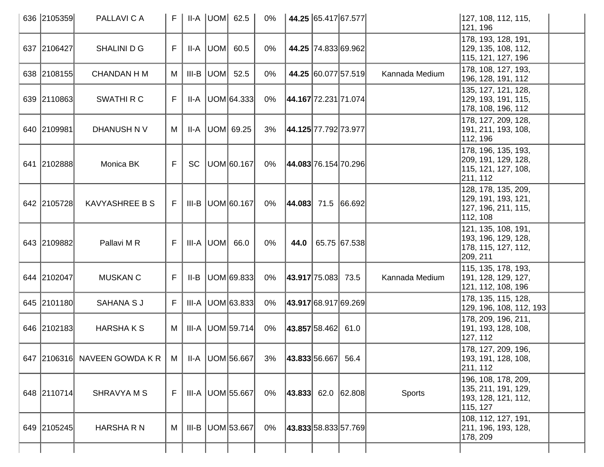| 636 2105359 | PALLAVI C A                  | F |           |           | $II-A$ $ UOM $ 62.5 | 0%    |                        | 44.25 65.417 67.577         |                | 127, 108, 112, 115,<br>121, 196                                                 |  |
|-------------|------------------------------|---|-----------|-----------|---------------------|-------|------------------------|-----------------------------|----------------|---------------------------------------------------------------------------------|--|
| 637 2106427 | SHALINI D G                  | F | II-A      | UOM       | 60.5                | $0\%$ |                        | 44.25 74.833 69.962         |                | 178, 193, 128, 191,<br>129, 135, 108, 112,<br>115, 121, 127, 196                |  |
| 638 2108155 | <b>CHANDAN H M</b>           | М | $III-B$   | UOM       | 52.5                | 0%    |                        | 44.25 60.077 57.519         | Kannada Medium | 178, 108, 127, 193,<br>196, 128, 191, 112                                       |  |
| 639 2110863 | <b>SWATHIRC</b>              | F | II-A      |           | UOM 64.333          | $0\%$ | 44.167 72.231 71.074   |                             |                | 135, 127, 121, 128,<br>129, 193, 191, 115,<br>178, 108, 196, 112                |  |
| 640 2109981 | DHANUSH N V                  | М | II-A      |           | UOM 69.25           | 3%    | 44.125 77.792 73.977   |                             |                | 178, 127, 209, 128,<br>191, 211, 193, 108,<br>112, 196                          |  |
| 641 2102888 | Monica BK                    | F | <b>SC</b> |           | UOM 60.167          | $0\%$ | 44.083 76.154 70.296   |                             |                | 178, 196, 135, 193,<br>209, 191, 129, 128,<br>115, 121, 127, 108,<br>211, 112   |  |
| 642 2105728 | <b>KAVYASHREE B S</b>        | F |           |           | $III-B$ UOM 60.167  | $0\%$ | $ 44.083 $ 71.5 66.692 |                             |                | 128, 178, 135, 209,<br>129, 191, 193, 121,<br>127, 196, 211, 115,<br>112, 108   |  |
| 643 2109882 | Pallavi M R                  | F |           | III-A UOM | 66.0                | 0%    | 44.0                   | 65.75 67.538                |                | 121, 135, 108, 191,<br>193, 196, 129, 128,<br>178, 115, 127, 112,<br>209, 211   |  |
| 644 2102047 | <b>MUSKAN C</b>              | F | II-B      |           | UOM 69.833          | $0\%$ | 43.917 75.083          | 73.5                        | Kannada Medium | 115, 135, 178, 193,<br>191, 128, 129, 127,<br>121, 112, 108, 196                |  |
| 645 2101180 | <b>SAHANA S J</b>            | F | III-A     |           | UOM 63.833          | $0\%$ |                        | <b>43.917</b> 68.917 69.269 |                | 178, 135, 115, 128,<br>129, 196, 108, 112, 193                                  |  |
| 646 2102183 | <b>HARSHAKS</b>              | M | III-A     |           | UOM 59.714          | 0%    | $ 43.857 58.462 $ 61.0 |                             |                | 178, 209, 196, 211,<br>191, 193, 128, 108,<br>127, 112                          |  |
|             | 647 2106316 NAVEEN GOWDA K R | M |           |           | $II-A$ UOM 56.667   | 3%    | 43.833 56.667          | 56.4                        |                | 178, 127, 209, 196,<br>193, 191, 128, 108,<br>211, 112                          |  |
| 648 2110714 | <b>SHRAVYAMS</b>             | F |           |           | III-A UOM 55.667    | $0\%$ | $ 43.833 $ 62.0 62.808 |                             | Sports         | 196, 108, 178, 209,<br> 135, 211, 191, 129,<br> 193, 128, 121, 112,<br>115, 127 |  |
| 649 2105245 | HARSHA R N                   | M | III-B     |           | UOM 53.667          | $0\%$ | 43.833 58.833 57.769   |                             |                | 108, 112, 127, 191,<br>211, 196, 193, 128,<br>178, 209                          |  |
|             |                              |   |           |           |                     |       |                        |                             |                |                                                                                 |  |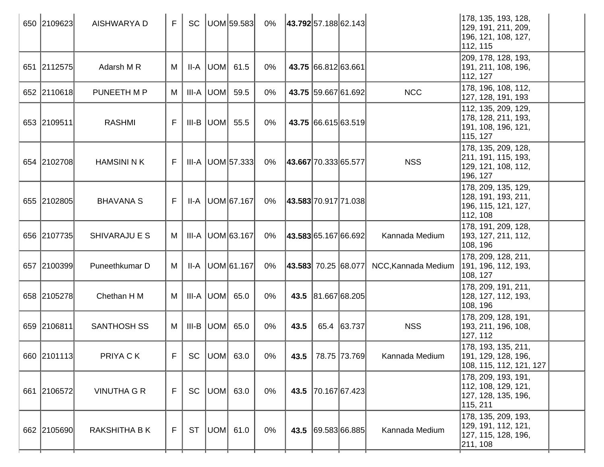| 650 2109623 | AISHWARYA D         | F  | <b>SC</b> |            | UOM 59.583             | 0%    |                      |                     | 43.792 57.188 62.143 |                     | 178, 135, 193, 128,<br>129, 191, 211, 209,<br>196, 121, 108, 127,<br>112, 115   |
|-------------|---------------------|----|-----------|------------|------------------------|-------|----------------------|---------------------|----------------------|---------------------|---------------------------------------------------------------------------------|
| 651 2112575 | Adarsh M R          | M  |           |            | $II-A$ UOM 61.5        | 0%    |                      | 43.75 66.812 63.661 |                      |                     | 209, 178, 128, 193,<br> 191, 211, 108, 196,<br>112, 127                         |
| 652 2110618 | PUNEETH M P         | M  |           | III-A  UOM | 59.5                   | 0%    |                      |                     | 43.75 59.667 61.692  | <b>NCC</b>          | 178, 196, 108, 112,<br>127, 128, 191, 193                                       |
| 653 2109511 | <b>RASHMI</b>       | F  |           |            | III-B $ $ UOM $ $ 55.5 | $0\%$ |                      |                     | 43.75 66.615 63.519  |                     | 112, 135, 209, 129,<br>178, 128, 211, 193,<br> 191, 108, 196, 121,<br>115, 127  |
| 654 2102708 | <b>HAMSINI N K</b>  | F. |           |            | $III-A$ UOM 57.333     | 0%    | 43.667 70.333 65.577 |                     |                      | <b>NSS</b>          | 178, 135, 209, 128,<br>211, 191, 115, 193,<br>129, 121, 108, 112,<br>196, 127   |
| 655 2102805 | <b>BHAVANA S</b>    | F. |           |            | II-A   UOM 67.167      | 0%    | 43.583 70.917 71.038 |                     |                      |                     | 178, 209, 135, 129,<br>128, 191, 193, 211,<br>196, 115, 121, 127,<br>112, 108   |
| 656 2107735 | SHIVARAJU E S       | M  |           |            | III-A   UOM 63.167     | 0%    |                      |                     | 43.583 65.167 66.692 | Kannada Medium      | 178, 191, 209, 128,<br>193, 127, 211, 112,<br>108, 196                          |
| 657 2100399 | Puneethkumar D      | M  |           |            | II-A   UOM 61.167      | 0%    |                      |                     | 43.583 70.25 68.077  | NCC, Kannada Medium | 178, 209, 128, 211,<br> 191, 196, 112, 193,<br> 108, 127                        |
| 658 2105278 | Chethan H M         | M  |           | III-A  UOM | 65.0                   | 0%    |                      |                     | 43.5 81.667 68.205   |                     | 178, 209, 191, 211,<br> 128, 127, 112, 193,<br>108, 196                         |
| 659 2106811 | <b>SANTHOSH SS</b>  | M  |           |            | $III-B  UOM $ 65.0     | $0\%$ | 43.5                 |                     | 65.4 63.737          | <b>NSS</b>          | 178, 209, 128, 191,<br>193, 211, 196, 108,<br>127, 112                          |
| 660 2101113 | PRIYA C K           |    |           |            | $F$ SC $ UOM $ 63.0    | $0\%$ |                      |                     | 43.5 78.75 73.769    | Kannada Medium      | 178, 193, 135, 211,<br>191, 129, 128, 196,<br>108, 115, 112, 121, 127           |
| 661 2106572 | <b>VINUTHA G R</b>  | F. | <b>SC</b> |            | $ UOM $ 63.0           | $0\%$ |                      |                     | 43.5 70.167 67.423   |                     | 178, 209, 193, 191,<br>112, 108, 129, 121,<br> 127, 128, 135, 196,<br>115, 211  |
| 662 2105690 | <b>RAKSHITHA BK</b> | F  | <b>ST</b> |            | $ UOM $ 61.0           | 0%    |                      |                     | 43.5 69.583 66.885   | Kannada Medium      | 178, 135, 209, 193,<br> 129, 191, 112, 121,<br> 127, 115, 128, 196,<br>211, 108 |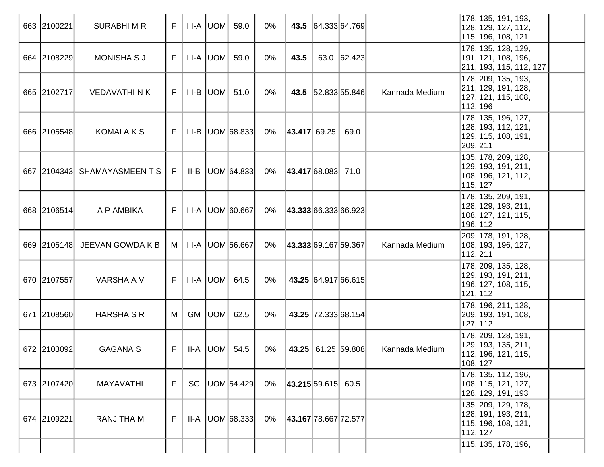|     | 663 2100221 | <b>SURABHIMR</b>             | F  |           | $III-A$ $UOM$ 59.0     | $0\%$ |                        | 43.5 64.333 64.769           |                | 178, 135, 191, 193,<br>128, 129, 127, 112,<br>115, 196, 108, 121                |
|-----|-------------|------------------------------|----|-----------|------------------------|-------|------------------------|------------------------------|----------------|---------------------------------------------------------------------------------|
|     | 664 2108229 | <b>MONISHA S J</b>           | F. |           | $III-A$ $UOM$ 59.0     | $0\%$ | 43.5                   | 63.0 62.423                  |                | 178, 135, 128, 129,<br>191, 121, 108, 196,<br>211, 193, 115, 112, 127           |
|     | 665 2102717 | <b>VEDAVATHI N K</b>         | F. |           | $III-B$ $UOM$ 51.0     | 0%    |                        | 43.5 52.833 55.846           | Kannada Medium | 178, 209, 135, 193,<br>211, 129, 191, 128,<br>127, 121, 115, 108,<br>112, 196   |
|     | 666 2105548 | <b>KOMALA K S</b>            | F  |           | $III-B$ $ UOM 68.833 $ | 0%    | $ 43.417 $ 69.25       | 69.0                         |                | 178, 135, 196, 127,<br>128, 193, 112, 121,<br> 129, 115, 108, 191,<br>209, 211  |
|     |             | 667 2104343 SHAMAYASMEEN T S | E  |           | $II-B$ UOM 64.833      | 0%    | 43.417 68.083 71.0     |                              |                | 135, 178, 209, 128,<br>129, 193, 191, 211,<br>108, 196, 121, 112,<br>115, 127   |
|     | 668 2106514 | A P AMBIKA                   | F. |           | III-A UOM 60.667       | 0%    | 43.333 66.333 66.923   |                              |                | 178, 135, 209, 191,<br> 128, 129, 193, 211,<br>108, 127, 121, 115,<br> 196, 112 |
|     | 669 2105148 | JEEVAN GOWDA K B             | M  |           | III-A UOM 56.667       | 0%    | 43.333 69.167 59.367   |                              | Kannada Medium | 209, 178, 191, 128,<br> 108, 193, 196, 127,<br>112, 211                         |
|     | 670 2107557 | VARSHA A V                   | F  |           | III-A  UOM  64.5       | 0%    |                        | 43.25 64.917 66.615          |                | 178, 209, 135, 128,<br>129, 193, 191, 211,<br>196, 127, 108, 115,<br>121, 112   |
| 671 | 2108560     | <b>HARSHA S R</b>            | M  |           | GM $ UOM $ 62.5        | 0%    |                        | 43.25 72.333 68.154          |                | 178, 196, 211, 128,<br> 209, 193, 191, 108,<br>127, 112                         |
|     | 672 2103092 | <b>GAGANA S</b>              | F. |           | II-A $ $ UOM $ $ 54.5  | 0%    |                        | <b>43.25</b>   61.25  59.808 | Kannada Medium | 178, 209, 128, 191,<br>129, 193, 135, 211,<br>112, 196, 121, 115,<br>108, 127   |
|     | 673 2107420 | <b>MAYAVATHI</b>             | F  | <b>SC</b> | UOM 54.429             | 0%    | $ 43.215 59.615 $ 60.5 |                              |                | 178, 135, 112, 196,<br>108, 115, 121, 127,<br> 128, 129, 191, 193               |
|     | 674 2109221 | <b>RANJITHA M</b>            | F. |           | $II-A$ UOM 68.333      | 0%    | 43.167 78.667 72.577   |                              |                | 135, 209, 129, 178,<br>128, 191, 193, 211,<br>115, 196, 108, 121,<br>112, 127   |
|     |             |                              |    |           |                        |       |                        |                              |                | 115, 135, 178, 196,                                                             |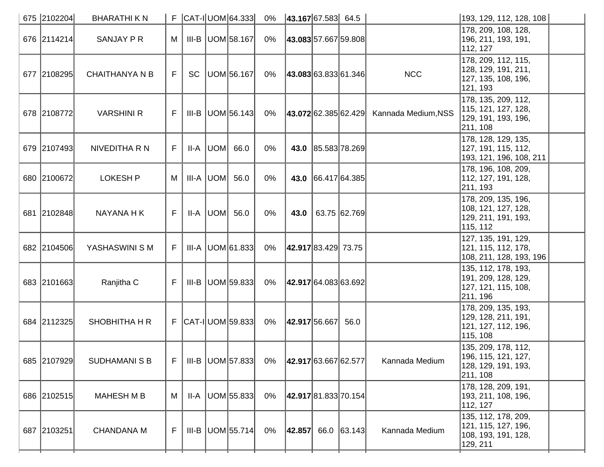| 675 2102204 | <b>BHARATHIKN</b>     |    |           | $F$ $ CAT - I $ UOM $ 64.333 $ | 0% | $ 43.167 67.583 $ 64.5 |                      |                                          | 193, 129, 112, 128, 108                                                        |
|-------------|-----------------------|----|-----------|--------------------------------|----|------------------------|----------------------|------------------------------------------|--------------------------------------------------------------------------------|
| 676 2114214 | SANJAY P R            | M  |           | III-B UOM 58.167               | 0% |                        | 43.083 57.667 59.808 |                                          | 178, 209, 108, 128,<br>196, 211, 193, 191,<br>112, 127                         |
| 677 2108295 | <b>CHAITHANYA N B</b> | F. | <b>SC</b> | UOM 56.167                     | 0% |                        | 43.083 63.833 61.346 | <b>NCC</b>                               | 178, 209, 112, 115,<br>128, 129, 191, 211,<br> 127, 135, 108, 196,<br>121, 193 |
| 678 2108772 | <b>VARSHINI R</b>     | F. |           | $III-B$ UOM 56.143             | 0% |                        |                      | 43.072 62.385 62.429 Kannada Medium, NSS | 178, 135, 209, 112,<br>115, 121, 127, 128,<br>129, 191, 193, 196,<br>211, 108  |
| 679 2107493 | NIVEDITHA R N         | F. |           | $II-A$ $ UOM $ 66.0            | 0% |                        | 43.0 85.583 78.269   |                                          | 178, 128, 129, 135,<br> 127, 191, 115, 112,<br> 193, 121, 196, 108, 211        |
| 680 2100672 | <b>LOKESH P</b>       | M  |           | III-A $ $ UOM $ $ 56.0         | 0% |                        | 43.0 66.417 64.385   |                                          | 178, 196, 108, 209,<br> 112, 127, 191, 128,<br>211, 193                        |
| 681 2102848 | NAYANA H K            | F. |           | $II-A$ UOM $56.0$              | 0% | 43.0                   | 63.75 62.769         |                                          | 178, 209, 135, 196,<br>108, 121, 127, 128,<br>129, 211, 191, 193,<br>115, 112  |
| 682 2104506 | YASHASWINI S M        | F. |           | $III-A$ UOM 61.833             | 0% | 42.917 83.429 73.75    |                      |                                          | 127, 135, 191, 129,<br>121, 115, 112, 178,<br>108, 211, 128, 193, 196          |
| 683 2101663 | Ranjitha C            | F  |           | $III-B$ UOM 59.833             | 0% | 42.917 64.083 63.692   |                      |                                          | 135, 112, 178, 193,<br> 191, 209, 128, 129,<br>127, 121, 115, 108,<br>211, 196 |
| 684 2112325 | SHOBHITHA H R         |    |           | $F$ $ CAT - I $ UOM $ 59.833 $ | 0% | 42.917 56.667          | 56.0                 |                                          | 178, 209, 135, 193,<br>129, 128, 211, 191,<br> 121, 127, 112, 196,<br>115, 108 |
| 685 2107929 | <b>SUDHAMANI S B</b>  | F  |           | $III-B$ UOM 57.833             | 0% | 42.917 63.667 62.577   |                      | Kannada Medium                           | 135, 209, 178, 112,<br>196, 115, 121, 127,<br> 128, 129, 191, 193,<br>211, 108 |
| 686 2102515 | <b>MAHESH M B</b>     | M  | II-A      | UOM 55.833                     | 0% |                        | 42.917 81.833 70.154 |                                          | 178, 128, 209, 191,<br> 193, 211, 108, 196,<br>112, 127                        |
| 687 2103251 | <b>CHANDANA M</b>     | F. |           | $III-B$ UOM 55.714             | 0% | $ 42.857 $ 66.0 63.143 |                      | Kannada Medium                           | 135, 112, 178, 209,<br>121, 115, 127, 196,<br>108, 193, 191, 128,<br>129, 211  |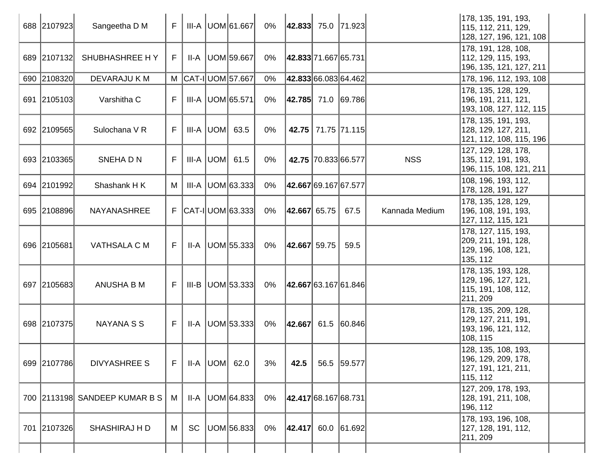| 688 2107923 | Sangeetha D M                 | F  |       | III-A UOM 61.667           | 0%    | $ 42.833 $ 75.0   71.923 |                     |                | 178, 135, 191, 193,<br>115, 112, 211, 129,<br>128, 127, 196, 121, 108         |  |
|-------------|-------------------------------|----|-------|----------------------------|-------|--------------------------|---------------------|----------------|-------------------------------------------------------------------------------|--|
| 689 2107132 | SHUBHASHREE HY                | F  | II-A  | UOM 59.667                 | $0\%$ | 42.833 71.667 65.731     |                     |                | 178, 191, 128, 108,<br>112, 129, 115, 193,<br>196, 135, 121, 127, 211         |  |
| 690 2108320 | <b>DEVARAJU KM</b>            |    |       | M CAT-I UOM 57.667         | $0\%$ | 42.833 66.083 64.462     |                     |                | 178, 196, 112, 193, 108                                                       |  |
| 691 2105103 | Varshitha C                   | F  |       | III-A   UOM 65.571         | 0%    | 42.785  71.0   69.786    |                     |                | 178, 135, 128, 129,<br>196, 191, 211, 121,<br>193, 108, 127, 112, 115         |  |
| 692 2109565 | Sulochana V R                 | F  |       | $III-A$ UOM 63.5           | $0\%$ |                          | 42.75 71.75 71.115  |                | 178, 135, 191, 193,<br>128, 129, 127, 211,<br>121, 112, 108, 115, 196         |  |
| 693 2103365 | SNEHA D N                     | F  |       | $III-A$ UOM 61.5           | 0%    |                          | 42.75 70.833 66.577 | <b>NSS</b>     | 127, 129, 128, 178,<br>135, 112, 191, 193,<br>196, 115, 108, 121, 211         |  |
| 694 2101992 | Shashank HK                   | M  | III-A | UOM 63.333                 | $0\%$ | 42.667 69.167 67.577     |                     |                | 108, 196, 193, 112,<br>178, 128, 191, 127                                     |  |
| 695 2108896 | NAYANASHREE                   | F. |       | $ CAT - I $ UOM $ 63.333 $ | 0%    | $ 42.667 $ 65.75         | 67.5                | Kannada Medium | 178, 135, 128, 129,<br>196, 108, 191, 193,<br>127, 112, 115, 121              |  |
| 696 2105681 | VATHSALA C M                  | F  | II-A  | UOM 55.333                 | 0%    | 42.667 59.75             | 59.5                |                | 178, 127, 115, 193,<br>209, 211, 191, 128,<br>129, 196, 108, 121,<br>135, 112 |  |
| 697 2105683 | ANUSHA B M                    | F  |       | $III-B$ UOM 53.333         | 0%    | 42.667 63.167 61.846     |                     |                | 178, 135, 193, 128,<br>129, 196, 127, 121,<br>115, 191, 108, 112,<br>211, 209 |  |
| 698 2107375 | <b>NAYANA S S</b>             | F  |       | $II-A$ UOM 53.333          | 0%    | $ 42.667 $ 61.5 60.846   |                     |                | 178, 135, 209, 128,<br>129, 127, 211, 191,<br>193, 196, 121, 112,<br>108, 115 |  |
| 699 2107786 | <b>DIVYASHREE S</b>           | F  |       | $II-A$ UOM 62.0            | 3%    | 42.5                     | 56.5 59.577         |                | 128, 135, 108, 193,<br>196, 129, 209, 178,<br>127, 191, 121, 211,<br>115, 112 |  |
|             | 700 2113198 SANDEEP KUMAR B S | M  | II-A  | UOM 64.833                 | $0\%$ | 42.417 68.167 68.731     |                     |                | 127, 209, 178, 193,<br>128, 191, 211, 108,<br>196, 112                        |  |
| 701 2107326 | <b>SHASHIRAJ H D</b>          | M  | SC    | UOM 56.833                 | $0\%$ | 42.417                   | 60.0 61.692         |                | 178, 193, 196, 108,<br>127, 128, 191, 112,<br>211, 209                        |  |
|             |                               |    |       |                            |       |                          |                     |                |                                                                               |  |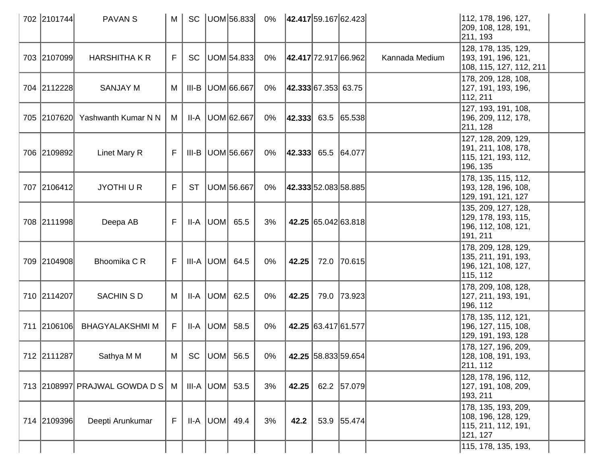| 702 2101744 | <b>PAVAN S</b>                  | M  |           | SC   UOM 56.833     | 0%    | 42.417 59.167 62.423   |      |                      |                | 112, 178, 196, 127,<br> 209, 108, 128, 191,<br>211, 193                        |  |
|-------------|---------------------------------|----|-----------|---------------------|-------|------------------------|------|----------------------|----------------|--------------------------------------------------------------------------------|--|
| 703 2107099 | <b>HARSHITHA K R</b>            | F. | SC        | UOM 54.833          | 0%    | 42.417 72.917 66.962   |      |                      | Kannada Medium | 128, 178, 135, 129,<br>193, 191, 196, 121,<br>108, 115, 127, 112, 211          |  |
| 704 2112228 | <b>SANJAY M</b>                 | M  | III-B     | UOM 66.667          | $0\%$ | 42.333 67.353 63.75    |      |                      |                | 178, 209, 128, 108,<br> 127, 191, 193, 196,<br>112, 211                        |  |
|             | 705 2107620 Yashwanth Kumar N N | M  | II-A      | UOM 62.667          | 0%    | $ 42.333 $ 63.5 65.538 |      |                      |                | 127, 193, 191, 108,<br>196, 209, 112, 178,<br>211, 128                         |  |
| 706 2109892 | Linet Mary R                    | F. |           | III-B   UOM 56.667  | 0%    | $ 42.333 $ 65.5 64.077 |      |                      |                | 127, 128, 209, 129,<br>191, 211, 108, 178,<br>115, 121, 193, 112,<br>196, 135  |  |
| 707 2106412 | <b>JYOTHIUR</b>                 | F. | <b>ST</b> | UOM 56.667          | $0\%$ |                        |      | 42.333 52.083 58.885 |                | 178, 135, 115, 112,<br> 193, 128, 196, 108,<br>129, 191, 121, 127              |  |
| 708 2111998 | Deepa AB                        | F. |           | $II-A$ $ UOM $ 65.5 | 3%    |                        |      | 42.25 65.042 63.818  |                | 135, 209, 127, 128,<br>129, 178, 193, 115,<br>196, 112, 108, 121,<br> 191, 211 |  |
| 709 2104908 | Bhoomika C R                    | F. |           | $III-A$ UOM 64.5    | 0%    | 42.25                  |      | 72.0 70.615          |                | 178, 209, 128, 129,<br>135, 211, 191, 193,<br> 196, 121, 108, 127,<br>115, 112 |  |
| 710 2114207 | SACHIN S D                      | М  | II-A      | UOM 62.5            | 0%    | 42.25                  | 79.0 | 73.923               |                | 178, 209, 108, 128,<br> 127, 211, 193, 191,<br> 196, 112                       |  |
| 711 2106106 | <b>BHAGYALAKSHMI M</b>          | F. | II-A      | UOM  58.5           | 0%    |                        |      | 42.25 63.417 61.577  |                | 178, 135, 112, 121,<br>196, 127, 115, 108,<br>129, 191, 193, 128               |  |
| 712 2111287 | Sathya M M                      | M  |           | SC $ UOM $ 56.5     | $0\%$ |                        |      | 42.25 58.833 59.654  |                | 178, 127, 196, 209,<br>128, 108, 191, 193,<br>211, 112                         |  |
|             | 713 2108997 PRAJWAL GOWDA D S   | M  |           | $III-A$ UOM 53.5    | 3%    | 42.25                  |      | 62.2 57.079          |                | 128, 178, 196, 112,<br>127, 191, 108, 209,<br>193, 211                         |  |
| 714 2109396 | Deepti Arunkumar                | F  |           | $II-A$ UOM 49.4     | 3%    | 42.2                   |      | 53.9 55.474          |                | 178, 135, 193, 209,<br>108, 196, 128, 129,<br>115, 211, 112, 191,<br>121, 127  |  |
|             |                                 |    |           |                     |       |                        |      |                      |                | 115, 178, 135, 193,                                                            |  |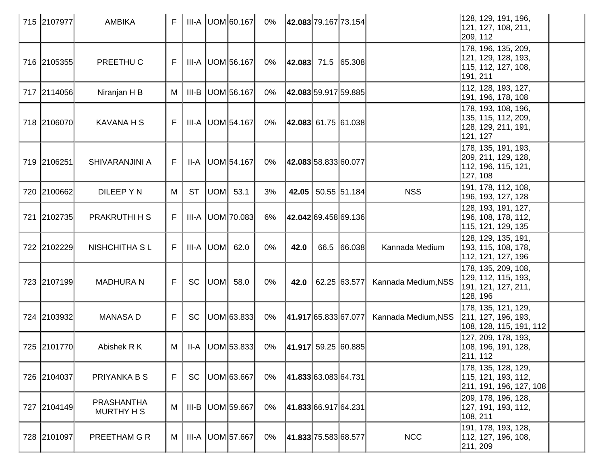| 715 2107977 | <b>AMBIKA</b>                          | F.          |           |           | III-A UOM 60.167     | 0%    | 42.083 79.167 73.154    |      |                    |                     | 128, 129, 191, 196,<br>121, 127, 108, 211,<br>209, 112                        |  |
|-------------|----------------------------------------|-------------|-----------|-----------|----------------------|-------|-------------------------|------|--------------------|---------------------|-------------------------------------------------------------------------------|--|
| 716 2105355 | PREETHU C                              | F           |           |           | III-A   UOM 56.167   | 0%    | $ 42.083 $ 71.5 65.308  |      |                    |                     | 178, 196, 135, 209,<br>121, 129, 128, 193,<br>115, 112, 127, 108,<br>191, 211 |  |
| 717 2114056 | Niranjan H B                           | M           | III-B     |           | UOM 56.167           | 0%    | 42.083 59.917 59.885    |      |                    |                     | 112, 128, 193, 127,<br>191, 196, 178, 108                                     |  |
| 718 2106070 | <b>KAVANA H S</b>                      | F           |           |           | III-A   UOM 54.167   | 0%    | $ 42.083 $ 61.75 61.038 |      |                    |                     | 178, 193, 108, 196,<br>135, 115, 112, 209,<br>128, 129, 211, 191,<br>121, 127 |  |
| 719 2106251 | SHIVARANJINI A                         | F           |           |           | II-A   UOM 54.167    | 0%    | 42.083 58.833 60.077    |      |                    |                     | 178, 135, 191, 193,<br>209, 211, 129, 128,<br>112, 196, 115, 121,<br>127, 108 |  |
| 720 2100662 | DILEEP Y N                             | M           | <b>ST</b> | UOM 53.1  |                      | 3%    |                         |      | 42.05 50.55 51.184 | <b>NSS</b>          | 191, 178, 112, 108,<br>196, 193, 127, 128                                     |  |
| 721 2102735 | PRAKRUTHI H S                          | F           |           |           | III-A   UOM   70.083 | 6%    | 42.042 69.458 69.136    |      |                    |                     | 128, 193, 191, 127,<br>196, 108, 178, 112,<br>115, 121, 129, 135              |  |
| 722 2102229 | <b>NISHCHITHA SL</b>                   | F           |           | III-A UOM | 62.0                 | 0%    | 42.0                    | 66.5 | 66.038             | Kannada Medium      | 128, 129, 135, 191,<br>193, 115, 108, 178,<br>112, 121, 127, 196              |  |
| 723 2107199 | <b>MADHURA N</b>                       | F           | <b>SC</b> |           | UOM  58.0            | 0%    | 42.0                    |      | 62.25 63.577       | Kannada Medium, NSS | 178, 135, 209, 108,<br>129, 112, 115, 193,<br>191, 121, 127, 211,<br>128, 196 |  |
| 724 2103932 | <b>MANASA D</b>                        | F           | <b>SC</b> |           | UOM 63.833           | 0%    | 41.917 65.833 67.077    |      |                    | Kannada Medium, NSS | 178, 135, 121, 129,<br>211, 127, 196, 193,<br>108, 128, 115, 191, 112         |  |
| 725 2101770 | Abishek R K                            | М           |           |           | $II-A$ UOM 53.833    | 0%    | $ 41.917 $ 59.25 60.885 |      |                    |                     | 127, 209, 178, 193,<br>108, 196, 191, 128,<br>211, 112                        |  |
| 726 2104037 | PRIYANKA B S                           | $\mathsf F$ | <b>SC</b> |           | UOM 63.667           | 0%    | 41.833 63.083 64.731    |      |                    |                     | 178, 135, 128, 129,<br>115, 121, 193, 112,<br> 211, 191, 196, 127, 108        |  |
| 727 2104149 | <b>PRASHANTHA</b><br><b>MURTHY H S</b> | M           | $III-B$   |           | UOM 59.667           | $0\%$ | 41.833 66.917 64.231    |      |                    |                     | 209, 178, 196, 128,<br>127, 191, 193, 112,<br>108, 211                        |  |
| 728 2101097 | PREETHAM G R                           | M           |           |           | III-A UOM 57.667     | $0\%$ | 41.833 75.583 68.577    |      |                    | <b>NCC</b>          | 191, 178, 193, 128,<br>112, 127, 196, 108,<br>211, 209                        |  |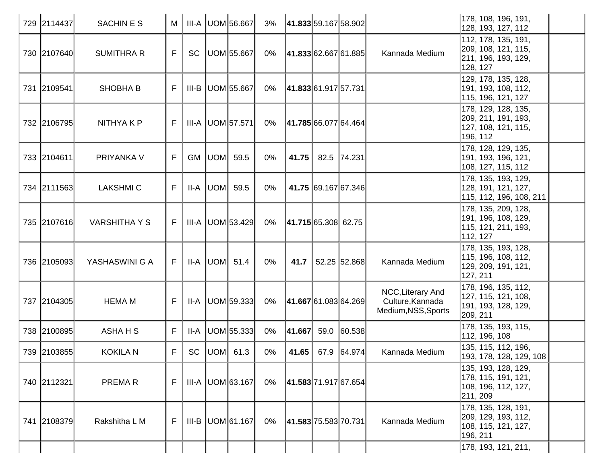| 729 2114437 | <b>SACHINES</b>      | M  |           |     | III-A   UOM 56.667      | 3%    |                      | 41.833 59.167 58.902 |                                                              | 178, 108, 196, 191,<br>128, 193, 127, 112                                      |
|-------------|----------------------|----|-----------|-----|-------------------------|-------|----------------------|----------------------|--------------------------------------------------------------|--------------------------------------------------------------------------------|
| 730 2107640 | <b>SUMITHRA R</b>    | F  | <b>SC</b> |     | UOM 55.667              | 0%    | 41.833 62.667 61.885 |                      | Kannada Medium                                               | 112, 178, 135, 191,<br>209, 108, 121, 115,<br> 211, 196, 193, 129,<br>128, 127 |
| 731 2109541 | <b>SHOBHA B</b>      | F. |           |     | III-B   UOM 55.667      | 0%    | 41.833 61.917 57.731 |                      |                                                              | 129, 178, 135, 128,<br> 191, 193, 108, 112,<br> 115, 196, 121, 127             |
| 732 2106795 | NITHYA K P           | F. |           |     | III-A UOM 57.571        | 0%    | 41.785 66.077 64.464 |                      |                                                              | 178, 129, 128, 135,<br>209, 211, 191, 193,<br>127, 108, 121, 115,<br>196, 112  |
| 733 2104611 | PRIYANKA V           | F  | GM        | UOM | 59.5                    | $0\%$ | 41.75                | 82.5 74.231          |                                                              | 178, 128, 129, 135,<br> 191, 193, 196, 121,<br>108, 127, 115, 112              |
| 734 2111563 | <b>LAKSHMI C</b>     | F  | $II-A$    | UOM | 59.5                    | 0%    |                      | 41.75 69.167 67.346  |                                                              | 178, 135, 193, 129,<br>128, 191, 121, 127,<br>115, 112, 196, 108, 211          |
| 735 2107616 | <b>VARSHITHA Y S</b> | F  |           |     | III-A   UOM 53.429      | 0%    | 41.715 65.308 62.75  |                      |                                                              | 178, 135, 209, 128,<br>191, 196, 108, 129,<br>115, 121, 211, 193,<br>112, 127  |
| 736 2105093 | YASHASWINI G A       | F. |           |     | $II-A$ UOM 51.4         | $0\%$ | 41.7                 | 52.25 52.868         | Kannada Medium                                               | 178, 135, 193, 128,<br> 115, 196, 108, 112,<br>129, 209, 191, 121,<br>127, 211 |
| 737 2104305 | <b>HEMA M</b>        | F. |           |     | $II-A$   UOM $ 59.333 $ | $0\%$ |                      | 41.667 61.083 64.269 | NCC, Literary And<br>Culture, Kannada<br>Medium, NSS, Sports | 178, 196, 135, 112,<br>127, 115, 121, 108,<br> 191, 193, 128, 129,<br>209, 211 |
| 738 2100895 | ASHA H S             | F  | II-A      |     | UOM 55.333              | 0%    | 41.667               | 59.0 60.538          |                                                              | 178, 135, 193, 115,<br>112, 196, 108                                           |
| 739 2103855 | <b>KOKILA N</b>      | F. |           |     | SC $ UOM $ 61.3         | 0%    | 41.65                | 67.9 64.974          | Kannada Medium                                               | 135, 115, 112, 196,<br>193, 178, 128, 129, 108                                 |
| 740 2112321 | <b>PREMAR</b>        | F  |           |     | $III-A$ UOM 63.167      | 0%    | 41.583 71.917 67.654 |                      |                                                              | 135, 193, 128, 129,<br>178, 115, 191, 121,<br> 108, 196, 112, 127,<br>211, 209 |
| 741 2108379 | Rakshitha L M        | F  |           |     | III-B   UOM 61.167      | 0%    | 41.583 75.583 70.731 |                      | Kannada Medium                                               | 178, 135, 128, 191,<br>209, 129, 193, 112,<br>108, 115, 121, 127,<br>196, 211  |
|             |                      |    |           |     |                         |       |                      |                      |                                                              | 178, 193, 121, 211,                                                            |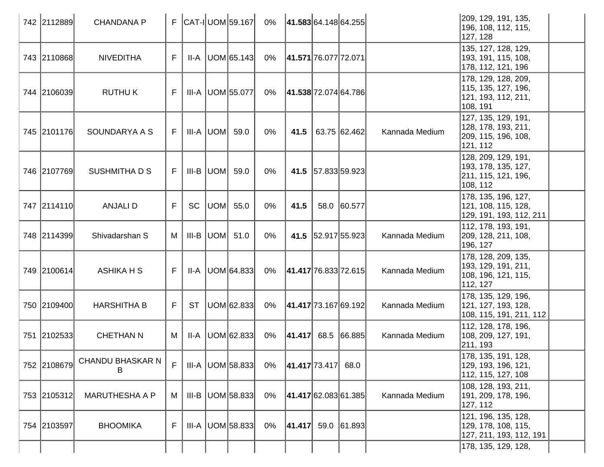| 742 2112889 | <b>CHANDANA P</b>            |             |           |                 | $F$ $ CAT - I $ UOM 59.167 | 0%    | 41.583 64.148 64.255   |                    |             |                | 209, 129, 191, 135,<br>196, 108, 112, 115,<br>127, 128                          |  |
|-------------|------------------------------|-------------|-----------|-----------------|----------------------------|-------|------------------------|--------------------|-------------|----------------|---------------------------------------------------------------------------------|--|
| 743 2110868 | <b>NIVEDITHA</b>             | F           | II-A      |                 | UOM 65.143                 | 0%    | 41.571 76.077 72.071   |                    |             |                | 135, 127, 128, 129,<br>193, 191, 115, 108,<br>178, 112, 121, 196                |  |
| 744 2106039 | <b>RUTHUK</b>                | F           |           |                 | III-A   UOM 55.077         | 0%    | 41.538 72.074 64.786   |                    |             |                | 178, 129, 128, 209,<br> 115, 135, 127, 196,<br> 121, 193, 112, 211,<br>108, 191 |  |
| 745 2101176 | SOUNDARYA A S                | F           |           |                 | $III-A$ $ UOM $ 59.0       | $0\%$ | 41.5                   | 63.75 62.462       |             | Kannada Medium | 127, 135, 129, 191,<br>128, 178, 193, 211,<br> 209, 115, 196, 108,<br>121, 112  |  |
| 746 2107769 | SUSHMITHA D S                | F           |           | III-B UOM       | 59.0                       | $0\%$ |                        | 41.5 57.833 59.923 |             |                | 128, 209, 129, 191,<br>193, 178, 135, 127,<br>211, 115, 121, 196,<br>108, 112   |  |
| 747 2114110 | <b>ANJALID</b>               | F           | <b>SC</b> | UOM             | 55.0                       | 0%    | 41.5                   |                    | 58.0 60.577 |                | 178, 135, 196, 127,<br>121, 108, 115, 128,<br>129, 191, 193, 112, 211           |  |
| 748 2114399 | Shivadarshan S               | М           |           | $III-B$ $ UOM $ | 51.0                       | 0%    |                        | 41.5 52.917 55.923 |             | Kannada Medium | 112, 178, 193, 191,<br>209, 128, 211, 108,<br>196, 127                          |  |
| 749 2100614 | <b>ASHIKA H S</b>            | F           | II-A      |                 | UOM 64.833                 | 0%    | 41.417 76.833 72.615   |                    |             | Kannada Medium | 178, 128, 209, 135,<br>193, 129, 191, 211,<br>108, 196, 121, 115,<br>112, 127   |  |
| 750 2109400 | <b>HARSHITHA B</b>           | F           | <b>ST</b> |                 | UOM 62.833                 | 0%    | 41.417 73.167 69.192   |                    |             | Kannada Medium | 178, 135, 129, 196,<br>121, 127, 193, 128,<br>108, 115, 191, 211, 112           |  |
| 751 2102533 | <b>CHETHAN N</b>             | M           | II-A      |                 | UOM 62.833                 | 0%    | $ 41.417 $ 68.5 66.885 |                    |             | Kannada Medium | 112, 128, 178, 196,<br>108, 209, 127, 191,<br>211, 193                          |  |
| 752 2108679 | <b>CHANDU BHASKAR N</b><br>В | $\mathsf F$ |           |                 | $III-A$ UOM 58.833         | 0%    | 41.417 73.417          |                    | 68.0        |                | 178, 135, 191, 128,<br> 129, 193, 196, 121,<br>112, 115, 127, 108               |  |
| 753 2105312 | <b>MARUTHESHA A P</b>        | М           | III-B     |                 | UOM 58.833                 | 0%    | 41.417 62.083 61.385   |                    |             | Kannada Medium | 108, 128, 193, 211,<br> 191, 209, 178, 196,<br>127, 112                         |  |
| 754 2103597 | <b>BHOOMIKA</b>              | F           | III-A     |                 | UOM 58.833                 | 0%    | $ 41.417 $ 59.0 61.893 |                    |             |                | 121, 196, 135, 128,<br>129, 178, 108, 115,<br>127, 211, 193, 112, 191           |  |
|             |                              |             |           |                 |                            |       |                        |                    |             |                | 178, 135, 129, 128,                                                             |  |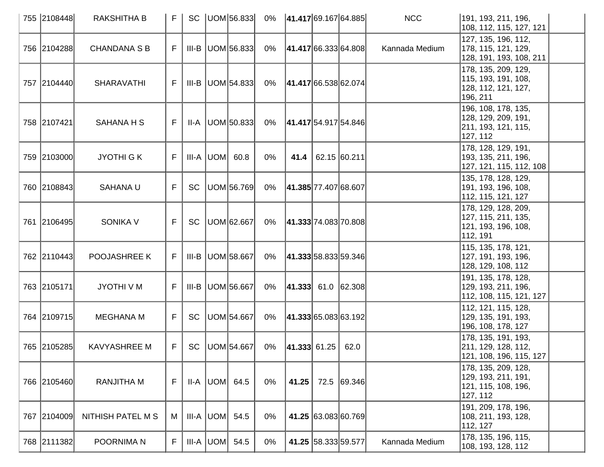| 755 2108448 | <b>RAKSHITHA B</b>  | F  |           | SC   UOM   56.833     |       |                  | 0%  41.417 69.167 64.885 | <b>NCC</b>     | 191, 193, 211, 196,<br>108, 112, 115, 127, 121                                 |
|-------------|---------------------|----|-----------|-----------------------|-------|------------------|--------------------------|----------------|--------------------------------------------------------------------------------|
| 756 2104288 | <b>CHANDANA S B</b> | F  |           | $III-B$ UOM 56.833    | 0%    |                  | 41.417 66.333 64.808     | Kannada Medium | 127, 135, 196, 112,<br>178, 115, 121, 129,<br>128, 191, 193, 108, 211          |
| 757 2104440 | <b>SHARAVATHI</b>   | F. |           | $III-B$ UOM 54.833    | 0%    |                  | 41.417 66.538 62.074     |                | 178, 135, 209, 129,<br>115, 193, 191, 108,<br>128, 112, 121, 127,<br>196, 211  |
| 758 2107421 | <b>SAHANA H S</b>   | F  |           | $II-A$ $ UOM $ 50.833 | 0%    |                  | 41.417 54.917 54.846     |                | 196, 108, 178, 135,<br> 128, 129, 209, 191,<br>211, 193, 121, 115,<br>127, 112 |
| 759 2103000 | <b>JYOTHI GK</b>    | F  |           | $III-A$ $ UOM $ 60.8  | $0\%$ | 41.4             | 62.15 60.211             |                | 178, 128, 129, 191,<br>193, 135, 211, 196,<br>127, 121, 115, 112, 108          |
| 760 2108843 | <b>SAHANA U</b>     | F  | <b>SC</b> | UOM 56.769            | 0%    |                  | 41.385 77.407 68.607     |                | 135, 178, 128, 129,<br> 191, 193, 196, 108,<br>112, 115, 121, 127              |
| 761 2106495 | <b>SONIKA V</b>     | F  | SC        | UOM 62.667            | 0%    |                  | 41.333 74.083 70.808     |                | 178, 129, 128, 209,<br>127, 115, 211, 135,<br>121, 193, 196, 108,<br>112, 191  |
| 762 2110443 | POOJASHREE K        | F  |           | III-B   UOM 58.667    | $0\%$ |                  | 41.333 58.833 59.346     |                | 115, 135, 178, 121,<br>127, 191, 193, 196,<br>128, 129, 108, 112               |
| 763 2105171 | JYOTHI V M          | F  |           | III-B   UOM 56.667    | 0%    |                  | $ 41.333 $ 61.0 62.308   |                | 191, 135, 178, 128,<br>129, 193, 211, 196,<br>112, 108, 115, 121, 127          |
| 764 2109715 | <b>MEGHANA M</b>    | F. | <b>SC</b> | UOM 54.667            | 0%    |                  | 41.333 65.083 63.192     |                | 112, 121, 115, 128,<br> 129, 135, 191, 193,<br>196, 108, 178, 127              |
| 765 2105285 | <b>KAVYASHREE M</b> | F. | SC        | UOM 54.667            | 0%    | $ 41.333 $ 61.25 | 62.0                     |                | 178, 135, 191, 193,<br>211, 129, 128, 112,<br>121, 108, 196, 115, 127          |
| 766 2105460 | <b>RANJITHA M</b>   | F  |           | $II-A$ $ UOM $ 64.5   | 0%    |                  | 41.25 72.5 69.346        |                | 178, 135, 209, 128,<br>129, 193, 211, 191,<br> 121, 115, 108, 196,<br>127, 112 |
| 767 2104009 | NITHISH PATEL M S   | M  |           | $III-A$ UOM 54.5      | 0%    |                  | 41.25 63.083 60.769      |                | 191, 209, 178, 196,<br> 108, 211, 193, 128,<br>112, 127                        |
| 768 2111382 | POORNIMA N          | F  |           | $III-A$ UOM 54.5      | $0\%$ |                  | 41.25 58.333 59.577      | Kannada Medium | 178, 135, 196, 115,<br>108, 193, 128, 112                                      |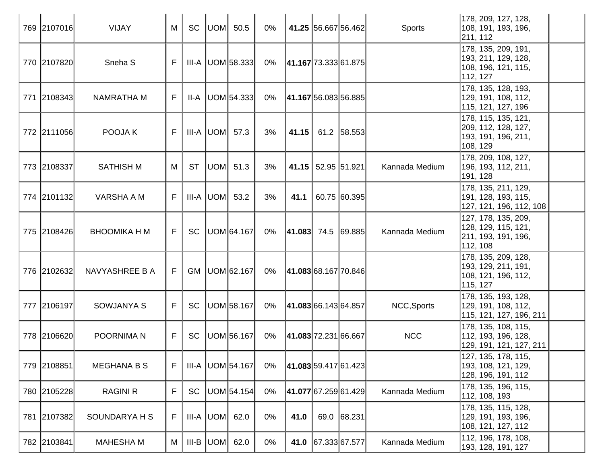| 769 2107016 | VIJAY               | M  | SC        |            | UOM  50.5              | 0%    |                        |                    | 41.25 56.667 56.462 | <b>Sports</b>  | 178, 209, 127, 128,<br>108, 191, 193, 196,<br>211, 112                        |
|-------------|---------------------|----|-----------|------------|------------------------|-------|------------------------|--------------------|---------------------|----------------|-------------------------------------------------------------------------------|
| 770 2107820 | Sneha <sub>S</sub>  | F  |           |            | $III-A$ UOM 58.333     | 0%    | 41.167 73.333 61.875   |                    |                     |                | 178, 135, 209, 191,<br>193, 211, 129, 128,<br>108, 196, 121, 115,<br>112, 127 |
| 771 2108343 | <b>NAMRATHA M</b>   | F  | II-A      |            | UOM 54.333             | $0\%$ | 41.167 56.083 56.885   |                    |                     |                | 178, 135, 128, 193,<br> 129, 191, 108, 112,<br>115, 121, 127, 196             |
| 772 2111056 | POOJA K             | F  |           |            | III-A $ $ UOM $ $ 57.3 | 3%    | 41.15                  |                    | 61.2 58.553         |                | 178, 115, 135, 121,<br>209, 112, 128, 127,<br>193, 191, 196, 211,<br>108, 129 |
| 773 2108337 | <b>SATHISH M</b>    | M  | <b>ST</b> |            | UOM  51.3              | 3%    |                        | 41.15 52.95 51.921 |                     | Kannada Medium | 178, 209, 108, 127,<br>196, 193, 112, 211,<br>191, 128                        |
| 774 2101132 | VARSHA A M          | F  |           | III-A  UOM | 53.2                   | 3%    | 41.1                   |                    | 60.75 60.395        |                | 178, 135, 211, 129,<br>191, 128, 193, 115,<br>127, 121, 196, 112, 108         |
| 775 2108426 | <b>BHOOMIKA H M</b> | F. | SC        |            | UOM 64.167             | 0%    | $ 41.083 $ 74.5 69.885 |                    |                     | Kannada Medium | 127, 178, 135, 209,<br>128, 129, 115, 121,<br>211, 193, 191, 196,<br>112, 108 |
| 776 2102632 | NAVYASHREE B A      | F  |           |            | GM   UOM 62.167        | 0%    | 41.083 68.167 70.846   |                    |                     |                | 178, 135, 209, 128,<br>193, 129, 211, 191,<br>108, 121, 196, 112,<br>115, 127 |
| 777 2106197 | SOWJANYA S          | F  | <b>SC</b> |            | UOM 58.167             | 0%    | 41.083 66.143 64.857   |                    |                     | NCC, Sports    | 178, 135, 193, 128,<br>129, 191, 108, 112,<br> 115, 121, 127, 196, 211        |
| 778 2106620 | POORNIMA N          | F  | <b>SC</b> |            | UOM 56.167             | 0%    | 41.083 72.231 66.667   |                    |                     | <b>NCC</b>     | 178, 135, 108, 115,<br>112, 193, 196, 128,<br>129, 191, 121, 127, 211         |
| 779 2108851 | <b>MEGHANA B S</b>  | F  |           |            | III-A   UOM 54.167     | $0\%$ | 41.083 59.417 61.423   |                    |                     |                | 127, 135, 178, 115,<br> 193, 108, 121, 129,<br>128, 196, 191, 112             |
| 780 2105228 | RAGINI R            | F  | SC        |            | UOM 54.154             | 0%    | 41.077 67.259 61.429   |                    |                     | Kannada Medium | 178, 135, 196, 115,<br>112, 108, 193                                          |
| 781 2107382 | SOUNDARYA H S       | F  |           |            | $III-A$ $UOM$ 62.0     | 0%    | 41.0                   |                    | 69.0 68.231         |                | 178, 135, 115, 128,<br> 129, 191, 193, 196,<br>108, 121, 127, 112             |
| 782 2103841 | <b>MAHESHA M</b>    | M  |           |            | $III-B$ UOM 62.0       | 0%    |                        |                    | 41.0 67.333 67.577  | Kannada Medium | 112, 196, 178, 108,<br>193, 128, 191, 127                                     |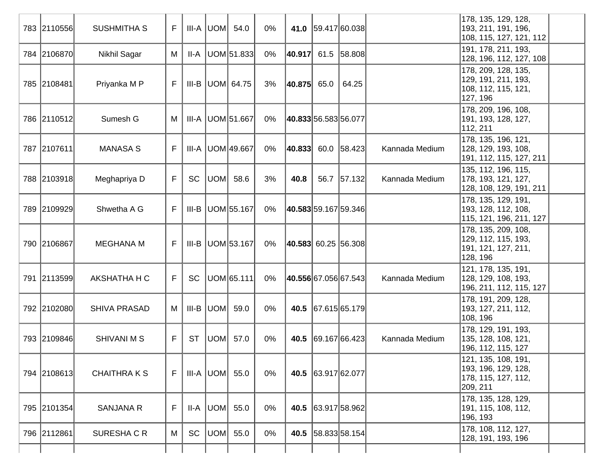|     | 783 2110556 | <b>SUSHMITHA S</b>  | F. |           |     | $III-A$ $UOM$ 54.0      | 0%    |        |                      | 41.0 59.417 60.038            |                | 178, 135, 129, 128,<br>193, 211, 191, 196,<br>108, 115, 127, 121, 112          |
|-----|-------------|---------------------|----|-----------|-----|-------------------------|-------|--------|----------------------|-------------------------------|----------------|--------------------------------------------------------------------------------|
|     | 784 2106870 | Nikhil Sagar        | M  | $II-A$    |     | UOM 51.833              | 0%    |        |                      | 40.917 61.5 58.808            |                | 191, 178, 211, 193,<br>128, 196, 112, 127, 108                                 |
|     | 785 2108481 | Priyanka M P        | F. |           |     | III-B $ $ UOM $ $ 64.75 | 3%    | 40.875 | 65.0                 | 64.25                         |                | 178, 209, 128, 135,<br> 129, 191, 211, 193,<br>108, 112, 115, 121,<br>127, 196 |
|     | 786 2110512 | Sumesh G            | M  |           |     | III-A UOM 51.667        | 0%    |        | 40.833 56.583 56.077 |                               |                | 178, 209, 196, 108,<br> 191, 193, 128, 127,<br>112, 211                        |
|     | 787 2107611 | <b>MANASA S</b>     | F  |           |     | III-A UOM 49.667        | 0%    | 40.833 |                      | 60.0 58.423                   | Kannada Medium | 178, 135, 196, 121,<br> 128, 129, 193, 108,<br> 191, 112, 115, 127, 211        |
|     | 788 2103918 | Meghapriya D        | F  | <b>SC</b> | UOM | 58.6                    | 3%    | 40.8   |                      | 56.7 57.132                   | Kannada Medium | 135, 112, 196, 115,<br>178, 193, 121, 127,<br> 128, 108, 129, 191, 211         |
|     | 789 2109929 | Shwetha A G         | F  |           |     | III-B   UOM 55.167      | $0\%$ |        |                      | <b>40.583</b> 59.167 59.346   |                | 178, 135, 129, 191,<br> 193, 128, 112, 108,<br>115, 121, 196, 211, 127         |
|     | 790 2106867 | <b>MEGHANA M</b>    | F  |           |     | III-B   UOM 53.167      | 0%    |        |                      | <b>40.583</b>   60.25  56.308 |                | 178, 135, 209, 108,<br>129, 112, 115, 193,<br>191, 121, 127, 211,<br>128, 196  |
| 791 | 2113599     | AKSHATHA H C        | F. | <b>SC</b> |     | UOM 65.111              | 0%    |        |                      | <b>40.556</b> 67.056 67.543   | Kannada Medium | 121, 178, 135, 191,<br> 128, 129, 108, 193,<br>196, 211, 112, 115, 127         |
|     | 792 2102080 | <b>SHIVA PRASAD</b> | M  | $III-B$   | UOM | 59.0                    | $0\%$ | 40.5   |                      | 67.615 65.179                 |                | 178, 191, 209, 128,<br> 193, 127, 211, 112,<br>108, 196                        |
|     | 793 2109846 | <b>SHIVANI M S</b>  | F  | <b>ST</b> |     | UOM 57.0                | $0\%$ | 40.5   |                      | 69.167 66.423                 | Kannada Medium | 178, 129, 191, 193,<br> 135, 128, 108, 121,<br>196, 112, 115, 127              |
|     | 794 2108613 | <b>CHAITHRAKS</b>   | F  |           |     | $III-A$ UOM $55.0$      | $0\%$ |        | 40.5 63.917 62.077   |                               |                | 121, 135, 108, 191,<br>193, 196, 129, 128,<br>178, 115, 127, 112,<br>209, 211  |
|     | 795 2101354 | <b>SANJANA R</b>    | F  |           |     | $II-A$ UOM 55.0         | $0\%$ | 40.5   |                      | 63.917 58.962                 |                | 178, 135, 128, 129,<br>191, 115, 108, 112,<br> 196, 193                        |
|     | 796 2112861 | SURESHA C R         | M  | SC        |     | UOM  55.0               | $0\%$ | 40.5   |                      | 58.833 58.154                 |                | 178, 108, 112, 127,<br>128, 191, 193, 196                                      |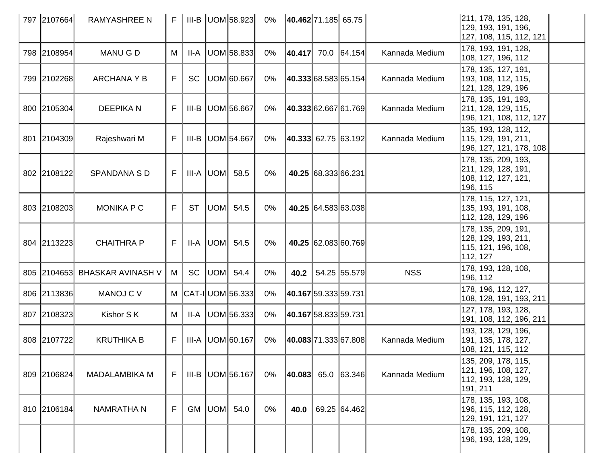| 797 2107664 | <b>RAMYASHREE N</b>           | F           |           |     | $III-B$ UOM 58.923  | $0\%$ | 40.462 71.185 65.75     |                     |                     |                | 211, 178, 135, 128,<br>129, 193, 191, 196,<br>127, 108, 115, 112, 121          |  |
|-------------|-------------------------------|-------------|-----------|-----|---------------------|-------|-------------------------|---------------------|---------------------|----------------|--------------------------------------------------------------------------------|--|
| 798 2108954 | <b>MANUGD</b>                 | M           | II-A      |     | UOM 58.833          | $0\%$ | 40.417                  |                     | 70.0 64.154         | Kannada Medium | 178, 193, 191, 128,<br>108, 127, 196, 112                                      |  |
| 799 2102268 | <b>ARCHANA Y B</b>            | F           | <b>SC</b> |     | UOM 60.667          | $0\%$ | 40.333 68.583 65.154    |                     |                     | Kannada Medium | 178, 135, 127, 191,<br>193, 108, 112, 115,<br>121, 128, 129, 196               |  |
| 800 2105304 | <b>DEEPIKAN</b>               | F           | III-B     |     | UOM 56.667          | 0%    | 40.333 62.667 61.769    |                     |                     | Kannada Medium | 178, 135, 191, 193,<br>211, 128, 129, 115,<br>196, 121, 108, 112, 127          |  |
| 801 2104309 | Rajeshwari M                  | F           | III-B     |     | UOM 54.667          | 0%    | $ 40.333 $ 62.75 63.192 |                     |                     | Kannada Medium | 135, 193, 128, 112,<br>115, 129, 191, 211,<br>196, 127, 121, 178, 108          |  |
| 802 2108122 | <b>SPANDANA SD</b>            | F           |           |     | $III-A$ UOM 58.5    | $0\%$ |                         | 40.25 68.333 66.231 |                     |                | 178, 135, 209, 193,<br>211, 129, 128, 191,<br>108, 112, 127, 121,<br>196, 115  |  |
| 803 2108203 | <b>MONIKA P C</b>             | F           | <b>ST</b> | UOM | 54.5                | 0%    |                         |                     | 40.25 64.583 63.038 |                | 178, 115, 127, 121,<br>135, 193, 191, 108,<br>112, 128, 129, 196               |  |
| 804 2113223 | <b>CHAITHRA P</b>             | F           | II-A      | UOM | 54.5                | $0\%$ |                         |                     | 40.25 62.083 60.769 |                | 178, 135, 209, 191,<br>128, 129, 193, 211,<br> 115, 121, 196, 108,<br>112, 127 |  |
|             | 805 2104653 BHASKAR AVINASH V | М           | <b>SC</b> | UOM | 54.4                | $0\%$ | 40.2                    |                     | 54.25 55.579        | <b>NSS</b>     | 178, 193, 128, 108,<br>196, 112                                                |  |
| 806 2113836 | <b>MANOJ C V</b>              |             |           |     | M  CAT-I UOM 56.333 | $0\%$ | 40.167 59.333 59.731    |                     |                     |                | 178, 196, 112, 127,<br>108, 128, 191, 193, 211                                 |  |
| 807 2108323 | Kishor S K                    | М           | II-A      |     | UOM 56.333          | $0\%$ | 40.167 58.833 59.731    |                     |                     |                | 127, 178, 193, 128,<br> 191, 108, 112, 196, 211                                |  |
| 808 2107722 | <b>KRUTHIKA B</b>             | F           | III-A     |     | UOM 60.167          | $0\%$ | 40.083 71.333 67.808    |                     |                     | Kannada Medium | 193, 128, 129, 196,<br> 191, 135, 178, 127,<br>108, 121, 115, 112              |  |
| 809 2106824 | <b>MADALAMBIKA M</b>          | F           | III-B     |     | UOM 56.167          | 0%    | 40.083                  |                     | 65.0 63.346         | Kannada Medium | 135, 209, 178, 115,<br>121, 196, 108, 127,<br>112, 193, 128, 129,<br>191, 211  |  |
| 810 2106184 | <b>NAMRATHA N</b>             | $\mathsf F$ | <b>GM</b> |     | UOM 54.0            | 0%    | 40.0                    |                     | 69.25 64.462        |                | 178, 135, 193, 108,<br>196, 115, 112, 128,<br>129, 191, 121, 127               |  |
|             |                               |             |           |     |                     |       |                         |                     |                     |                | 178, 135, 209, 108,<br>196, 193, 128, 129,                                     |  |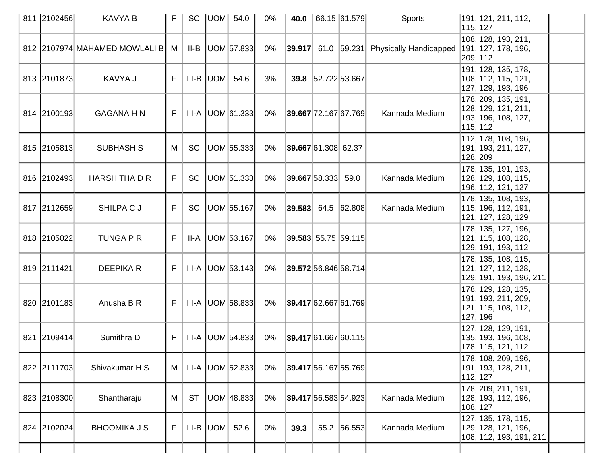| 811 2102456 | <b>KAVYA B</b>                    | F | <b>SC</b> |     | UOM  54.0          | 0%    | 40.0                        |                    | 66.15 61.579 | <b>Sports</b>                                     | 191, 121, 211, 112,<br>115, 127                                                |  |
|-------------|-----------------------------------|---|-----------|-----|--------------------|-------|-----------------------------|--------------------|--------------|---------------------------------------------------|--------------------------------------------------------------------------------|--|
|             | 812 2107974 MAHAMED MOWLALI B   M |   | II-B      |     | UOM 57.833         | $0\%$ |                             |                    |              | $ 39.917 $ 61.0 $ 59.231 $ Physically Handicapped | 108, 128, 193, 211,<br> 191, 127, 178, 196,<br>209, 112                        |  |
| 813 2101873 | KAVYA J                           | F | III-B     | UOM | 54.6               | 3%    |                             | 39.8 52.722 53.667 |              |                                                   | 191, 128, 135, 178,<br>108, 112, 115, 121,<br>127, 129, 193, 196               |  |
| 814 2100193 | <b>GAGANA H N</b>                 | F |           |     | $III-A$ UOM 61.333 | 0%    | 39.667 72.167 67.769        |                    |              | Kannada Medium                                    | 178, 209, 135, 191,<br>128, 129, 121, 211,<br> 193, 196, 108, 127,<br>115, 112 |  |
| 815 2105813 | <b>SUBHASH S</b>                  | М | <b>SC</b> |     | UOM 55.333         | 0%    | 39.667 61.308 62.37         |                    |              |                                                   | 112, 178, 108, 196,<br> 191, 193, 211, 127,<br>128, 209                        |  |
| 816 2102493 | <b>HARSHITHA D R</b>              | F | <b>SC</b> |     | UOM 51.333         | 0%    | 39.667 58.333               |                    | 59.0         | Kannada Medium                                    | 178, 135, 191, 193,<br>128, 129, 108, 115,<br>196, 112, 121, 127               |  |
| 817 2112659 | SHILPA C J                        | F | <b>SC</b> |     | UOM 55.167         | $0\%$ | $ 39.583 $ 64.5 62.808      |                    |              | Kannada Medium                                    | 178, 135, 108, 193,<br>115, 196, 112, 191,<br>121, 127, 128, 129               |  |
| 818 2105022 | <b>TUNGA P R</b>                  | F | II-A      |     | UOM 53.167         | $0\%$ | <b>39.583</b> 55.75 59.115  |                    |              |                                                   | 178, 135, 127, 196,<br>121, 115, 108, 128,<br>129, 191, 193, 112               |  |
| 819 2111421 | <b>DEEPIKAR</b>                   | F | III-A     |     | UOM 53.143         | $0\%$ | $39.572$ 56.846 58.714      |                    |              |                                                   | 178, 135, 108, 115,<br> 121, 127, 112, 128,<br>129, 191, 193, 196, 211         |  |
| 820 2101183 | Anusha B R                        | F |           |     | $III-A$ UOM 58.833 | $0\%$ | 39.41762.66761.769          |                    |              |                                                   | 178, 129, 128, 135,<br> 191, 193, 211, 209,<br>121, 115, 108, 112,<br>127, 196 |  |
| 821 2109414 | Sumithra D                        | F | III-A     |     | UOM 54.833         | 0%    | <b>39.417</b> 61.667 60.115 |                    |              |                                                   | 127, 128, 129, 191,<br>135, 193, 196, 108,<br>178, 115, 121, 112               |  |
| 822 2111703 | Shivakumar H S                    | M | III-A     |     | UOM 52.833         | 0%    | 39.417 56.167 55.769        |                    |              |                                                   | 178, 108, 209, 196,<br>191, 193, 128, 211,<br>112, 127                         |  |
| 823 2108300 | Shantharaju                       | M | <b>ST</b> |     | UOM 48.833         | 0%    | <b>39.417</b> 56.583 54.923 |                    |              | Kannada Medium                                    | 178, 209, 211, 191,<br> 128, 193, 112, 196,<br>108, 127                        |  |
| 824 2102024 | <b>BHOOMIKA J S</b>               | F | III-B     | UOM | 52.6               | 0%    | 39.3                        |                    | 55.2 56.553  | Kannada Medium                                    | 127, 135, 178, 115,<br>129, 128, 121, 196,<br>108, 112, 193, 191, 211          |  |
|             |                                   |   |           |     |                    |       |                             |                    |              |                                                   |                                                                                |  |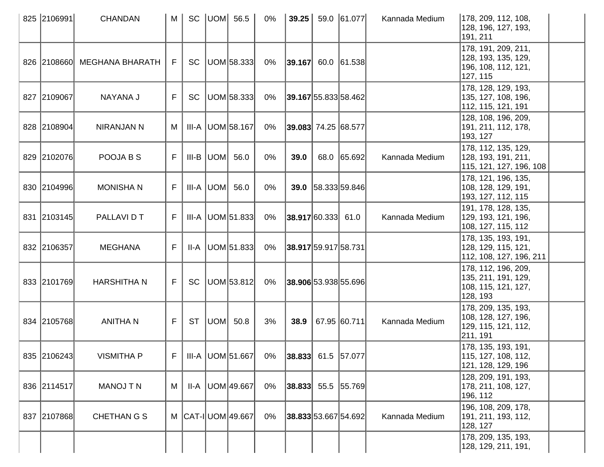| 825 2106991 | <b>CHANDAN</b>              | M        |           | SC $ UOM $ 56.5        | $0\%$ | 39.25                  |                      | 59.0 61.077                 | Kannada Medium | 178, 209, 112, 108,<br>128, 196, 127, 193,<br>191, 211                         |
|-------------|-----------------------------|----------|-----------|------------------------|-------|------------------------|----------------------|-----------------------------|----------------|--------------------------------------------------------------------------------|
|             | 826 2108660 MEGHANA BHARATH | F.       |           | SC   UOM   58.333      | 0%    | $ 39.167 $ 60.0 61.538 |                      |                             |                | 178, 191, 209, 211,<br> 128, 193, 135, 129,<br>196, 108, 112, 121,<br>127, 115 |
| 827 2109067 | NAYANA J                    | F        | <b>SC</b> | UOM 58.333             | 0%    |                        |                      | <b>39.167</b> 55.833 58.462 |                | 178, 128, 129, 193,<br>135, 127, 108, 196,<br>112, 115, 121, 191               |
| 828 2108904 | NIRANJAN N                  | M        |           | III-A   UOM 58.167     | 0%    | 39.083 74.25 68.577    |                      |                             |                | 128, 108, 196, 209,<br> 191, 211, 112, 178,<br>193, 127                        |
| 829 2102076 | POOJA B S                   | F        |           | $III-B$ UOM $56.0$     | 0%    | 39.0                   |                      | 68.0 65.692                 | Kannada Medium | 178, 112, 135, 129,<br> 128, 193, 191, 211,<br>115, 121, 127, 196, 108         |
| 830 2104996 | <b>MONISHAN</b>             | F        |           | III-A UOM 56.0         | $0\%$ |                        |                      | 39.0 58.333 59.846          |                | 178, 121, 196, 135,<br> 108, 128, 129, 191,<br>193, 127, 112, 115              |
| 831 2103145 | PALLAVI D T                 | F        |           | $III-A$ $ UOM 51.833 $ | 0%    | $ 38.917 60.333 $ 61.0 |                      |                             | Kannada Medium | 191, 178, 128, 135,<br>129, 193, 121, 196,<br>108, 127, 115, 112               |
| 832 2106357 | <b>MEGHANA</b>              | F        | II-A      | UOM 51.833             | $0\%$ |                        | 38.917 59.917 58.731 |                             |                | 178, 135, 193, 191,<br>128, 129, 115, 121,<br> 112, 108, 127, 196, 211         |
| 833 2101769 | <b>HARSHITHAN</b>           | F.       | <b>SC</b> | UOM 53.812             | 0%    |                        |                      | 38.906 53.938 55.696        |                | 178, 112, 196, 209,<br> 135, 211, 191, 129,<br>108, 115, 121, 127,<br>128, 193 |
| 834 2105768 | <b>ANITHAN</b>              | F.       | <b>ST</b> | UOM  50.8              | 3%    | 38.9                   |                      | 67.95 60.711                | Kannada Medium | 178, 209, 135, 193,<br> 108, 128, 127, 196,<br>129, 115, 121, 112,<br>211, 191 |
| 835 2106243 | <b>VISMITHA P</b>           | $F \mid$ |           | $III-A$ UOM 51.667     | 0%    | $ 38.833 $ 61.5 57.077 |                      |                             |                | 178, 135, 193, 191,<br>115, 127, 108, 112,<br>121, 128, 129, 196               |
| 836 2114517 | <b>MANOJ T N</b>            | M        |           | II-A   UOM 49.667      | 0%    |                        |                      | $ 38.833 $ 55.5 $ 55.769 $  |                | 128, 209, 191, 193,<br>178, 211, 108, 127,<br>196, 112                         |
| 837 2107868 | <b>CHETHAN G S</b>          |          |           | M CAT-I UOM 49.667     | 0%    |                        |                      | <b>38.833</b> 53.667 54.692 | Kannada Medium | 196, 108, 209, 178,<br> 191, 211, 193, 112,<br>128, 127                        |
|             |                             |          |           |                        |       |                        |                      |                             |                | 178, 209, 135, 193,<br>128, 129, 211, 191,                                     |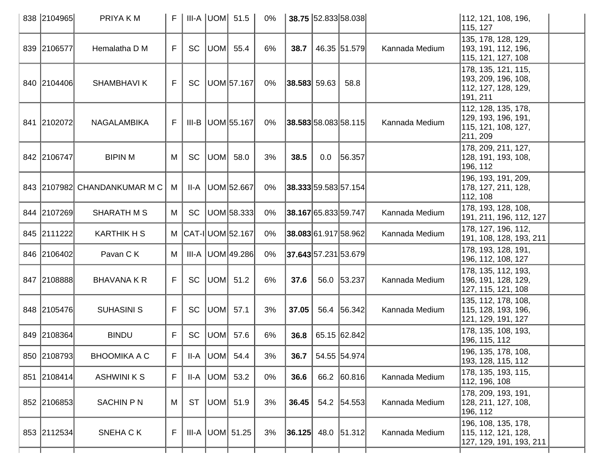| 838 2104965 | PRIYA K M                    | F. |           |     | $III-A$ UOM $51.5$      | $0\%$ |                            |     | 38.75 52.833 58.038         |                | 112, 121, 108, 196,<br>115, 127                                                |
|-------------|------------------------------|----|-----------|-----|-------------------------|-------|----------------------------|-----|-----------------------------|----------------|--------------------------------------------------------------------------------|
| 839 2106577 | Hemalatha D M                | F  | <b>SC</b> |     | UOM 55.4                | 6%    | 38.7                       |     | 46.35 51.579                | Kannada Medium | 135, 178, 128, 129,<br> 193, 191, 112, 196,<br>115, 121, 127, 108              |
| 840 2104406 | <b>SHAMBHAVIK</b>            | F. | <b>SC</b> |     | UOM 57.167              | 0%    | 38.583 59.63               |     | 58.8                        |                | 178, 135, 121, 115,<br>193, 209, 196, 108,<br> 112, 127, 128, 129,<br>191, 211 |
| 841 2102072 | NAGALAMBIKA                  | F. |           |     | III-B UOM 55.167        | 0%    |                            |     | $38.583$ 58.083 58.115      | Kannada Medium | 112, 128, 135, 178,<br> 129, 193, 196, 191,<br>115, 121, 108, 127,<br>211, 209 |
| 842 2106747 | <b>BIPINM</b>                | M  | <b>SC</b> |     | UOM 58.0                | 3%    | 38.5                       | 0.0 | 56.357                      |                | 178, 209, 211, 127,<br> 128, 191, 193, 108,<br>196, 112                        |
|             | 843 2107982 CHANDANKUMAR M C | M  |           |     | II-A   UOM 52.667       | 0%    |                            |     | <b>38.333</b> 59.583 57.154 |                | 196, 193, 191, 209,<br>178, 127, 211, 128,<br>112, 108                         |
| 844 2107269 | <b>SHARATH M S</b>           | M  | <b>SC</b> |     | UOM 58.333              | 0%    | 38.167 65.833 59.747       |     |                             | Kannada Medium | 178, 193, 128, 108,<br>191, 211, 196, 112, 127                                 |
| 845 2111222 | <b>KARTHIK H S</b>           |    |           |     | M CAT-I UOM 52.167      | 0%    |                            |     | <b>38.083</b> 61.917 58.962 | Kannada Medium | 178, 127, 196, 112,<br> 191, 108, 128, 193, 211                                |
| 846 2106402 | Pavan C K                    | M  |           |     | III-A UOM 49.286        | 0%    |                            |     | <b>37.643</b> 57.231 53.679 |                | 178, 193, 128, 191,<br>196, 112, 108, 127                                      |
| 847 2108888 | <b>BHAVANA K R</b>           | F. | <b>SC</b> |     | UOM 51.2                | 6%    | 37.6                       |     | 56.0 53.237                 | Kannada Medium | 178, 135, 112, 193,<br> 196, 191, 128, 129,<br>127, 115, 121, 108              |
| 848 2105476 | <b>SUHASINI S</b>            | F. | <b>SC</b> |     | UOM 57.1                | 3%    | 37.05                      |     | 56.4 56.342                 | Kannada Medium | 135, 112, 178, 108,<br> 115, 128, 193, 196,<br> 121, 129, 191, 127             |
| 849 2108364 | <b>BINDU</b>                 | F  | <b>SC</b> | UOM | 57.6                    | 6%    | 36.8                       |     | 65.15 62.842                |                | 178, 135, 108, 193,<br>196, 115, 112                                           |
| 850 2108793 | <b>BHOOMIKA A C</b>          | F  |           |     | II-A $ $ UOM $ $ 54.4   | 3%    | 36.7                       |     | 54.55 54.974                |                | 196, 135, 178, 108,<br>193, 128, 115, 112                                      |
| 851 2108414 | <b>ASHWINI K S</b>           | F  | $II-A$    |     | UOM  53.2               | 0%    | 36.6                       |     | 66.2 60.816                 | Kannada Medium | 178, 135, 193, 115,<br>112, 196, 108                                           |
| 852 2106853 | <b>SACHIN P N</b>            | M  | <b>ST</b> |     | UOM 51.9                | 3%    | 36.45                      |     | 54.2 54.553                 | Kannada Medium | 178, 209, 193, 191,<br>128, 211, 127, 108,<br> 196, 112                        |
| 853 2112534 | SNEHA CK                     | F  |           |     | III-A $ $ UOM $ $ 51.25 | 3%    | $ 36.125 $ 48.0 $ 51.312 $ |     |                             | Kannada Medium | 196, 108, 135, 178,<br>115, 112, 121, 128,<br> 127, 129, 191, 193, 211         |